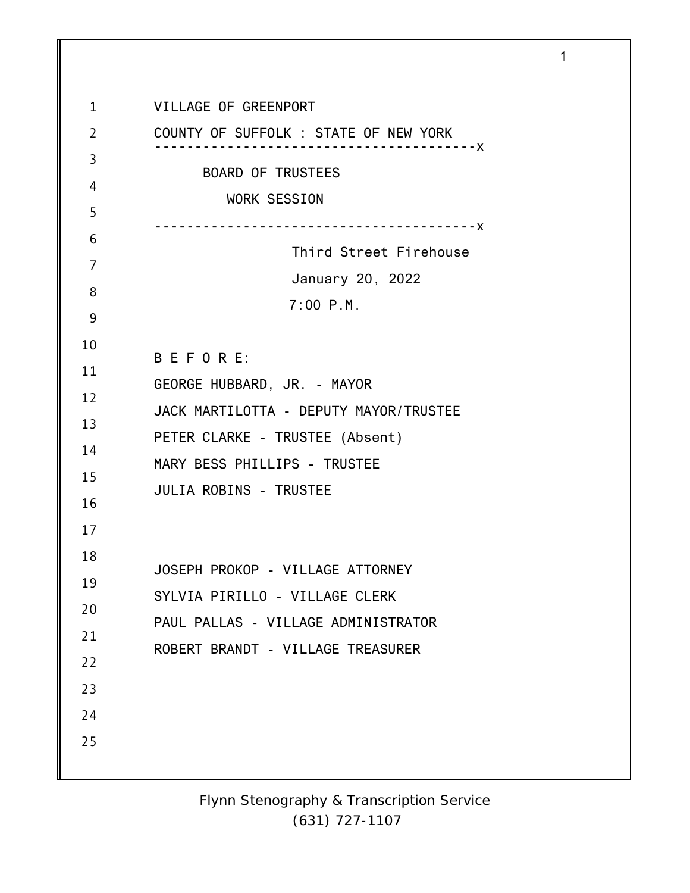1 2 3 4 5 6 7 8 9 10 11 12 13 14 15 16 17 18 19 20 21 22 23 24 25 VILLAGE OF GREENPORT COUNTY OF SUFFOLK : STATE OF NEW YORK ----------------------------------------x BOARD OF TRUSTEES WORK SESSION ----------------------------------------x Third Street Firehouse January 20, 2022 7:00 P.M. B E F O R E: GEORGE HUBBARD, JR. - MAYOR JACK MARTILOTTA - DEPUTY MAYOR/TRUSTEE PETER CLARKE - TRUSTEE (Absent) MARY BESS PHILLIPS - TRUSTEE JULIA ROBINS - TRUSTEE JOSEPH PROKOP - VILLAGE ATTORNEY SYLVIA PIRILLO - VILLAGE CLERK PAUL PALLAS - VILLAGE ADMINISTRATOR ROBERT BRANDT - VILLAGE TREASURER

1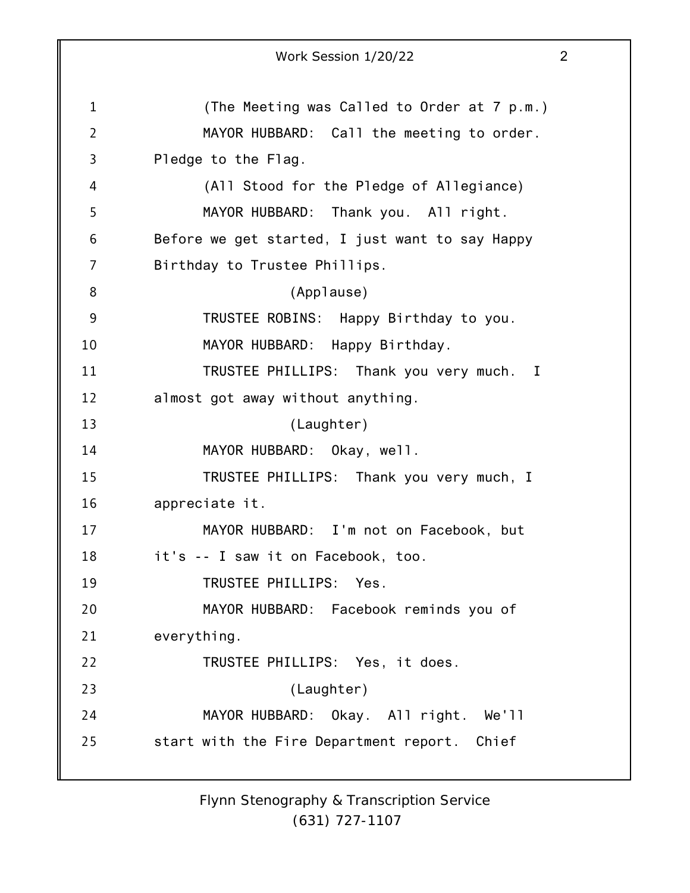1 2 3 4 5 6 7 8 9 10 11 12 13 14 15 16 17 18 19 20 21 22 23 24 25 Work Session 1/20/22 2 (The Meeting was Called to Order at 7 p.m.) MAYOR HUBBARD: Call the meeting to order. Pledge to the Flag. (All Stood for the Pledge of Allegiance) MAYOR HUBBARD: Thank you. All right. Before we get started, I just want to say Happy Birthday to Trustee Phillips. (Applause) TRUSTEE ROBINS: Happy Birthday to you. MAYOR HUBBARD: Happy Birthday. TRUSTEE PHILLIPS: Thank you very much. I almost got away without anything. (Laughter) MAYOR HUBBARD: Okay, well. TRUSTEE PHILLIPS: Thank you very much, I appreciate it. MAYOR HUBBARD: I'm not on Facebook, but it's -- I saw it on Facebook, too. TRUSTEE PHILLIPS: Yes. MAYOR HUBBARD: Facebook reminds you of everything. TRUSTEE PHILLIPS: Yes, it does. (Laughter) MAYOR HUBBARD: Okay. All right. We'll start with the Fire Department report. Chief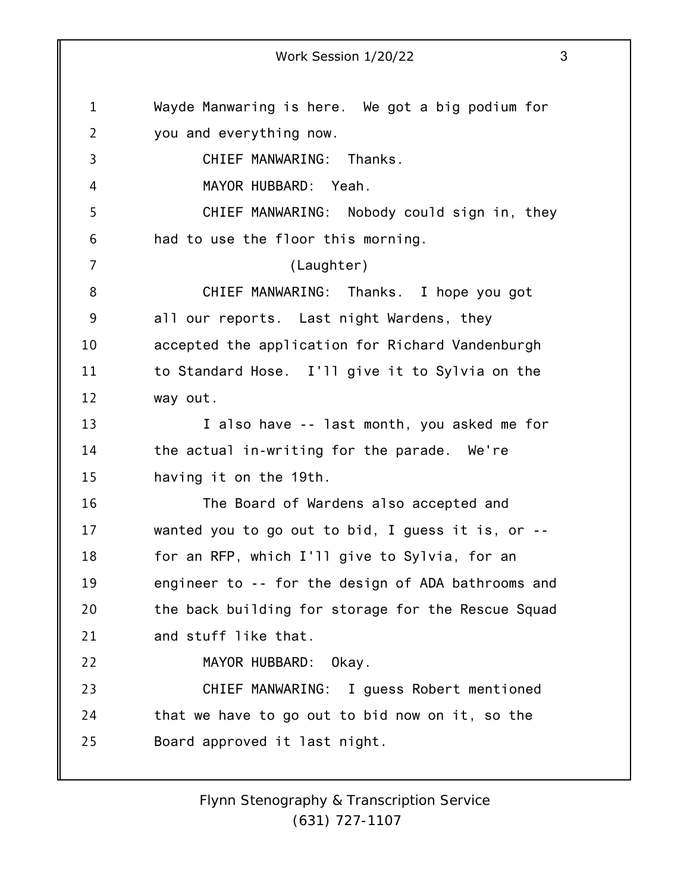1 2 3 4 5 6 7 8 9 10 11 12 13 14 15 16 17 18 19 20 21 22 23 24 25 Work Session 1/20/22 3 Wayde Manwaring is here. We got a big podium for you and everything now. CHIEF MANWARING: Thanks. MAYOR HUBBARD: Yeah. CHIEF MANWARING: Nobody could sign in, they had to use the floor this morning. (Laughter) CHIEF MANWARING: Thanks. I hope you got all our reports. Last night Wardens, they accepted the application for Richard Vandenburgh to Standard Hose. I'll give it to Sylvia on the way out. I also have -- last month, you asked me for the actual in-writing for the parade. We're having it on the 19th. The Board of Wardens also accepted and wanted you to go out to bid, I guess it is, or - for an RFP, which I'll give to Sylvia, for an engineer to -- for the design of ADA bathrooms and the back building for storage for the Rescue Squad and stuff like that. MAYOR HUBBARD: Okay. CHIEF MANWARING: I guess Robert mentioned that we have to go out to bid now on it, so the Board approved it last night.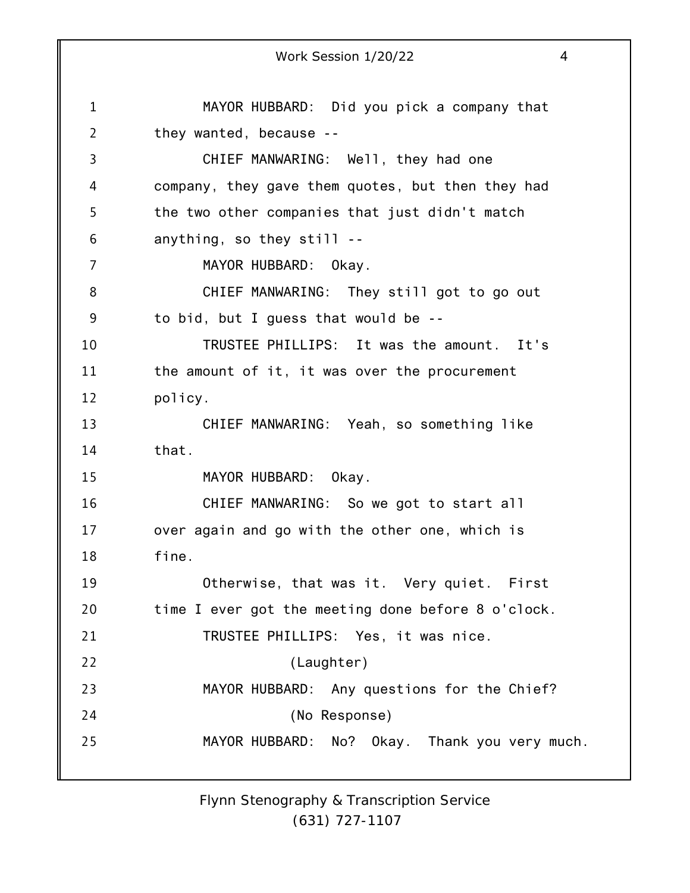1 2 3 4 5 6 7 8 9 10 11 12 13 14 15 16 17 18 19 20 21 22 23 24 25 Work Session 1/20/22 4 MAYOR HUBBARD: Did you pick a company that they wanted, because -- CHIEF MANWARING: Well, they had one company, they gave them quotes, but then they had the two other companies that just didn't match anything, so they still -- MAYOR HUBBARD: Okay. CHIEF MANWARING: They still got to go out to bid, but I guess that would be -- TRUSTEE PHILLIPS: It was the amount. It's the amount of it, it was over the procurement policy. CHIEF MANWARING: Yeah, so something like that. MAYOR HUBBARD: Okay. CHIEF MANWARING: So we got to start all over again and go with the other one, which is fine. Otherwise, that was it. Very quiet. First time I ever got the meeting done before 8 o'clock. TRUSTEE PHILLIPS: Yes, it was nice. (Laughter) MAYOR HUBBARD: Any questions for the Chief? (No Response) MAYOR HUBBARD: No? Okay. Thank you very much.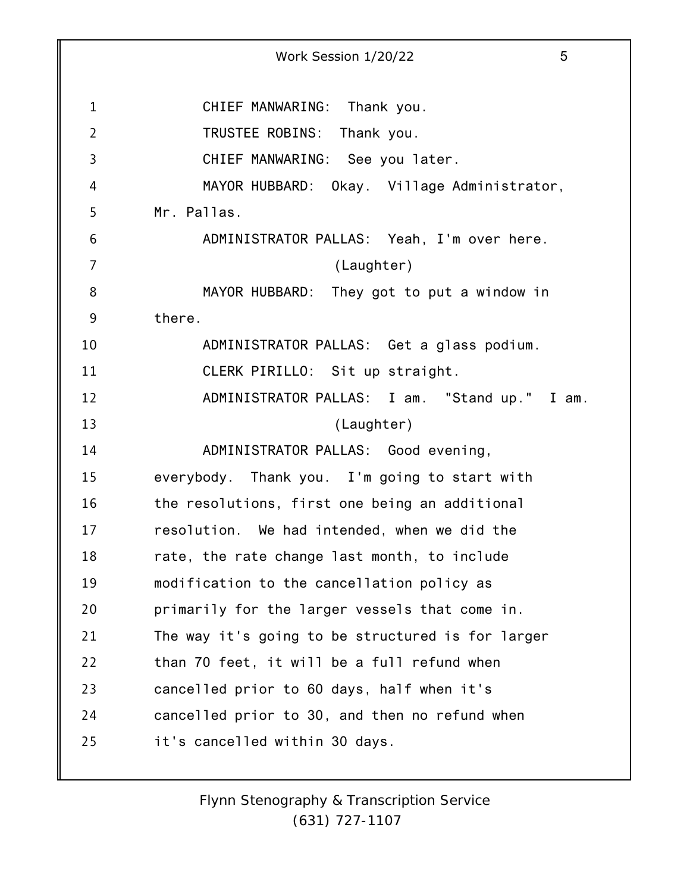1 2 3 4 5 6 7 8 9 10 11 12 13 14 15 16 17 18 19 20 21 22 23 24 25 Work Session 1/20/22 5 CHIEF MANWARING: Thank you. TRUSTEE ROBINS: Thank you. CHIEF MANWARING: See you later. MAYOR HUBBARD: Okay. Village Administrator, Mr. Pallas. ADMINISTRATOR PALLAS: Yeah, I'm over here. (Laughter) MAYOR HUBBARD: They got to put a window in there. ADMINISTRATOR PALLAS: Get a glass podium. CLERK PIRILLO: Sit up straight. ADMINISTRATOR PALLAS: I am. "Stand up." I am. (Laughter) ADMINISTRATOR PALLAS: Good evening, everybody. Thank you. I'm going to start with the resolutions, first one being an additional resolution. We had intended, when we did the rate, the rate change last month, to include modification to the cancellation policy as primarily for the larger vessels that come in. The way it's going to be structured is for larger than 70 feet, it will be a full refund when cancelled prior to 60 days, half when it's cancelled prior to 30, and then no refund when it's cancelled within 30 days.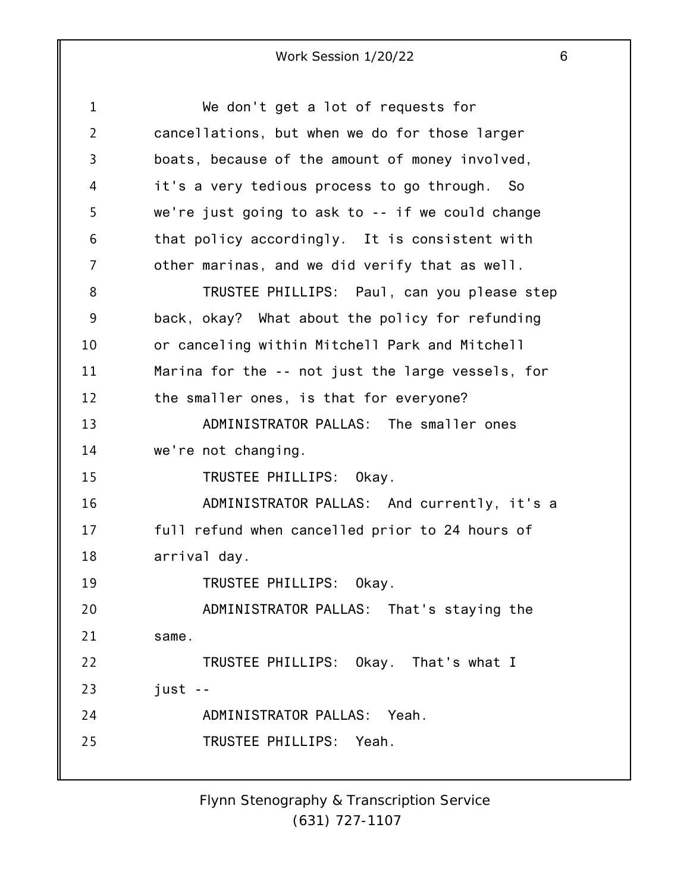1 2 3 4 5 6 7 8 9 10 11 12 13 14 15 16 17 18 19 20 21 22 23 24 25 We don't get a lot of requests for cancellations, but when we do for those larger boats, because of the amount of money involved, it's a very tedious process to go through. So we're just going to ask to -- if we could change that policy accordingly. It is consistent with other marinas, and we did verify that as well. TRUSTEE PHILLIPS: Paul, can you please step back, okay? What about the policy for refunding or canceling within Mitchell Park and Mitchell Marina for the -- not just the large vessels, for the smaller ones, is that for everyone? ADMINISTRATOR PALLAS: The smaller ones we're not changing. TRUSTEE PHILLIPS: Okay. ADMINISTRATOR PALLAS: And currently, it's a full refund when cancelled prior to 24 hours of arrival day. TRUSTEE PHILLIPS: Okay. ADMINISTRATOR PALLAS: That's staying the same. TRUSTEE PHILLIPS: Okay. That's what I just -- ADMINISTRATOR PALLAS: Yeah. TRUSTEE PHILLIPS: Yeah.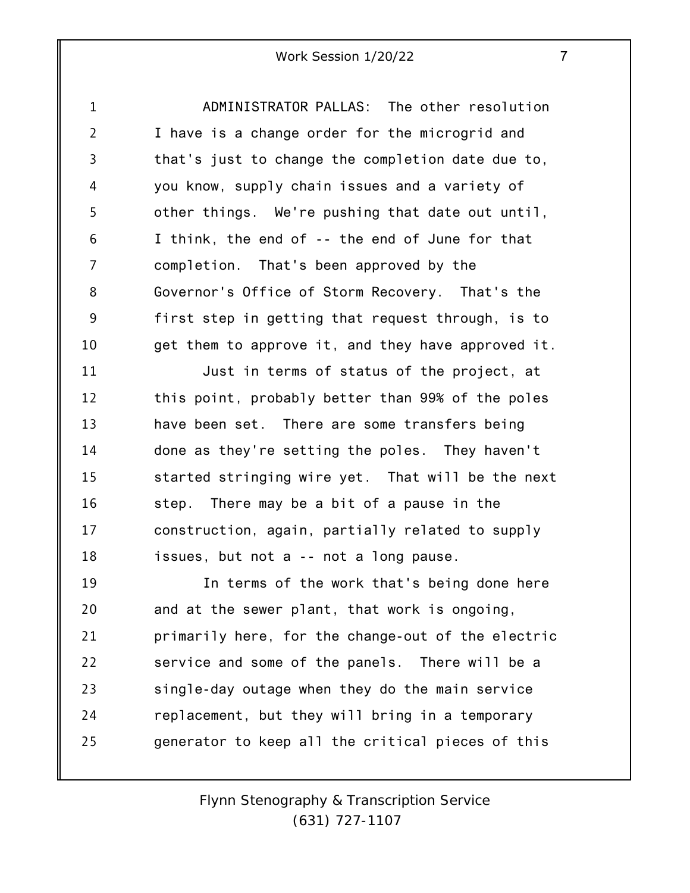1 2 3 4 5 6 7 8 9 10 ADMINISTRATOR PALLAS: The other resolution I have is a change order for the microgrid and that's just to change the completion date due to, you know, supply chain issues and a variety of other things. We're pushing that date out until, I think, the end of -- the end of June for that completion. That's been approved by the Governor's Office of Storm Recovery. That's the first step in getting that request through, is to get them to approve it, and they have approved it.

11 12 13 14 15 16 17 18 Just in terms of status of the project, at this point, probably better than 99% of the poles have been set. There are some transfers being done as they're setting the poles. They haven't started stringing wire yet. That will be the next step. There may be a bit of a pause in the construction, again, partially related to supply issues, but not a -- not a long pause.

19 20 21 22 23 24 25 In terms of the work that's being done here and at the sewer plant, that work is ongoing, primarily here, for the change-out of the electric service and some of the panels. There will be a single-day outage when they do the main service replacement, but they will bring in a temporary generator to keep all the critical pieces of this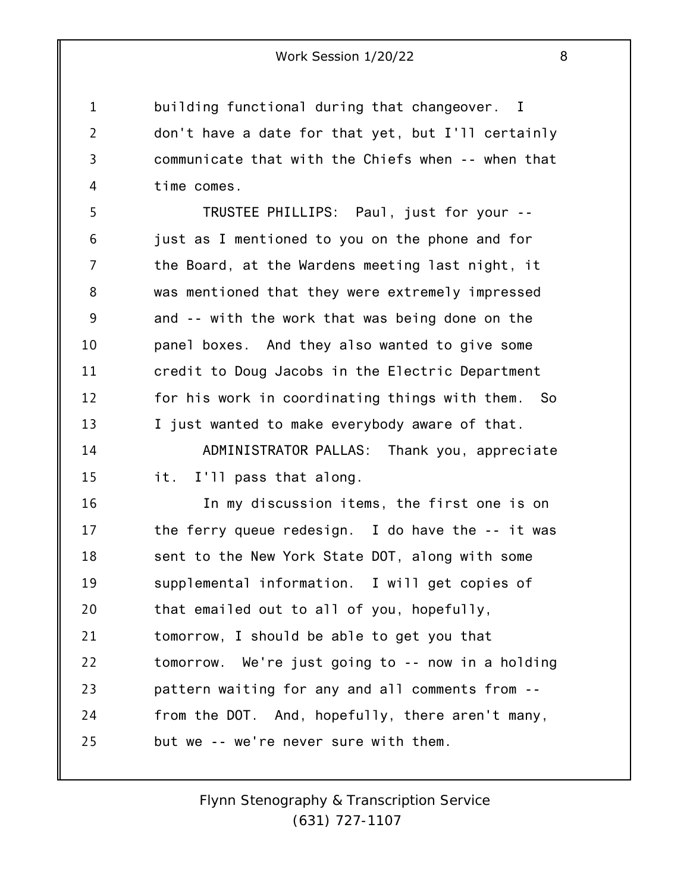building functional during that changeover. I don't have a date for that yet, but I'll certainly communicate that with the Chiefs when -- when that time comes.

1

2

3

4

5 6 7 8 9 10 11 12 13 TRUSTEE PHILLIPS: Paul, just for your - just as I mentioned to you on the phone and for the Board, at the Wardens meeting last night, it was mentioned that they were extremely impressed and -- with the work that was being done on the panel boxes. And they also wanted to give some credit to Doug Jacobs in the Electric Department for his work in coordinating things with them. So I just wanted to make everybody aware of that.

14 15 ADMINISTRATOR PALLAS: Thank you, appreciate it. I'll pass that along.

16 17 18 19 20 21 22 23 24 25 In my discussion items, the first one is on the ferry queue redesign. I do have the -- it was sent to the New York State DOT, along with some supplemental information. I will get copies of that emailed out to all of you, hopefully, tomorrow, I should be able to get you that tomorrow. We're just going to -- now in a holding pattern waiting for any and all comments from - from the DOT. And, hopefully, there aren't many, but we -- we're never sure with them.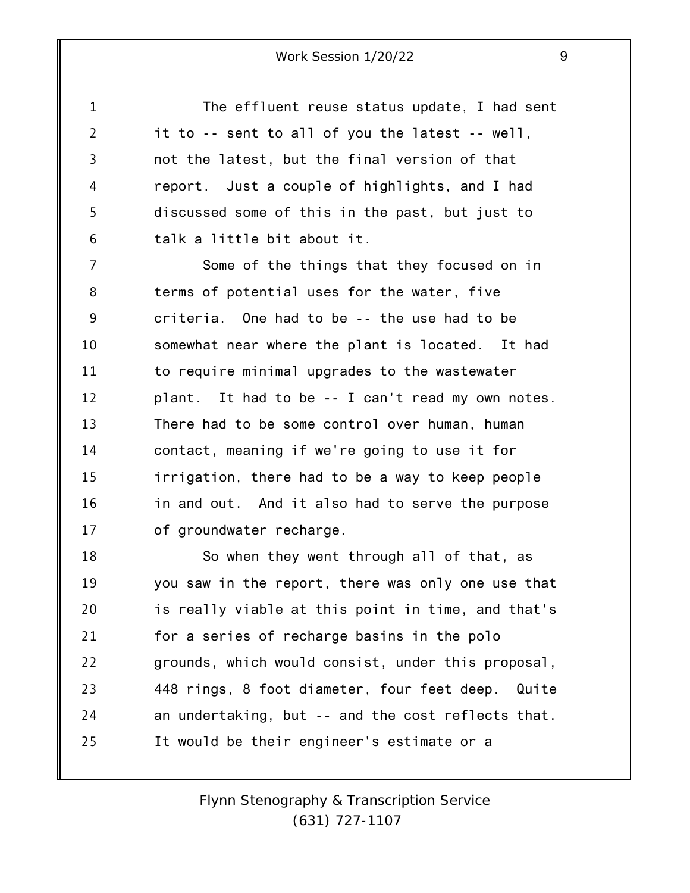1 2 3 4 5 6 7 8 9 10 11 12 13 14 15 16 17 18 19 20 21 22 23 24 The effluent reuse status update, I had sent it to -- sent to all of you the latest -- well, not the latest, but the final version of that report. Just a couple of highlights, and I had discussed some of this in the past, but just to talk a little bit about it. Some of the things that they focused on in terms of potential uses for the water, five criteria. One had to be -- the use had to be somewhat near where the plant is located. It had to require minimal upgrades to the wastewater plant. It had to be -- I can't read my own notes. There had to be some control over human, human contact, meaning if we're going to use it for irrigation, there had to be a way to keep people in and out. And it also had to serve the purpose of groundwater recharge. So when they went through all of that, as you saw in the report, there was only one use that is really viable at this point in time, and that's for a series of recharge basins in the polo grounds, which would consist, under this proposal, 448 rings, 8 foot diameter, four feet deep. Quite an undertaking, but -- and the cost reflects that.

25 It would be their engineer's estimate or a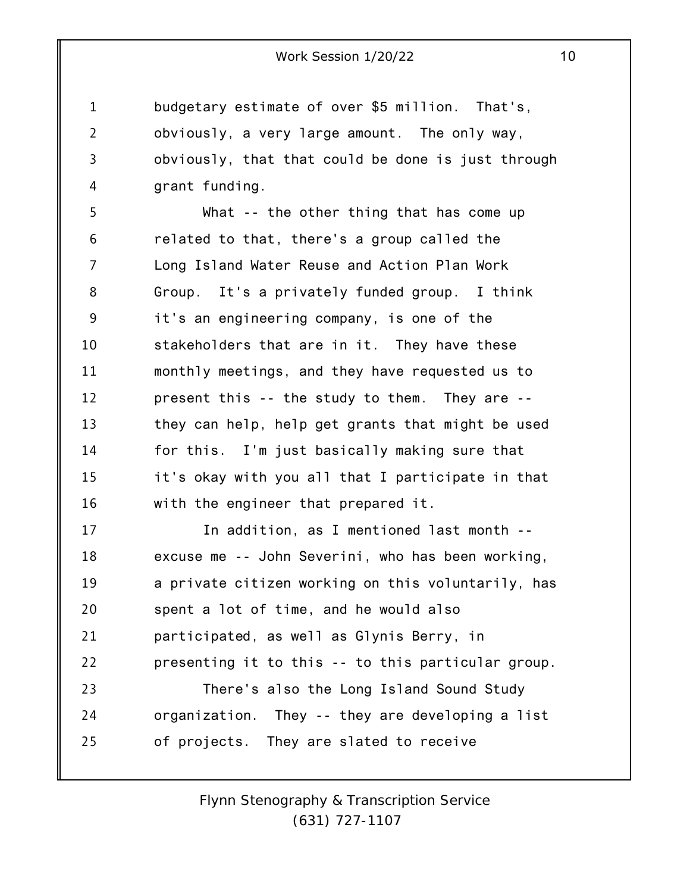budgetary estimate of over \$5 million. That's, obviously, a very large amount. The only way, obviously, that that could be done is just through grant funding.

1

2

3

4

5 6 7 8 9 10 11 12 13 14 15 16 What -- the other thing that has come up related to that, there's a group called the Long Island Water Reuse and Action Plan Work Group. It's a privately funded group. I think it's an engineering company, is one of the stakeholders that are in it. They have these monthly meetings, and they have requested us to present this -- the study to them. They are - they can help, help get grants that might be used for this. I'm just basically making sure that it's okay with you all that I participate in that with the engineer that prepared it.

17 18 19 20 21 22 23 24 25 In addition, as I mentioned last month - excuse me -- John Severini, who has been working, a private citizen working on this voluntarily, has spent a lot of time, and he would also participated, as well as Glynis Berry, in presenting it to this -- to this particular group. There's also the Long Island Sound Study organization. They -- they are developing a list of projects. They are slated to receive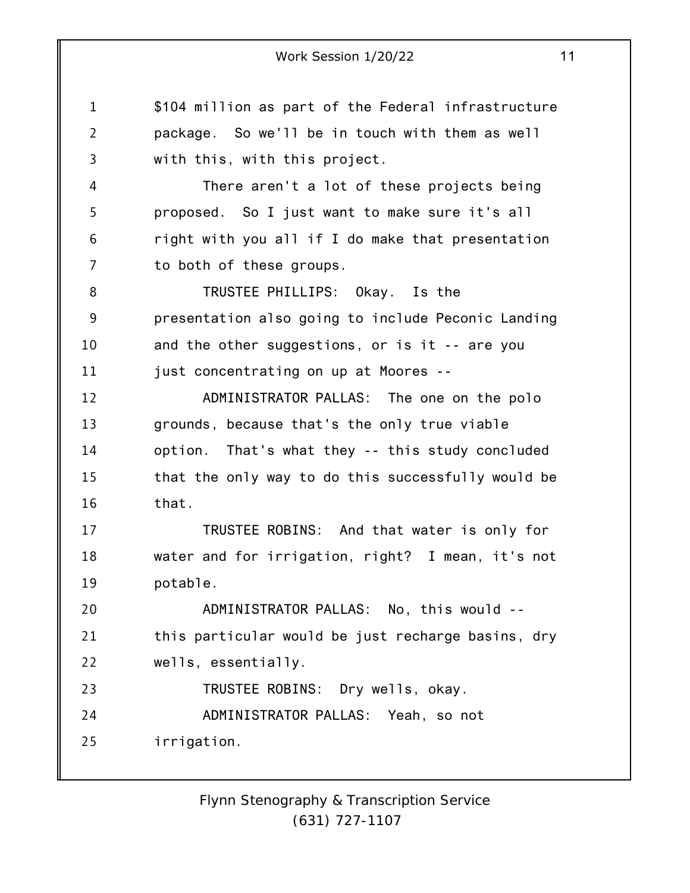1 2 3 4 5 6 7 8 9 10 11 12 13 14 15 16 17 18 19 20 21 22 23 24 25 Work Session 1/20/22 11 \$104 million as part of the Federal infrastructure package. So we'll be in touch with them as well with this, with this project. There aren't a lot of these projects being proposed. So I just want to make sure it's all right with you all if I do make that presentation to both of these groups. TRUSTEE PHILLIPS: Okay. Is the presentation also going to include Peconic Landing and the other suggestions, or is it -- are you just concentrating on up at Moores -- ADMINISTRATOR PALLAS: The one on the polo grounds, because that's the only true viable option. That's what they -- this study concluded that the only way to do this successfully would be that. TRUSTEE ROBINS: And that water is only for water and for irrigation, right? I mean, it's not potable. ADMINISTRATOR PALLAS: No, this would - this particular would be just recharge basins, dry wells, essentially. TRUSTEE ROBINS: Dry wells, okay. ADMINISTRATOR PALLAS: Yeah, so not irrigation.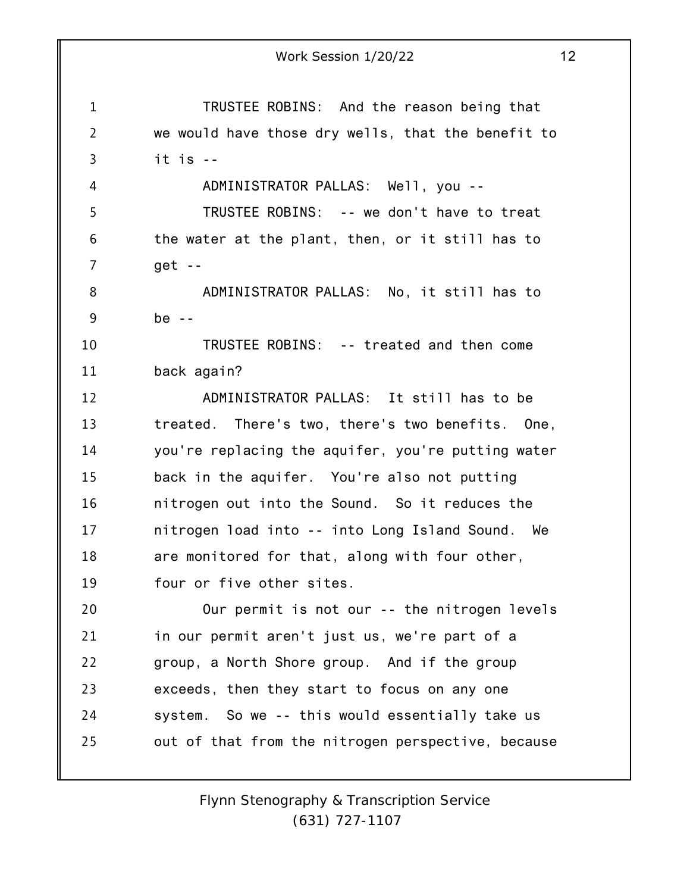1 2 3 4 5 6 7 8 9 10 11 12 13 14 15 16 17 18 19 20 21 22 23 24 25 Work Session 1/20/22 12 TRUSTEE ROBINS: And the reason being that we would have those dry wells, that the benefit to it is -- ADMINISTRATOR PALLAS: Well, you -- TRUSTEE ROBINS: -- we don't have to treat the water at the plant, then, or it still has to get -- ADMINISTRATOR PALLAS: No, it still has to  $be - -$ TRUSTEE ROBINS: -- treated and then come back again? ADMINISTRATOR PALLAS: It still has to be treated. There's two, there's two benefits. One, you're replacing the aquifer, you're putting water back in the aquifer. You're also not putting nitrogen out into the Sound. So it reduces the nitrogen load into -- into Long Island Sound. We are monitored for that, along with four other, four or five other sites. Our permit is not our -- the nitrogen levels in our permit aren't just us, we're part of a group, a North Shore group. And if the group exceeds, then they start to focus on any one system. So we -- this would essentially take us out of that from the nitrogen perspective, because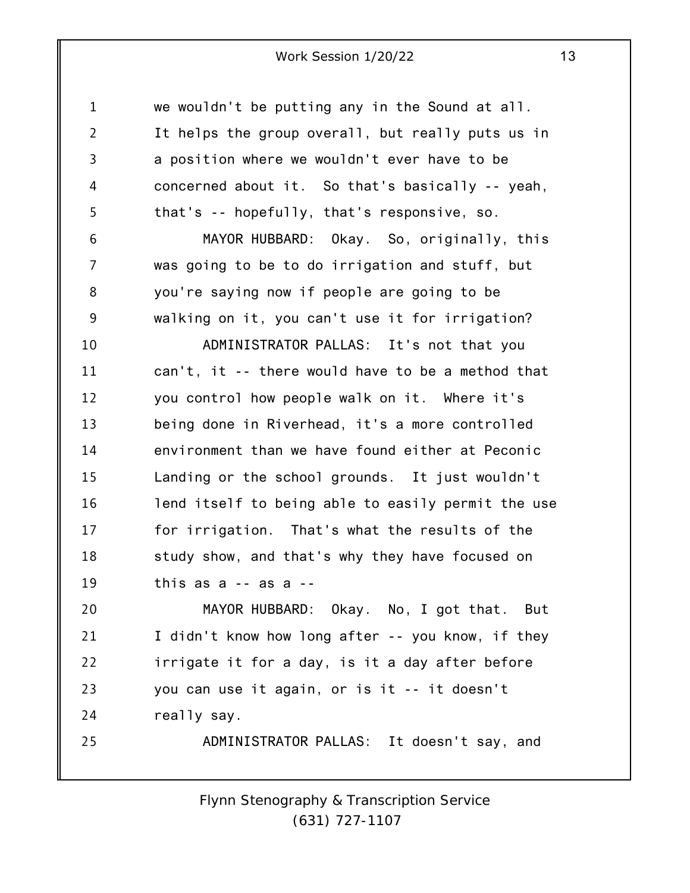1 2 3 4 5 6 7 8 9 10 11 12 13 14 15 16 17 18 19 20 21 22 23 24 25 we wouldn't be putting any in the Sound at all. It helps the group overall, but really puts us in a position where we wouldn't ever have to be concerned about it. So that's basically -- yeah, that's -- hopefully, that's responsive, so. MAYOR HUBBARD: Okay. So, originally, this was going to be to do irrigation and stuff, but you're saying now if people are going to be walking on it, you can't use it for irrigation? ADMINISTRATOR PALLAS: It's not that you can't, it -- there would have to be a method that you control how people walk on it. Where it's being done in Riverhead, it's a more controlled environment than we have found either at Peconic Landing or the school grounds. It just wouldn't lend itself to being able to easily permit the use for irrigation. That's what the results of the study show, and that's why they have focused on this as a -- as a -- MAYOR HUBBARD: Okay. No, I got that. But I didn't know how long after -- you know, if they irrigate it for a day, is it a day after before you can use it again, or is it -- it doesn't really say. ADMINISTRATOR PALLAS: It doesn't say, and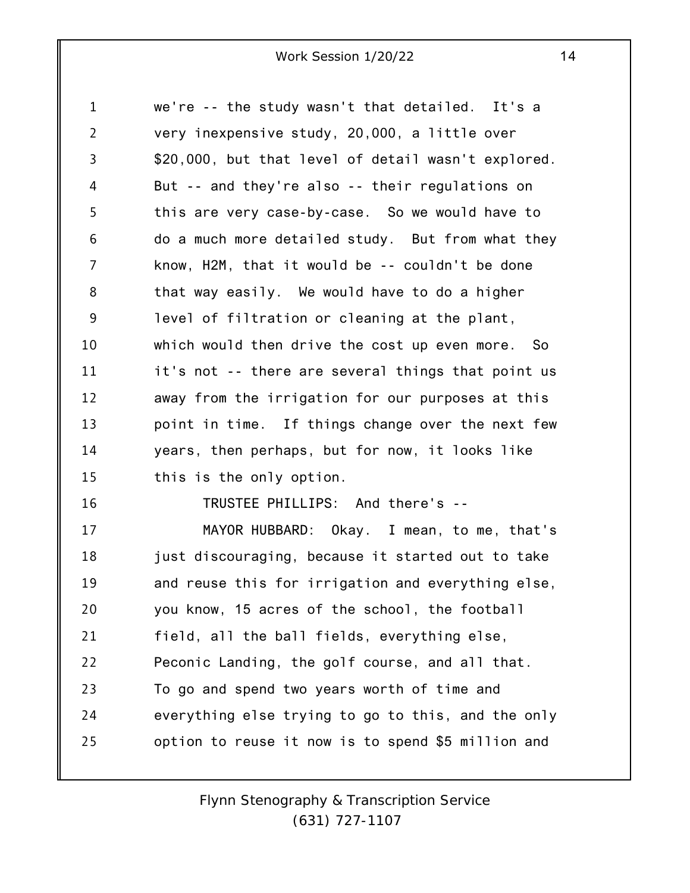| $\mathbf{1}$   | we're -- the study wasn't that detailed. It's a     |
|----------------|-----------------------------------------------------|
| $\overline{2}$ | very inexpensive study, 20,000, a little over       |
| 3              | \$20,000, but that level of detail wasn't explored. |
| 4              | But -- and they're also -- their regulations on     |
| 5              | this are very case-by-case. So we would have to     |
| 6              | do a much more detailed study. But from what they   |
| 7              | know, H2M, that it would be -- couldn't be done     |
| 8              | that way easily. We would have to do a higher       |
| 9              | level of filtration or cleaning at the plant,       |
| 10             | which would then drive the cost up even more. So    |
| 11             | it's not -- there are several things that point us  |
| 12             | away from the irrigation for our purposes at this   |
| 13             | point in time. If things change over the next few   |
| 14             | years, then perhaps, but for now, it looks like     |
| 15             | this is the only option.                            |
| 16             | TRUSTEE PHILLIPS: And there's --                    |
| 17             | MAYOR HUBBARD: Okay. I mean, to me, that's          |
| 18             | just discouraging, because it started out to take   |
| 19             | and reuse this for irrigation and everything else,  |
| 20             | you know, 15 acres of the school, the football      |
| 21             | field, all the ball fields, everything else,        |
| 22             | Peconic Landing, the golf course, and all that.     |
| 23             | To go and spend two years worth of time and         |
| 24             | everything else trying to go to this, and the only  |
| 25             | option to reuse it now is to spend \$5 million and  |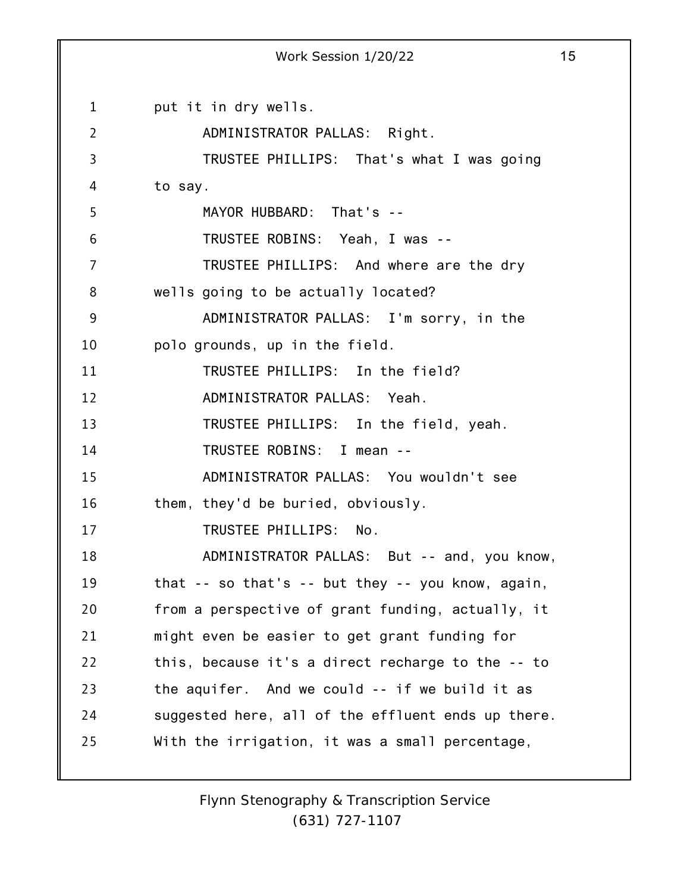1 2 3 4 5 6 7 8 9 10 11 12 13 14 15 16 17 18 19 20 21 22 23 24 25 Work Session 1/20/22 15 put it in dry wells. ADMINISTRATOR PALLAS: Right. TRUSTEE PHILLIPS: That's what I was going to say. MAYOR HUBBARD: That's -- TRUSTEE ROBINS: Yeah, I was -- TRUSTEE PHILLIPS: And where are the dry wells going to be actually located? ADMINISTRATOR PALLAS: I'm sorry, in the polo grounds, up in the field. TRUSTEE PHILLIPS: In the field? ADMINISTRATOR PALLAS: Yeah. TRUSTEE PHILLIPS: In the field, yeah. TRUSTEE ROBINS: I mean -- ADMINISTRATOR PALLAS: You wouldn't see them, they'd be buried, obviously. TRUSTEE PHILLIPS: No. ADMINISTRATOR PALLAS: But -- and, you know, that -- so that's -- but they -- you know, again, from a perspective of grant funding, actually, it might even be easier to get grant funding for this, because it's a direct recharge to the -- to the aquifer. And we could -- if we build it as suggested here, all of the effluent ends up there. With the irrigation, it was a small percentage,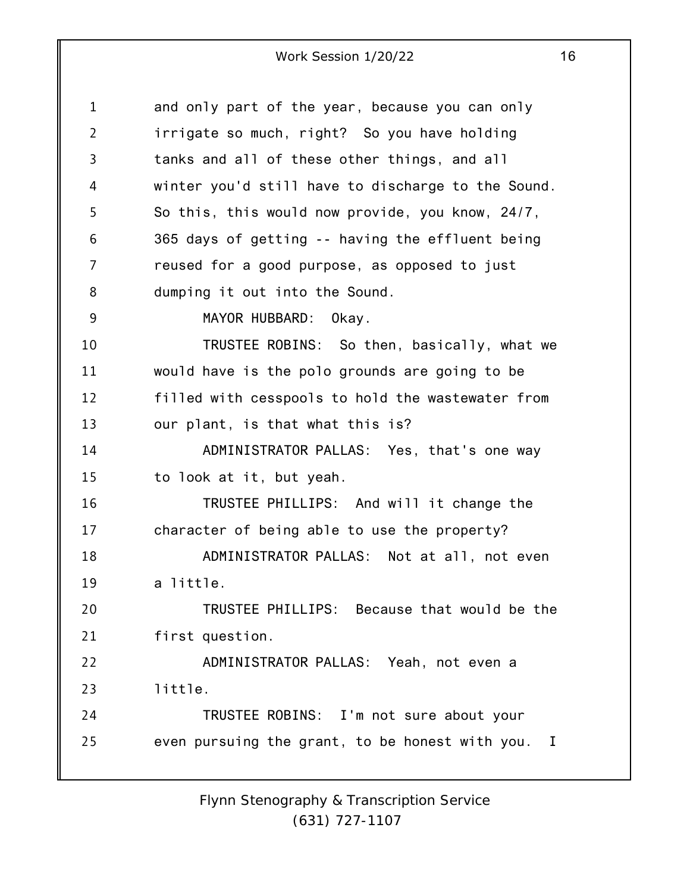1 2 3 4 5 6 7 8 9 10 11 12 13 14 15 16 17 18 19 20 21 22 23 24 25 and only part of the year, because you can only irrigate so much, right? So you have holding tanks and all of these other things, and all winter you'd still have to discharge to the Sound. So this, this would now provide, you know, 24/7, 365 days of getting -- having the effluent being reused for a good purpose, as opposed to just dumping it out into the Sound. MAYOR HUBBARD: Okay. TRUSTEE ROBINS: So then, basically, what we would have is the polo grounds are going to be filled with cesspools to hold the wastewater from our plant, is that what this is? ADMINISTRATOR PALLAS: Yes, that's one way to look at it, but yeah. TRUSTEE PHILLIPS: And will it change the character of being able to use the property? ADMINISTRATOR PALLAS: Not at all, not even a little. TRUSTEE PHILLIPS: Because that would be the first question. ADMINISTRATOR PALLAS: Yeah, not even a little. TRUSTEE ROBINS: I'm not sure about your even pursuing the grant, to be honest with you. I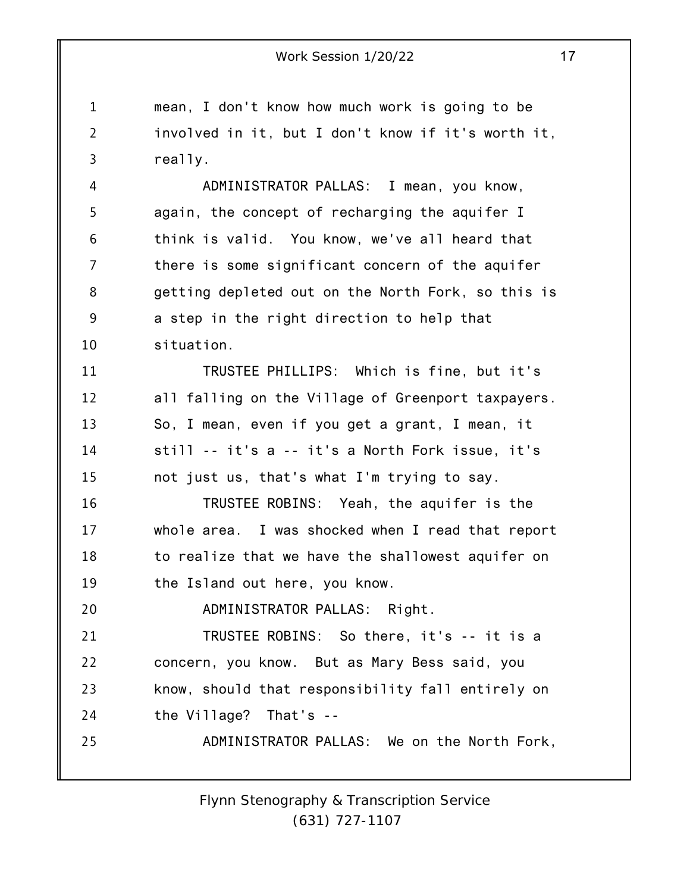1 2 3 mean, I don't know how much work is going to be involved in it, but I don't know if it's worth it, really.

4 5 6 7 8 9 10 ADMINISTRATOR PALLAS: I mean, you know, again, the concept of recharging the aquifer I think is valid. You know, we've all heard that there is some significant concern of the aquifer getting depleted out on the North Fork, so this is a step in the right direction to help that situation.

11 12 13 14 15 TRUSTEE PHILLIPS: Which is fine, but it's all falling on the Village of Greenport taxpayers. So, I mean, even if you get a grant, I mean, it still -- it's a -- it's a North Fork issue, it's not just us, that's what I'm trying to say.

16 17 18 19 TRUSTEE ROBINS: Yeah, the aquifer is the whole area. I was shocked when I read that report to realize that we have the shallowest aquifer on the Island out here, you know.

20 ADMINISTRATOR PALLAS: Right.

21 22 23 24 25 TRUSTEE ROBINS: So there, it's -- it is a concern, you know. But as Mary Bess said, you know, should that responsibility fall entirely on the Village? That's --

ADMINISTRATOR PALLAS: We on the North Fork,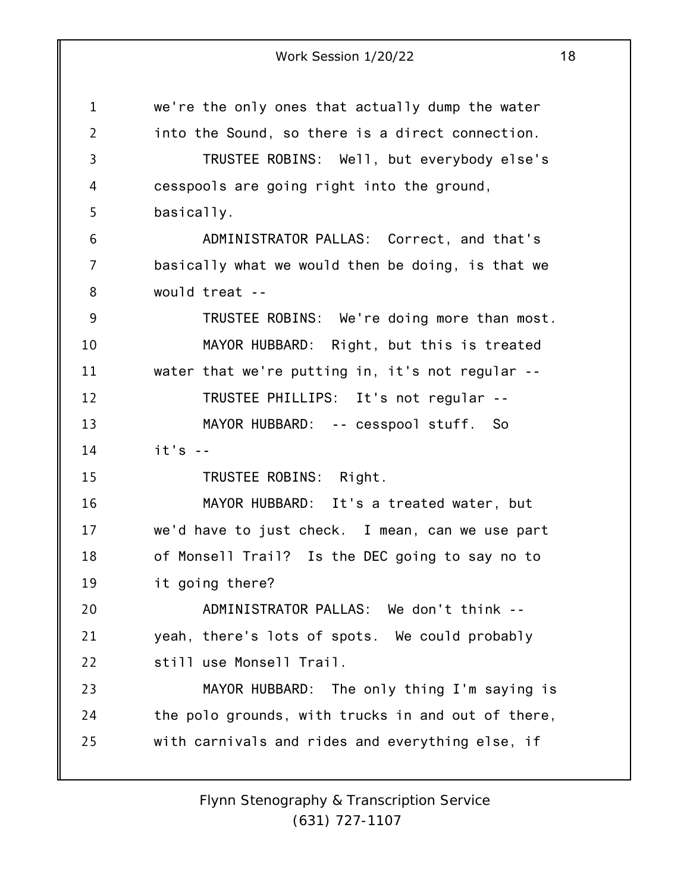1 2 3 4 5 6 7 8 9 10 11 12 13 14 15 16 17 18 19 20 21 22 23 24 25 we're the only ones that actually dump the water into the Sound, so there is a direct connection. TRUSTEE ROBINS: Well, but everybody else's cesspools are going right into the ground, basically. ADMINISTRATOR PALLAS: Correct, and that's basically what we would then be doing, is that we would treat -- TRUSTEE ROBINS: We're doing more than most. MAYOR HUBBARD: Right, but this is treated water that we're putting in, it's not regular -- TRUSTEE PHILLIPS: It's not regular -- MAYOR HUBBARD: -- cesspool stuff. So  $it's - -$ TRUSTEE ROBINS: Right. MAYOR HUBBARD: It's a treated water, but we'd have to just check. I mean, can we use part of Monsell Trail? Is the DEC going to say no to it going there? ADMINISTRATOR PALLAS: We don't think - yeah, there's lots of spots. We could probably still use Monsell Trail. MAYOR HUBBARD: The only thing I'm saying is the polo grounds, with trucks in and out of there, with carnivals and rides and everything else, if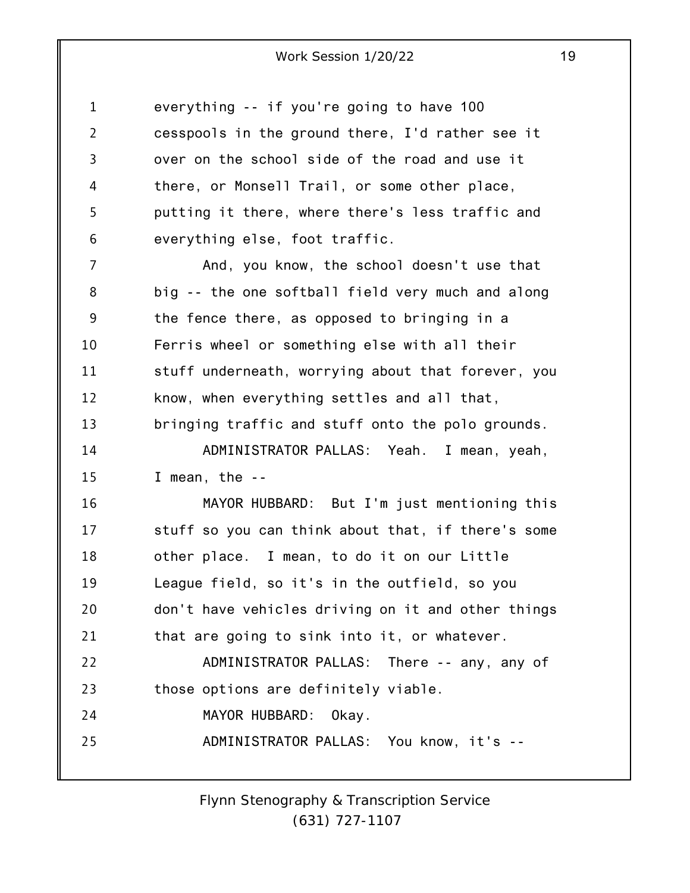| $\mathbf{1}$   | everything -- if you're going to have 100          |
|----------------|----------------------------------------------------|
| $\overline{2}$ | cesspools in the ground there, I'd rather see it   |
| 3              | over on the school side of the road and use it     |
| 4              | there, or Monsell Trail, or some other place,      |
| 5              | putting it there, where there's less traffic and   |
| 6              | everything else, foot traffic.                     |
| $\overline{7}$ | And, you know, the school doesn't use that         |
| 8              | big -- the one softball field very much and along  |
| 9              | the fence there, as opposed to bringing in a       |
| 10             | Ferris wheel or something else with all their      |
| 11             | stuff underneath, worrying about that forever, you |
| 12             | know, when everything settles and all that,        |
| 13             | bringing traffic and stuff onto the polo grounds.  |
| 14             | ADMINISTRATOR PALLAS: Yeah. I mean, yeah,          |
| 15             | I mean, the $-$                                    |
| 16             | MAYOR HUBBARD: But I'm just mentioning this        |
| 17             | stuff so you can think about that, if there's some |
| 18             | other place. I mean, to do it on our Little        |
| 19             | League field, so it's in the outfield, so you      |
| 20             | don't have vehicles driving on it and other things |
| 21             | that are going to sink into it, or whatever.       |
| 22             | ADMINISTRATOR PALLAS: There -- any, any of         |
| 23             | those options are definitely viable.               |
| 24             | MAYOR HUBBARD: Okay.                               |
| 25             | ADMINISTRATOR PALLAS: You know, it's --            |
|                |                                                    |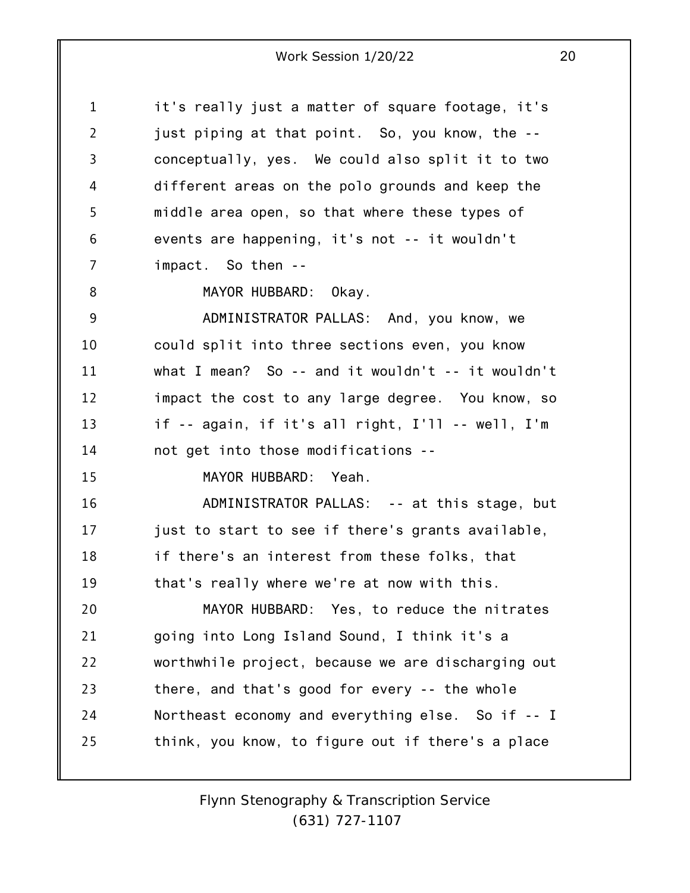| $\mathbf{1}$   | it's really just a matter of square footage, it's   |
|----------------|-----------------------------------------------------|
| $\overline{2}$ | just piping at that point. So, you know, the --     |
| 3              | conceptually, yes. We could also split it to two    |
| 4              | different areas on the polo grounds and keep the    |
| 5              | middle area open, so that where these types of      |
| 6              | events are happening, it's not -- it wouldn't       |
| 7              | impact. So then --                                  |
| 8              | MAYOR HUBBARD: Okay.                                |
| 9              | ADMINISTRATOR PALLAS: And, you know, we             |
| 10             | could split into three sections even, you know      |
| 11             | what I mean? So -- and it wouldn't -- it wouldn't   |
| 12             | impact the cost to any large degree. You know, so   |
| 13             | if $-$ again, if it's all right, I'll $-$ well, I'm |
| 14             | not get into those modifications --                 |
| 15             | MAYOR HUBBARD: Yeah.                                |
| 16             | ADMINISTRATOR PALLAS: -- at this stage, but         |
| 17             | just to start to see if there's grants available,   |
| 18             | if there's an interest from these folks, that       |
| 19             | that's really where we're at now with this.         |
| 20             | MAYOR HUBBARD: Yes, to reduce the nitrates          |
| 21             | going into Long Island Sound, I think it's a        |
| 22             | worthwhile project, because we are discharging out  |
| 23             | there, and that's good for every -- the whole       |
| 24             | Northeast economy and everything else. So if -- I   |
| 25             | think, you know, to figure out if there's a place   |
|                |                                                     |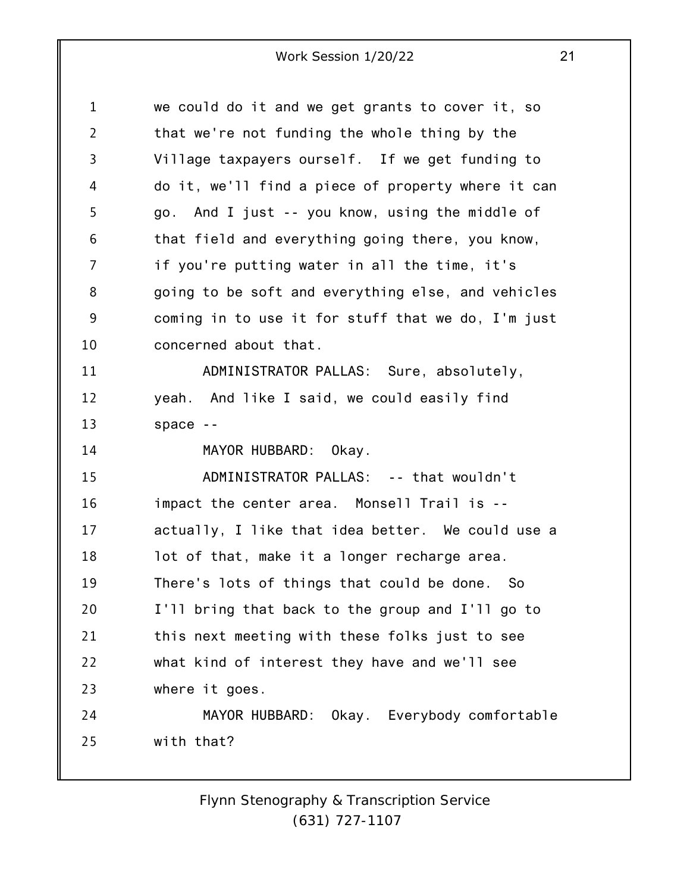1 2 3 4 5 6 7 8 9 10 11 12 13 14 15 16 17 18 19 20 21 22 23 24 25 we could do it and we get grants to cover it, so that we're not funding the whole thing by the Village taxpayers ourself. If we get funding to do it, we'll find a piece of property where it can go. And I just -- you know, using the middle of that field and everything going there, you know, if you're putting water in all the time, it's going to be soft and everything else, and vehicles coming in to use it for stuff that we do, I'm just concerned about that. ADMINISTRATOR PALLAS: Sure, absolutely, yeah. And like I said, we could easily find space -- MAYOR HUBBARD: Okay. ADMINISTRATOR PALLAS: -- that wouldn't impact the center area. Monsell Trail is - actually, I like that idea better. We could use a lot of that, make it a longer recharge area. There's lots of things that could be done. So I'll bring that back to the group and I'll go to this next meeting with these folks just to see what kind of interest they have and we'll see where it goes. MAYOR HUBBARD: Okay. Everybody comfortable with that?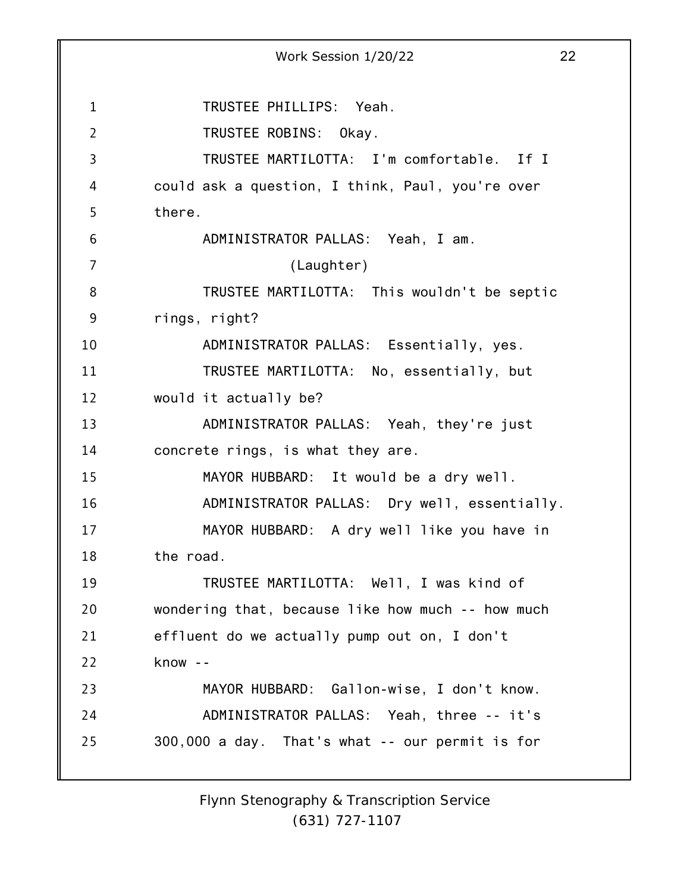1 2 3 4 5 6 7 8 9 10 11 12 13 14 15 16 17 18 19 20 21 22 23 24 25 Work Session 1/20/22 22 TRUSTEE PHILLIPS: Yeah. TRUSTEE ROBINS: Okay. TRUSTEE MARTILOTTA: I'm comfortable. If I could ask a question, I think, Paul, you're over there. ADMINISTRATOR PALLAS: Yeah, I am. (Laughter) TRUSTEE MARTILOTTA: This wouldn't be septic rings, right? ADMINISTRATOR PALLAS: Essentially, yes. TRUSTEE MARTILOTTA: No, essentially, but would it actually be? ADMINISTRATOR PALLAS: Yeah, they're just concrete rings, is what they are. MAYOR HUBBARD: It would be a dry well. ADMINISTRATOR PALLAS: Dry well, essentially. MAYOR HUBBARD: A dry well like you have in the road. TRUSTEE MARTILOTTA: Well, I was kind of wondering that, because like how much -- how much effluent do we actually pump out on, I don't know -- MAYOR HUBBARD: Gallon-wise, I don't know. ADMINISTRATOR PALLAS: Yeah, three -- it's 300,000 a day. That's what -- our permit is for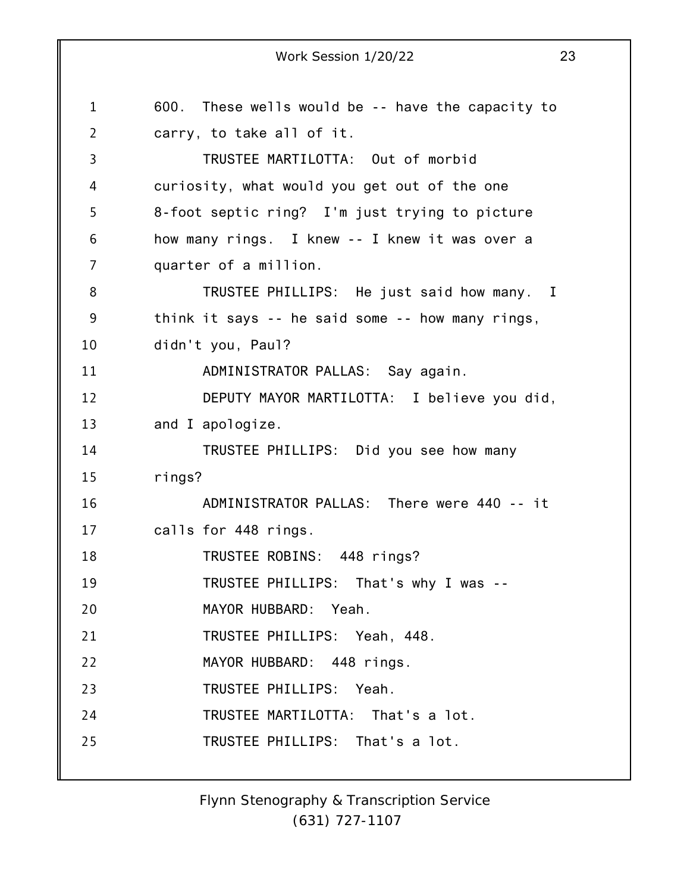1 2 3 4 5 6 7 8 9 10 11 12 13 14 15 16 17 18 19 20 21 22 23 24 25 Work Session 1/20/22 23 600. These wells would be -- have the capacity to carry, to take all of it. TRUSTEE MARTILOTTA: Out of morbid curiosity, what would you get out of the one 8-foot septic ring? I'm just trying to picture how many rings. I knew -- I knew it was over a quarter of a million. TRUSTEE PHILLIPS: He just said how many. I think it says -- he said some -- how many rings, didn't you, Paul? ADMINISTRATOR PALLAS: Say again. DEPUTY MAYOR MARTILOTTA: I believe you did, and I apologize. TRUSTEE PHILLIPS: Did you see how many rings? ADMINISTRATOR PALLAS: There were 440 -- it calls for 448 rings. TRUSTEE ROBINS: 448 rings? TRUSTEE PHILLIPS: That's why I was -- MAYOR HUBBARD: Yeah. TRUSTEE PHILLIPS: Yeah, 448. MAYOR HUBBARD: 448 rings. TRUSTEE PHILLIPS: Yeah. TRUSTEE MARTILOTTA: That's a lot. TRUSTEE PHILLIPS: That's a lot.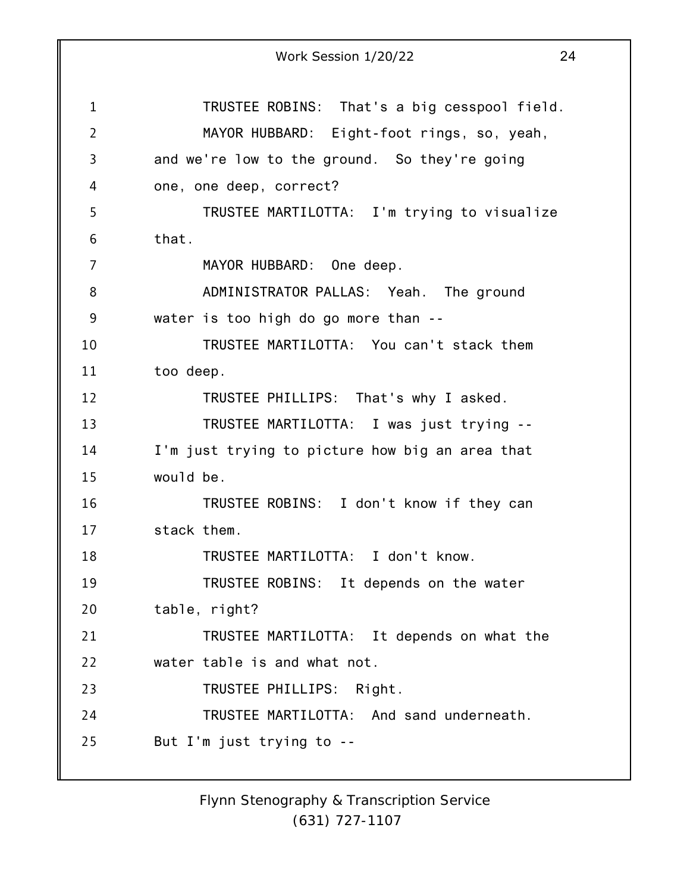1 2 3 4 5 6 7 8 9 10 11 12 13 14 15 16 17 18 19 20 21 22 23 24 25 Work Session 1/20/22 24 TRUSTEE ROBINS: That's a big cesspool field. MAYOR HUBBARD: Eight-foot rings, so, yeah, and we're low to the ground. So they're going one, one deep, correct? TRUSTEE MARTILOTTA: I'm trying to visualize that. MAYOR HUBBARD: One deep. ADMINISTRATOR PALLAS: Yeah. The ground water is too high do go more than -- TRUSTEE MARTILOTTA: You can't stack them too deep. TRUSTEE PHILLIPS: That's why I asked. TRUSTEE MARTILOTTA: I was just trying -- I'm just trying to picture how big an area that would be. TRUSTEE ROBINS: I don't know if they can stack them. TRUSTEE MARTILOTTA: I don't know. TRUSTEE ROBINS: It depends on the water table, right? TRUSTEE MARTILOTTA: It depends on what the water table is and what not. TRUSTEE PHILLIPS: Right. TRUSTEE MARTILOTTA: And sand underneath. But I'm just trying to --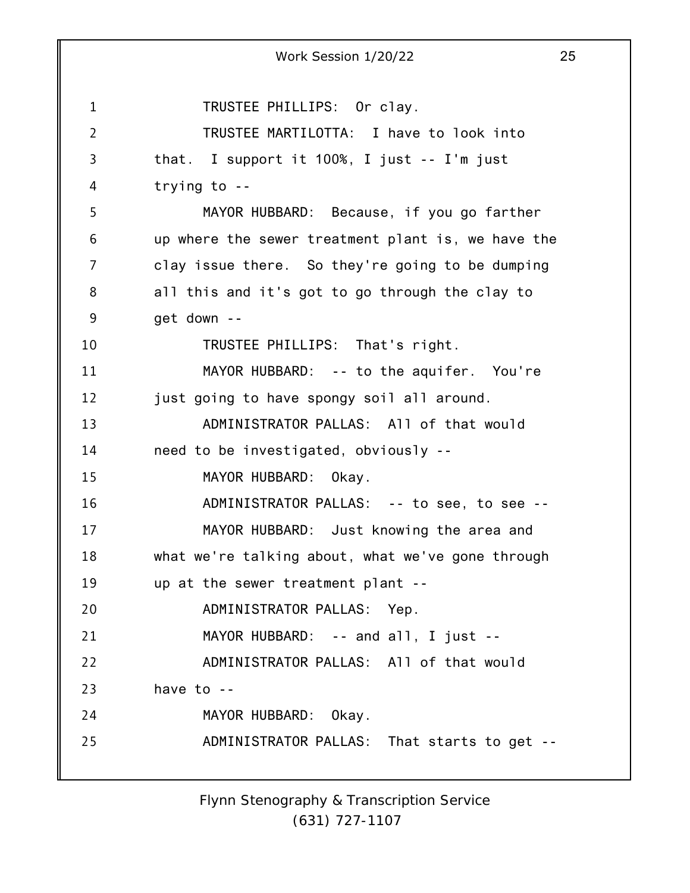1 2 3 4 5 6 7 8 9 10 11 12 13 14 15 16 17 18 19 20 21 22 23 24 25 Work Session 1/20/22 25 TRUSTEE PHILLIPS: Or clay. TRUSTEE MARTILOTTA: I have to look into that. I support it 100%, I just -- I'm just trying to -- MAYOR HUBBARD: Because, if you go farther up where the sewer treatment plant is, we have the clay issue there. So they're going to be dumping all this and it's got to go through the clay to get down -- TRUSTEE PHILLIPS: That's right. MAYOR HUBBARD: -- to the aquifer. You're just going to have spongy soil all around. ADMINISTRATOR PALLAS: All of that would need to be investigated, obviously -- MAYOR HUBBARD: Okay. ADMINISTRATOR PALLAS: -- to see, to see -- MAYOR HUBBARD: Just knowing the area and what we're talking about, what we've gone through up at the sewer treatment plant -- ADMINISTRATOR PALLAS: Yep. MAYOR HUBBARD: -- and all, I just -- ADMINISTRATOR PALLAS: All of that would have to -- MAYOR HUBBARD: Okay. ADMINISTRATOR PALLAS: That starts to get --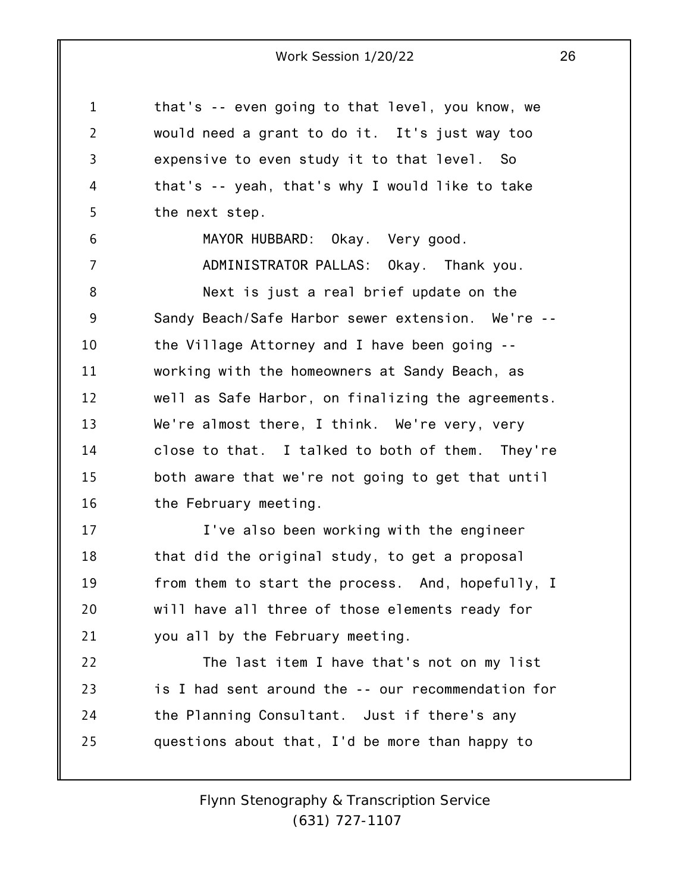1 2 3 4 5 6 7 8 9 10 11 12 13 14 15 16 17 18 19 20 21 22 23 24 25 that's -- even going to that level, you know, we would need a grant to do it. It's just way too expensive to even study it to that level. So that's -- yeah, that's why I would like to take the next step. MAYOR HUBBARD: Okay. Very good. ADMINISTRATOR PALLAS: Okay. Thank you. Next is just a real brief update on the Sandy Beach/Safe Harbor sewer extension. We're - the Village Attorney and I have been going - working with the homeowners at Sandy Beach, as well as Safe Harbor, on finalizing the agreements. We're almost there, I think. We're very, very close to that. I talked to both of them. They're both aware that we're not going to get that until the February meeting. I've also been working with the engineer that did the original study, to get a proposal from them to start the process. And, hopefully, I will have all three of those elements ready for you all by the February meeting. The last item I have that's not on my list is I had sent around the -- our recommendation for the Planning Consultant. Just if there's any questions about that, I'd be more than happy to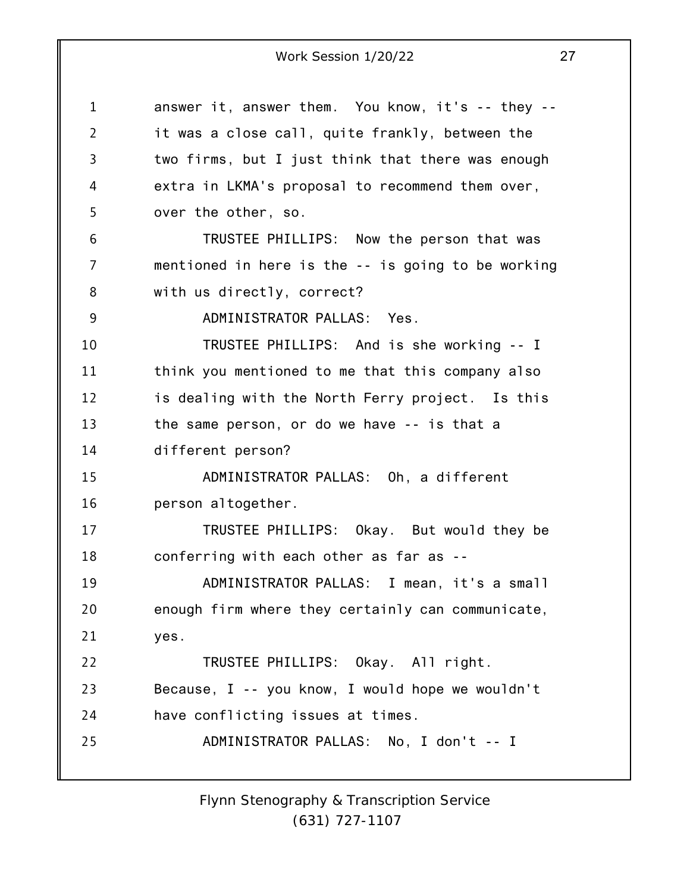1 2 3 4 5 6 7 8 9 10 11 12 13 14 15 16 17 18 19 20 21 22 23 24 25 answer it, answer them. You know, it's -- they - it was a close call, quite frankly, between the two firms, but I just think that there was enough extra in LKMA's proposal to recommend them over, over the other, so. TRUSTEE PHILLIPS: Now the person that was mentioned in here is the -- is going to be working with us directly, correct? ADMINISTRATOR PALLAS: Yes. TRUSTEE PHILLIPS: And is she working -- I think you mentioned to me that this company also is dealing with the North Ferry project. Is this the same person, or do we have -- is that a different person? ADMINISTRATOR PALLAS: Oh, a different person altogether. TRUSTEE PHILLIPS: Okay. But would they be conferring with each other as far as -- ADMINISTRATOR PALLAS: I mean, it's a small enough firm where they certainly can communicate, yes. TRUSTEE PHILLIPS: Okay. All right. Because, I -- you know, I would hope we wouldn't have conflicting issues at times. ADMINISTRATOR PALLAS: No, I don't -- I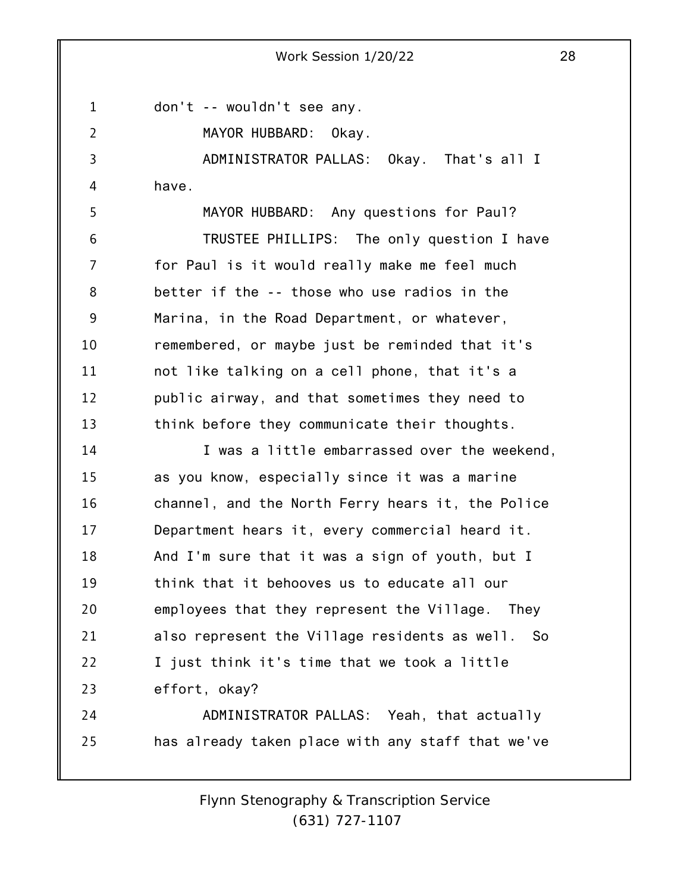1

2

don't -- wouldn't see any.

MAYOR HUBBARD: Okay.

3 4 ADMINISTRATOR PALLAS: Okay. That's all I have.

5 6 7 8 9 10 11 12 13 MAYOR HUBBARD: Any questions for Paul? TRUSTEE PHILLIPS: The only question I have for Paul is it would really make me feel much better if the -- those who use radios in the Marina, in the Road Department, or whatever, remembered, or maybe just be reminded that it's not like talking on a cell phone, that it's a public airway, and that sometimes they need to think before they communicate their thoughts.

14 15 16 17 18 19 20 21 22 23 I was a little embarrassed over the weekend, as you know, especially since it was a marine channel, and the North Ferry hears it, the Police Department hears it, every commercial heard it. And I'm sure that it was a sign of youth, but I think that it behooves us to educate all our employees that they represent the Village. They also represent the Village residents as well. So I just think it's time that we took a little effort, okay?

24 25 ADMINISTRATOR PALLAS: Yeah, that actually has already taken place with any staff that we've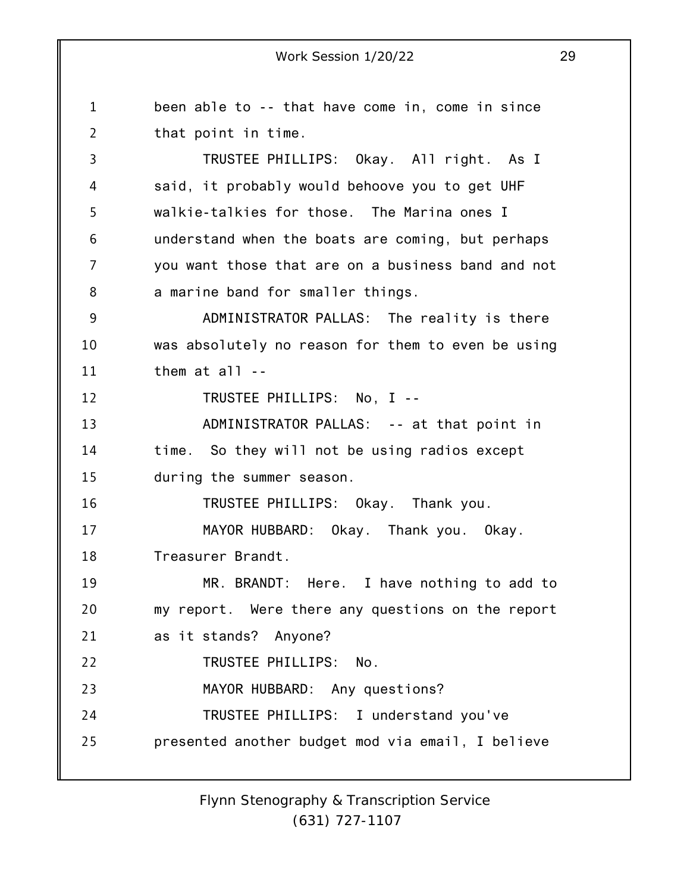1 2 3 4 5 6 7 8 9 10 11 12 13 14 15 16 17 18 19 20 21 22 23 24 25 been able to -- that have come in, come in since that point in time. TRUSTEE PHILLIPS: Okay. All right. As I said, it probably would behoove you to get UHF walkie-talkies for those. The Marina ones I understand when the boats are coming, but perhaps you want those that are on a business band and not a marine band for smaller things. ADMINISTRATOR PALLAS: The reality is there was absolutely no reason for them to even be using them at all -- TRUSTEE PHILLIPS: No, I -- ADMINISTRATOR PALLAS: -- at that point in time. So they will not be using radios except during the summer season. TRUSTEE PHILLIPS: Okay. Thank you. MAYOR HUBBARD: Okay. Thank you. Okay. Treasurer Brandt. MR. BRANDT: Here. I have nothing to add to my report. Were there any questions on the report as it stands? Anyone? TRUSTEE PHILLIPS: No. MAYOR HUBBARD: Any questions? TRUSTEE PHILLIPS: I understand you've presented another budget mod via email, I believe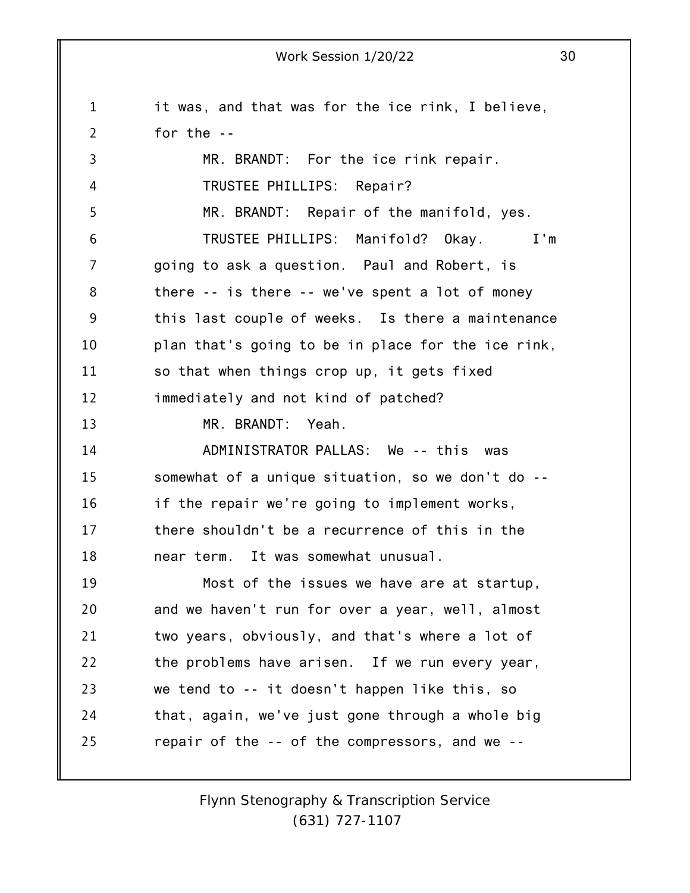1 2 3 4 5 6 7 8 9 10 11 12 13 14 15 16 17 18 19 20 21 22 23 24 25 it was, and that was for the ice rink, I believe, for the -- MR. BRANDT: For the ice rink repair. TRUSTEE PHILLIPS: Repair? MR. BRANDT: Repair of the manifold, yes. TRUSTEE PHILLIPS: Manifold? Okay. I'm going to ask a question. Paul and Robert, is there -- is there -- we've spent a lot of money this last couple of weeks. Is there a maintenance plan that's going to be in place for the ice rink, so that when things crop up, it gets fixed immediately and not kind of patched? MR. BRANDT: Yeah. ADMINISTRATOR PALLAS: We -- this was somewhat of a unique situation, so we don't do - if the repair we're going to implement works, there shouldn't be a recurrence of this in the near term. It was somewhat unusual. Most of the issues we have are at startup, and we haven't run for over a year, well, almost two years, obviously, and that's where a lot of the problems have arisen. If we run every year, we tend to -- it doesn't happen like this, so that, again, we've just gone through a whole big repair of the -- of the compressors, and we --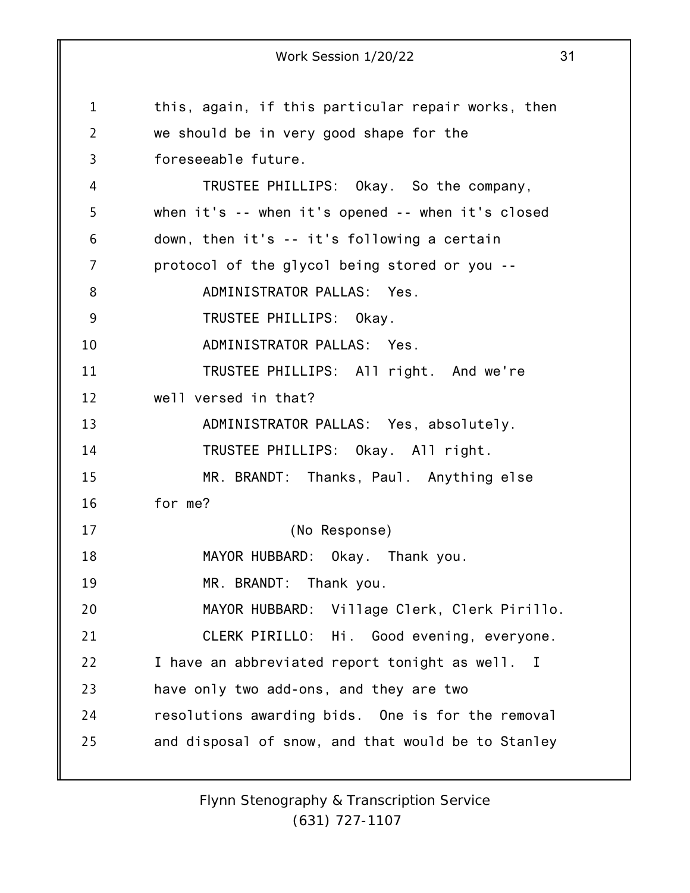1 2 3 4 5 6 7 8 9 10 11 12 13 14 15 16 17 18 19 20 21 22 23 24 25 Work Session 1/20/22 31 this, again, if this particular repair works, then we should be in very good shape for the foreseeable future. TRUSTEE PHILLIPS: Okay. So the company, when it's -- when it's opened -- when it's closed down, then it's -- it's following a certain protocol of the glycol being stored or you -- ADMINISTRATOR PALLAS: Yes. TRUSTEE PHILLIPS: Okay. ADMINISTRATOR PALLAS: Yes. TRUSTEE PHILLIPS: All right. And we're well versed in that? ADMINISTRATOR PALLAS: Yes, absolutely. TRUSTEE PHILLIPS: Okay. All right. MR. BRANDT: Thanks, Paul. Anything else for me? (No Response) MAYOR HUBBARD: Okay. Thank you. MR. BRANDT: Thank you. MAYOR HUBBARD: Village Clerk, Clerk Pirillo. CLERK PIRILLO: Hi. Good evening, everyone. I have an abbreviated report tonight as well. I have only two add-ons, and they are two resolutions awarding bids. One is for the removal and disposal of snow, and that would be to Stanley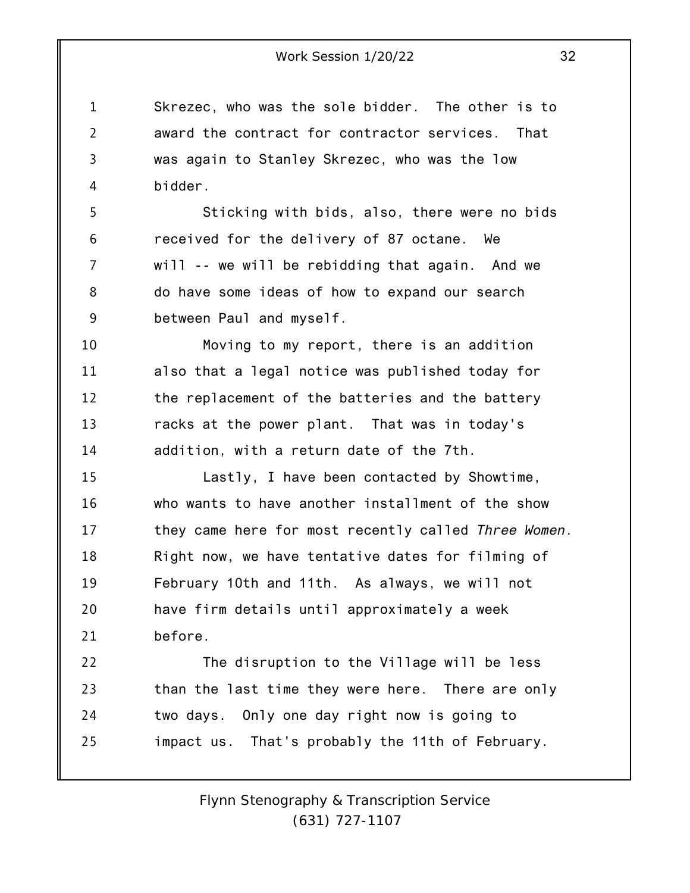1 4 Skrezec, who was the sole bidder. The other is to award the contract for contractor services. That was again to Stanley Skrezec, who was the low bidder.

2

3

5 6 7 8 9 Sticking with bids, also, there were no bids received for the delivery of 87 octane. We will -- we will be rebidding that again. And we do have some ideas of how to expand our search between Paul and myself.

10 11 12 13 14 Moving to my report, there is an addition also that a legal notice was published today for the replacement of the batteries and the battery racks at the power plant. That was in today's addition, with a return date of the 7th.

15 16 17 18 19 20 21 Lastly, I have been contacted by Showtime, who wants to have another installment of the show they came here for most recently called *Three Women*. Right now, we have tentative dates for filming of February 10th and 11th. As always, we will not have firm details until approximately a week before.

22 23 24 25 The disruption to the Village will be less than the last time they were here. There are only two days. Only one day right now is going to impact us. That's probably the 11th of February.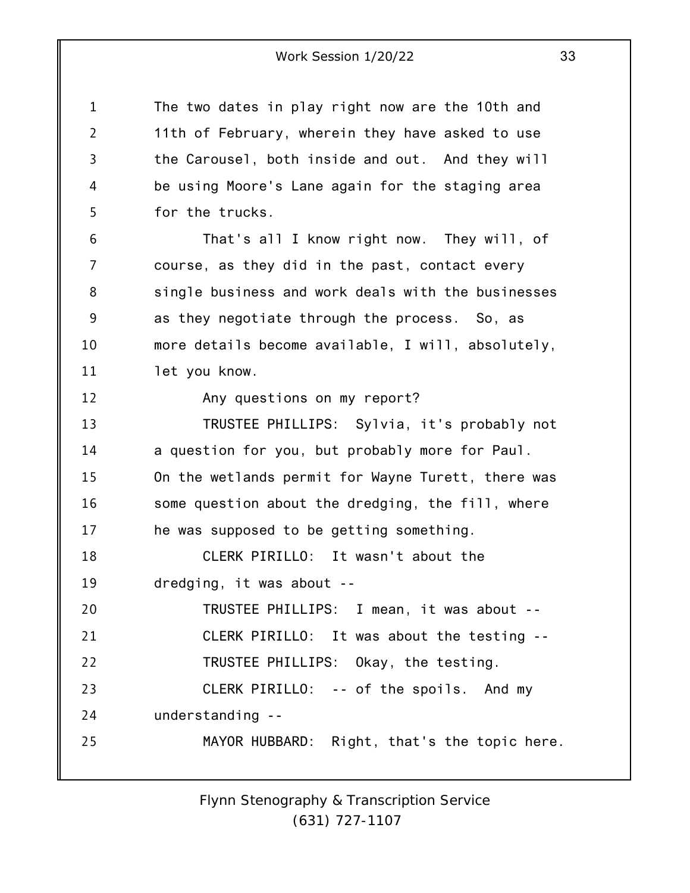1 2 3 4 5 6 7 8 9 10 11 12 13 14 15 16 17 18 19 20 21 22 23 24 25 The two dates in play right now are the 10th and 11th of February, wherein they have asked to use the Carousel, both inside and out. And they will be using Moore's Lane again for the staging area for the trucks. That's all I know right now. They will, of course, as they did in the past, contact every single business and work deals with the businesses as they negotiate through the process. So, as more details become available, I will, absolutely, let you know. Any questions on my report? TRUSTEE PHILLIPS: Sylvia, it's probably not a question for you, but probably more for Paul. On the wetlands permit for Wayne Turett, there was some question about the dredging, the fill, where he was supposed to be getting something. CLERK PIRILLO: It wasn't about the dredging, it was about -- TRUSTEE PHILLIPS: I mean, it was about -- CLERK PIRILLO: It was about the testing -- TRUSTEE PHILLIPS: Okay, the testing. CLERK PIRILLO: -- of the spoils. And my understanding -- MAYOR HUBBARD: Right, that's the topic here.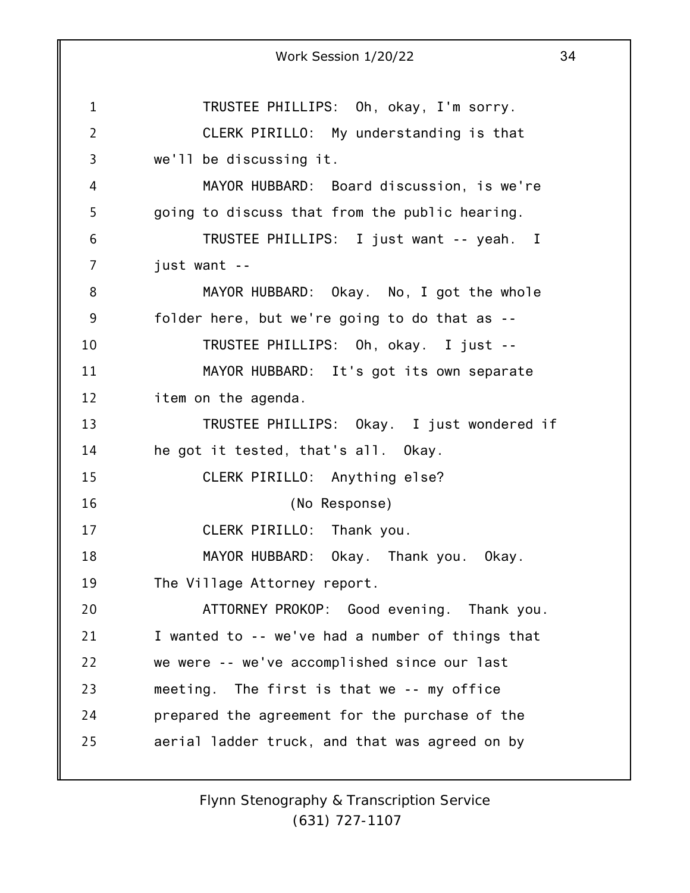1 2 3 4 5 6 7 8 9 10 11 12 13 14 15 16 17 18 19 20 21 22 23 24 25 Work Session 1/20/22 34 TRUSTEE PHILLIPS: Oh, okay, I'm sorry. CLERK PIRILLO: My understanding is that we'll be discussing it. MAYOR HUBBARD: Board discussion, is we're going to discuss that from the public hearing. TRUSTEE PHILLIPS: I just want -- yeah. I just want -- MAYOR HUBBARD: Okay. No, I got the whole folder here, but we're going to do that as -- TRUSTEE PHILLIPS: Oh, okay. I just -- MAYOR HUBBARD: It's got its own separate item on the agenda. TRUSTEE PHILLIPS: Okay. I just wondered if he got it tested, that's all. Okay. CLERK PIRILLO: Anything else? (No Response) CLERK PIRILLO: Thank you. MAYOR HUBBARD: Okay. Thank you. Okay. The Village Attorney report. ATTORNEY PROKOP: Good evening. Thank you. I wanted to -- we've had a number of things that we were -- we've accomplished since our last meeting. The first is that we -- my office prepared the agreement for the purchase of the aerial ladder truck, and that was agreed on by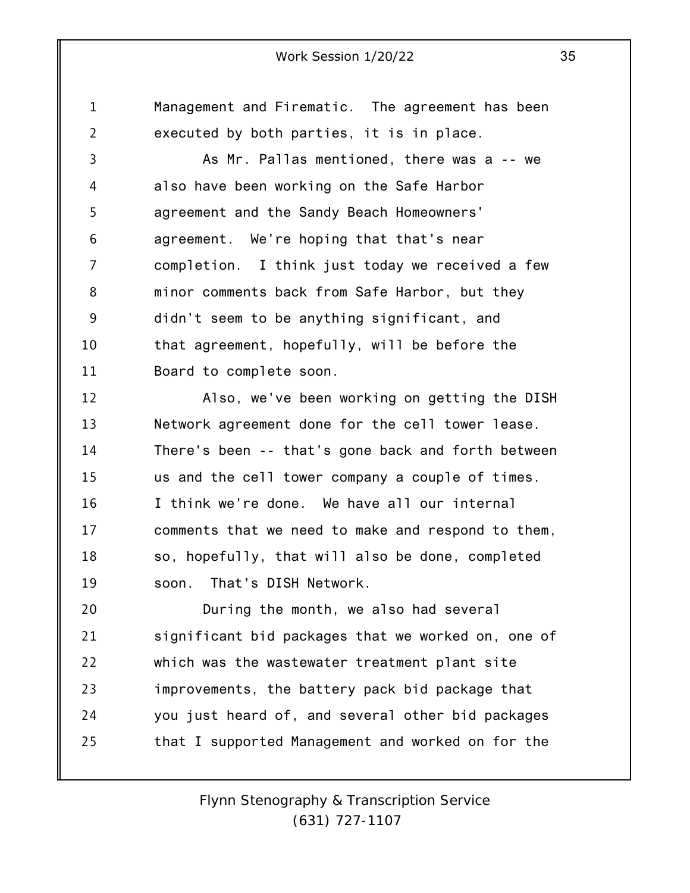1 2 Management and Firematic. The agreement has been executed by both parties, it is in place.

3 4 5 6 7 8 9 10 11 As Mr. Pallas mentioned, there was a -- we also have been working on the Safe Harbor agreement and the Sandy Beach Homeowners' agreement. We're hoping that that's near completion. I think just today we received a few minor comments back from Safe Harbor, but they didn't seem to be anything significant, and that agreement, hopefully, will be before the Board to complete soon.

12 13 14 15 16 17 18 19 Also, we've been working on getting the DISH Network agreement done for the cell tower lease. There's been -- that's gone back and forth between us and the cell tower company a couple of times. I think we're done. We have all our internal comments that we need to make and respond to them, so, hopefully, that will also be done, completed soon. That's DISH Network.

20 21 22 23 24 25 During the month, we also had several significant bid packages that we worked on, one of which was the wastewater treatment plant site improvements, the battery pack bid package that you just heard of, and several other bid packages that I supported Management and worked on for the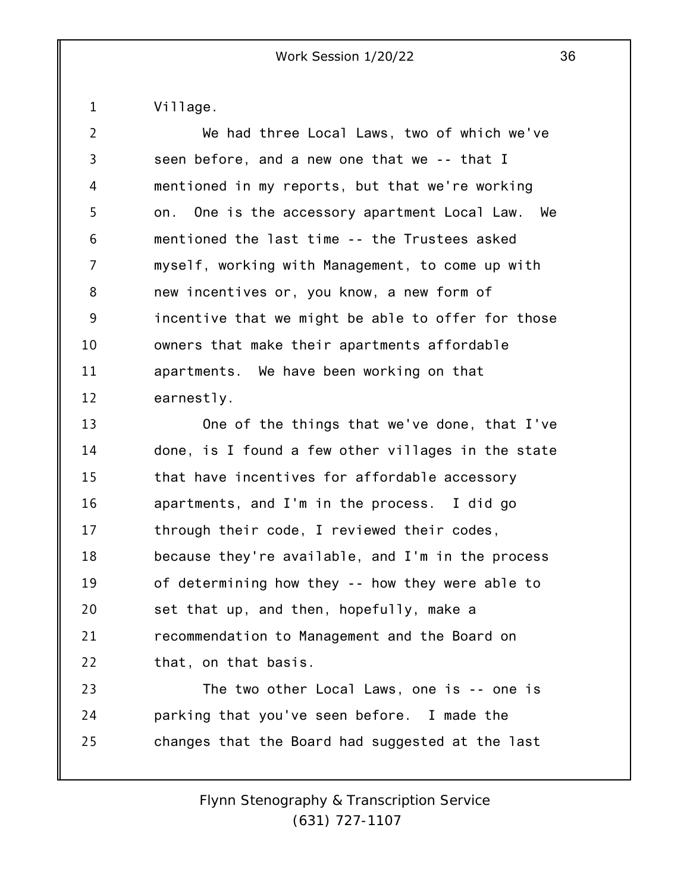Village.

1

2 3 4 5 6 7 8 9 10 11 12 We had three Local Laws, two of which we've seen before, and a new one that we -- that I mentioned in my reports, but that we're working on. One is the accessory apartment Local Law. We mentioned the last time -- the Trustees asked myself, working with Management, to come up with new incentives or, you know, a new form of incentive that we might be able to offer for those owners that make their apartments affordable apartments. We have been working on that earnestly.

13 14 15 16 17 18 19 20 21 22 One of the things that we've done, that I've done, is I found a few other villages in the state that have incentives for affordable accessory apartments, and I'm in the process. I did go through their code, I reviewed their codes, because they're available, and I'm in the process of determining how they -- how they were able to set that up, and then, hopefully, make a recommendation to Management and the Board on that, on that basis.

23 24 25 The two other Local Laws, one is -- one is parking that you've seen before. I made the changes that the Board had suggested at the last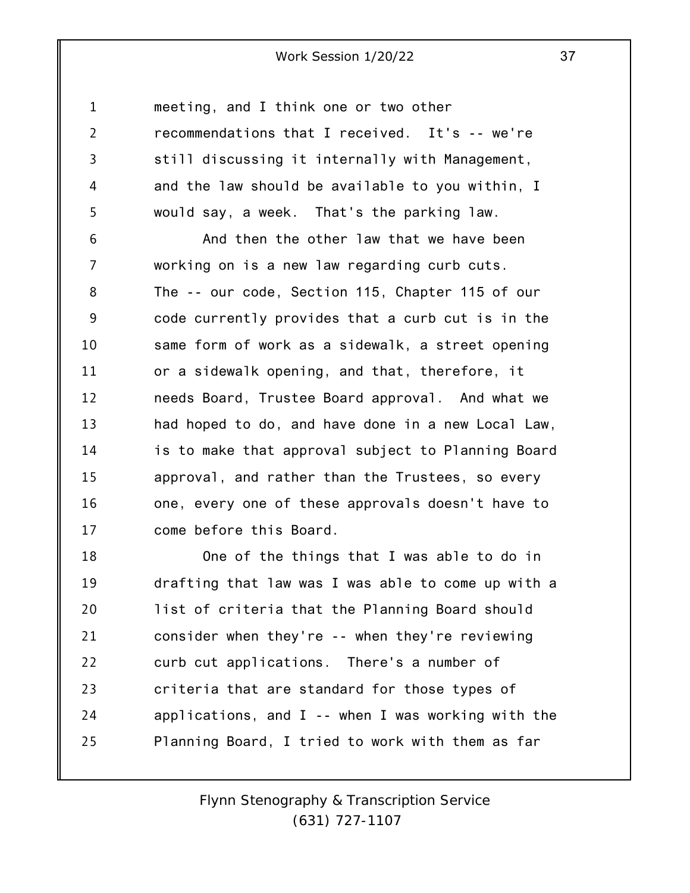1 2 3 4 5 6 7 8 9 10 11 12 13 14 15 16 17 meeting, and I think one or two other recommendations that I received. It's -- we're still discussing it internally with Management, and the law should be available to you within, I would say, a week. That's the parking law. And then the other law that we have been working on is a new law regarding curb cuts. The -- our code, Section 115, Chapter 115 of our code currently provides that a curb cut is in the same form of work as a sidewalk, a street opening or a sidewalk opening, and that, therefore, it needs Board, Trustee Board approval. And what we had hoped to do, and have done in a new Local Law, is to make that approval subject to Planning Board approval, and rather than the Trustees, so every one, every one of these approvals doesn't have to come before this Board.

18 19 20 21 22 23 24 25 One of the things that I was able to do in drafting that law was I was able to come up with a list of criteria that the Planning Board should consider when they're -- when they're reviewing curb cut applications. There's a number of criteria that are standard for those types of applications, and  $I$  -- when I was working with the Planning Board, I tried to work with them as far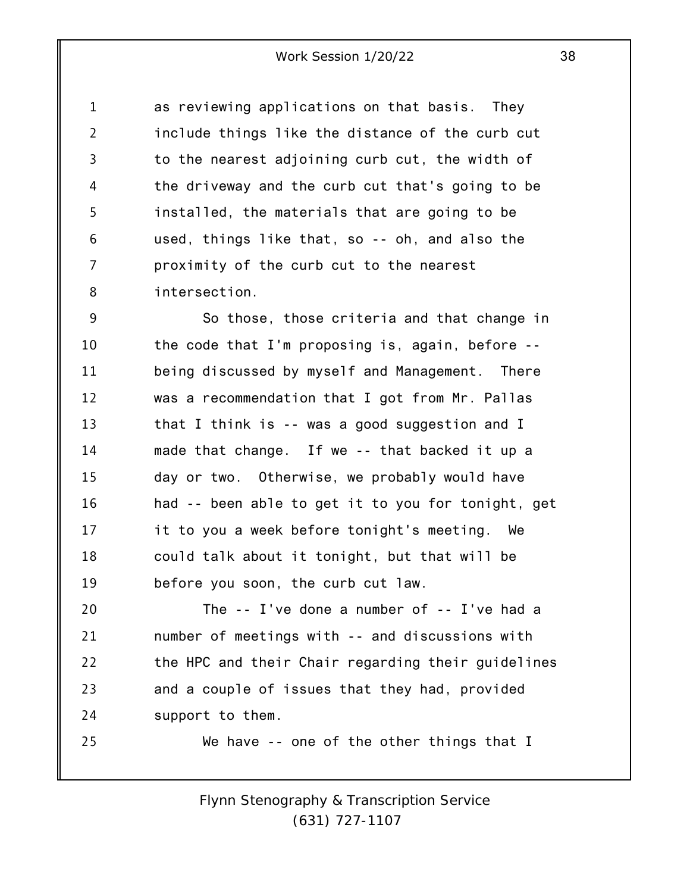1 2 3 4 5 6 7 8 as reviewing applications on that basis. They include things like the distance of the curb cut to the nearest adjoining curb cut, the width of the driveway and the curb cut that's going to be installed, the materials that are going to be used, things like that, so -- oh, and also the proximity of the curb cut to the nearest intersection.

9 10 11 12 13 14 15 16 17 18 19 So those, those criteria and that change in the code that I'm proposing is, again, before - being discussed by myself and Management. There was a recommendation that I got from Mr. Pallas that I think is -- was a good suggestion and I made that change. If we -- that backed it up a day or two. Otherwise, we probably would have had -- been able to get it to you for tonight, get it to you a week before tonight's meeting. We could talk about it tonight, but that will be before you soon, the curb cut law.

20 21 22 23 24 The -- I've done a number of -- I've had a number of meetings with -- and discussions with the HPC and their Chair regarding their guidelines and a couple of issues that they had, provided support to them.

25

We have -- one of the other things that I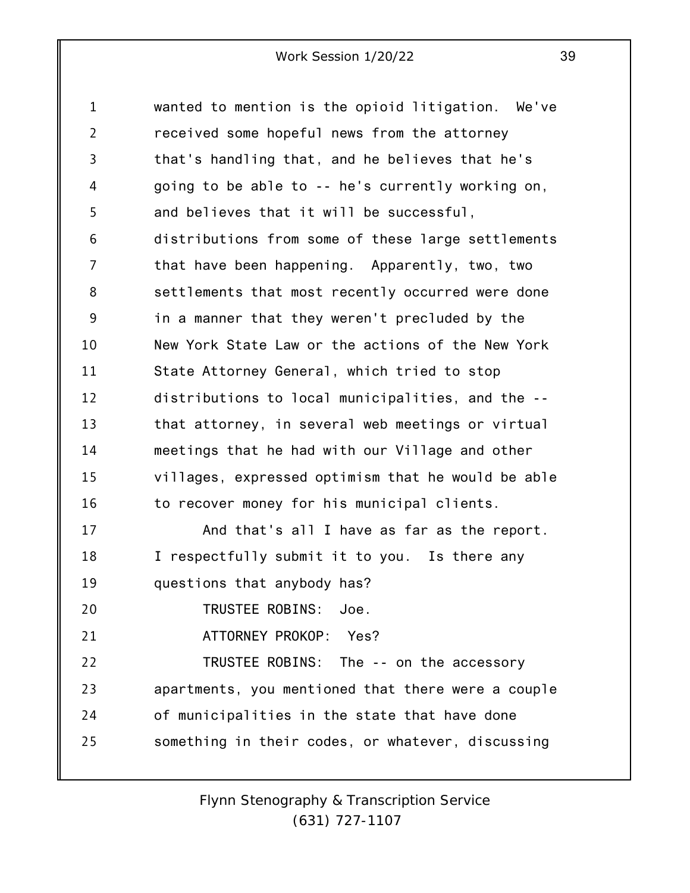1 2 3 4 5 6 7 8 9 10 11 12 13 14 15 16 17 18 19 20 21 22 23 24 25 wanted to mention is the opioid litigation. We've received some hopeful news from the attorney that's handling that, and he believes that he's going to be able to -- he's currently working on, and believes that it will be successful, distributions from some of these large settlements that have been happening. Apparently, two, two settlements that most recently occurred were done in a manner that they weren't precluded by the New York State Law or the actions of the New York State Attorney General, which tried to stop distributions to local municipalities, and the - that attorney, in several web meetings or virtual meetings that he had with our Village and other villages, expressed optimism that he would be able to recover money for his municipal clients. And that's all I have as far as the report. I respectfully submit it to you. Is there any questions that anybody has? TRUSTEE ROBINS: Joe. ATTORNEY PROKOP: Yes? TRUSTEE ROBINS: The -- on the accessory apartments, you mentioned that there were a couple of municipalities in the state that have done something in their codes, or whatever, discussing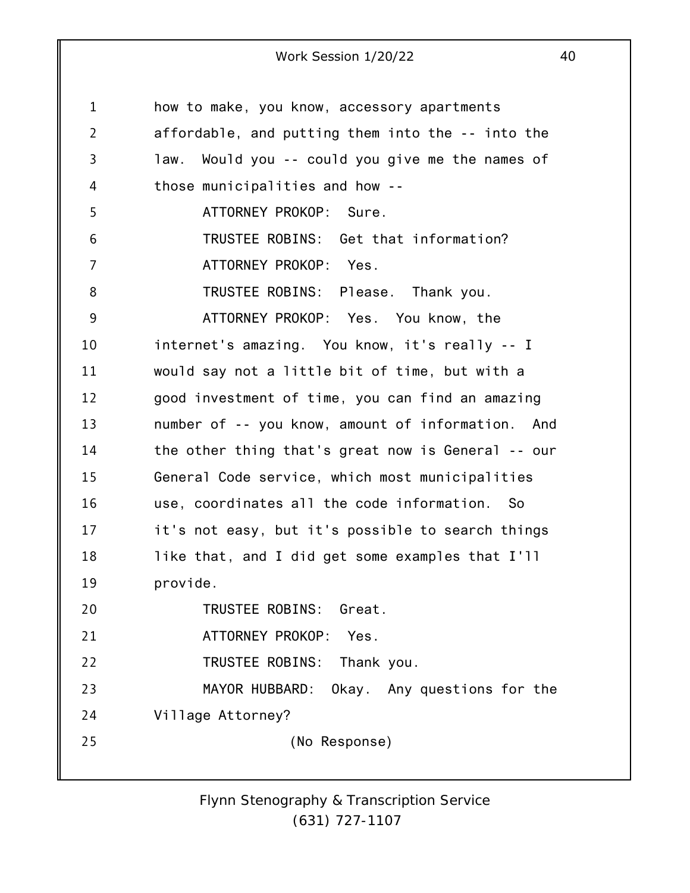| $\mathbf{1}$   | how to make, you know, accessory apartments        |
|----------------|----------------------------------------------------|
| $\overline{2}$ | affordable, and putting them into the -- into the  |
| 3              | law. Would you -- could you give me the names of   |
| 4              | those municipalities and how --                    |
| 5              | ATTORNEY PROKOP: Sure.                             |
| 6              | TRUSTEE ROBINS: Get that information?              |
| 7              | ATTORNEY PROKOP: Yes.                              |
| 8              | TRUSTEE ROBINS: Please. Thank you.                 |
| 9              | ATTORNEY PROKOP: Yes. You know, the                |
| 10             | internet's amazing. You know, it's really -- I     |
| 11             | would say not a little bit of time, but with a     |
| 12             | good investment of time, you can find an amazing   |
| 13             | number of -- you know, amount of information. And  |
| 14             | the other thing that's great now is General -- our |
| 15             | General Code service, which most municipalities    |
| 16             | use, coordinates all the code information.<br>- So |
| 17             | it's not easy, but it's possible to search things  |
| 18             | like that, and I did get some examples that I'll   |
| 19             | provide.                                           |
| 20             | TRUSTEE ROBINS: Great.                             |
| 21             | ATTORNEY PROKOP:<br>Yes.                           |
| 22             | TRUSTEE ROBINS:<br>Thank you.                      |
| 23             | MAYOR HUBBARD:<br>Okay. Any questions for the      |
| 24             | Village Attorney?                                  |
| 25             | (No Response)                                      |
|                |                                                    |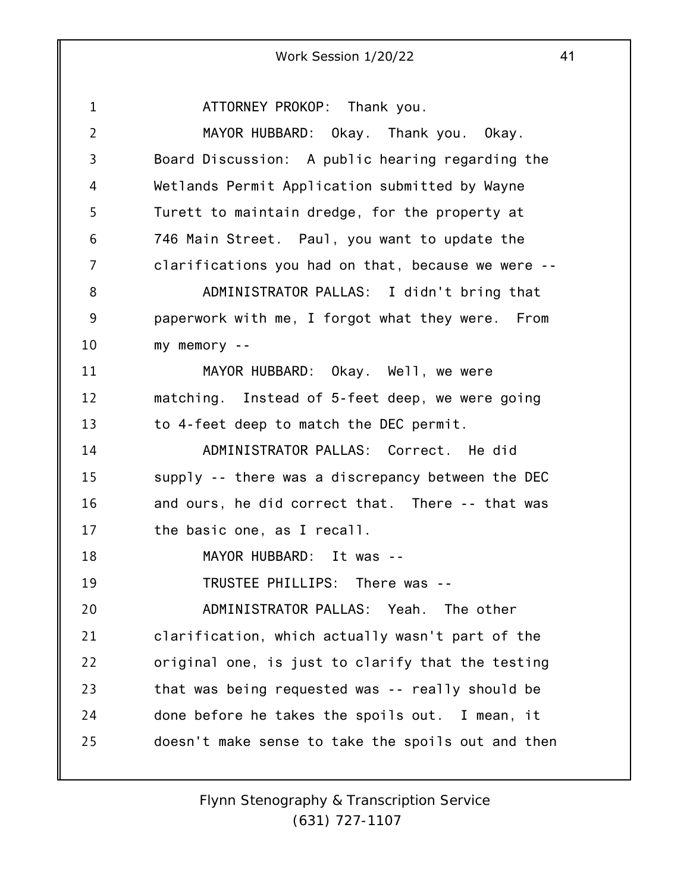1 2 3 4 5 6 7 8 9 10 11 12 13 14 15 16 17 18 19 20 21 22 23 24 25 ATTORNEY PROKOP: Thank you. MAYOR HUBBARD: Okay. Thank you. Okay. Board Discussion: A public hearing regarding the Wetlands Permit Application submitted by Wayne Turett to maintain dredge, for the property at 746 Main Street. Paul, you want to update the clarifications you had on that, because we were -- ADMINISTRATOR PALLAS: I didn't bring that paperwork with me, I forgot what they were. From my memory -- MAYOR HUBBARD: Okay. Well, we were matching. Instead of 5-feet deep, we were going to 4-feet deep to match the DEC permit. ADMINISTRATOR PALLAS: Correct. He did supply -- there was a discrepancy between the DEC and ours, he did correct that. There -- that was the basic one, as I recall. MAYOR HUBBARD: It was -- TRUSTEE PHILLIPS: There was -- ADMINISTRATOR PALLAS: Yeah. The other clarification, which actually wasn't part of the original one, is just to clarify that the testing that was being requested was -- really should be done before he takes the spoils out. I mean, it doesn't make sense to take the spoils out and then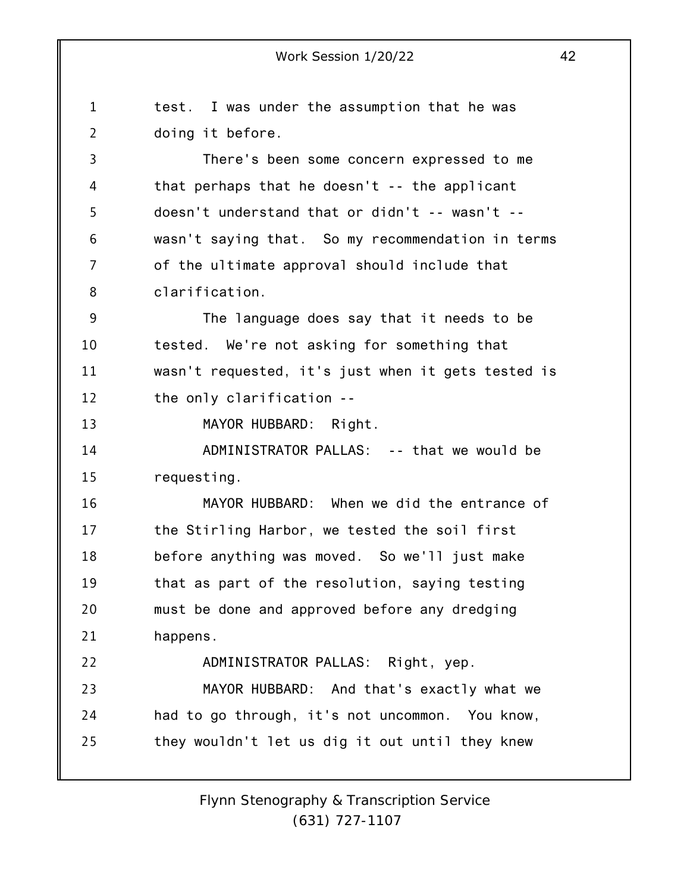1 2 3 4 5 6 7 8 9 10 11 12 13 14 15 16 17 18 19 20 21 22 23 24 25 test. I was under the assumption that he was doing it before. There's been some concern expressed to me that perhaps that he doesn't -- the applicant doesn't understand that or didn't -- wasn't - wasn't saying that. So my recommendation in terms of the ultimate approval should include that clarification. The language does say that it needs to be tested. We're not asking for something that wasn't requested, it's just when it gets tested is the only clarification -- MAYOR HUBBARD: Right. ADMINISTRATOR PALLAS: -- that we would be requesting. MAYOR HUBBARD: When we did the entrance of the Stirling Harbor, we tested the soil first before anything was moved. So we'll just make that as part of the resolution, saying testing must be done and approved before any dredging happens. ADMINISTRATOR PALLAS: Right, yep. MAYOR HUBBARD: And that's exactly what we had to go through, it's not uncommon. You know, they wouldn't let us dig it out until they knew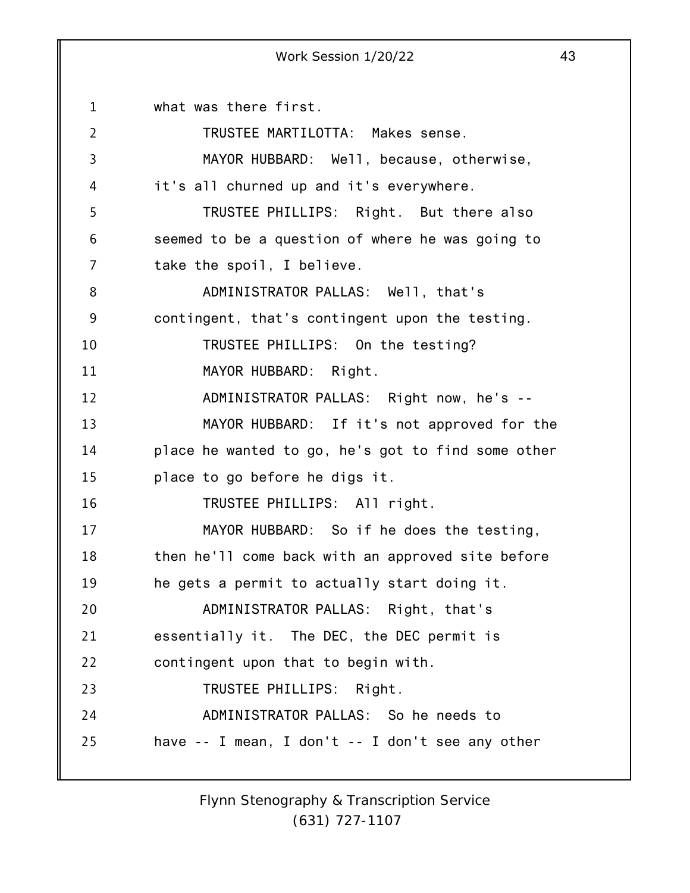1 2 3 4 5 6 7 8 9 10 11 12 13 14 15 16 17 18 19 20 21 22 23 24 25 what was there first. TRUSTEE MARTILOTTA: Makes sense. MAYOR HUBBARD: Well, because, otherwise, it's all churned up and it's everywhere. TRUSTEE PHILLIPS: Right. But there also seemed to be a question of where he was going to take the spoil, I believe. ADMINISTRATOR PALLAS: Well, that's contingent, that's contingent upon the testing. TRUSTEE PHILLIPS: On the testing? MAYOR HUBBARD: Right. ADMINISTRATOR PALLAS: Right now, he's -- MAYOR HUBBARD: If it's not approved for the place he wanted to go, he's got to find some other place to go before he digs it. TRUSTEE PHILLIPS: All right. MAYOR HUBBARD: So if he does the testing, then he'll come back with an approved site before he gets a permit to actually start doing it. ADMINISTRATOR PALLAS: Right, that's essentially it. The DEC, the DEC permit is contingent upon that to begin with. TRUSTEE PHILLIPS: Right. ADMINISTRATOR PALLAS: So he needs to have -- I mean, I don't -- I don't see any other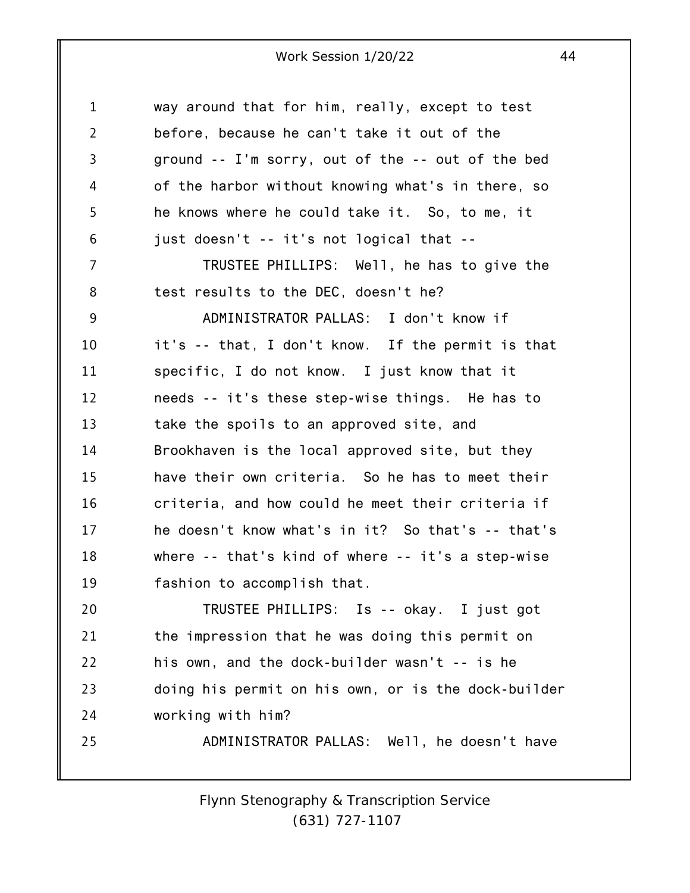| $\mathbf 1$    | way around that for him, really, except to test     |
|----------------|-----------------------------------------------------|
| $\overline{2}$ | before, because he can't take it out of the         |
| 3              | ground -- I'm sorry, out of the -- out of the bed   |
| 4              | of the harbor without knowing what's in there, so   |
| 5              | he knows where he could take it. So, to me, it      |
| 6              | just doesn't -- it's not logical that --            |
| 7              | TRUSTEE PHILLIPS: Well, he has to give the          |
| 8              | test results to the DEC, doesn't he?                |
| 9              | ADMINISTRATOR PALLAS: I don't know if               |
| 10             | it's -- that, I don't know. If the permit is that   |
| 11             | specific, I do not know. I just know that it        |
| 12             | needs -- it's these step-wise things. He has to     |
| 13             | take the spoils to an approved site, and            |
| 14             | Brookhaven is the local approved site, but they     |
| 15             | have their own criteria. So he has to meet their    |
| 16             | criteria, and how could he meet their criteria if   |
| 17             | he doesn't know what's in it? So that's -- that's   |
| 18             | where -- that's kind of where -- it's a step-wise   |
| 19             | fashion to accomplish that.                         |
| 20             | TRUSTEE PHILLIPS: Is -- okay. I just got            |
| 21             | the impression that he was doing this permit on     |
| 22             | his own, and the dock-builder wasn't -- is he       |
| 23             | doing his permit on his own, or is the dock-builder |
| 24             | working with him?                                   |
| 25             | ADMINISTRATOR PALLAS: Well, he doesn't have         |
|                |                                                     |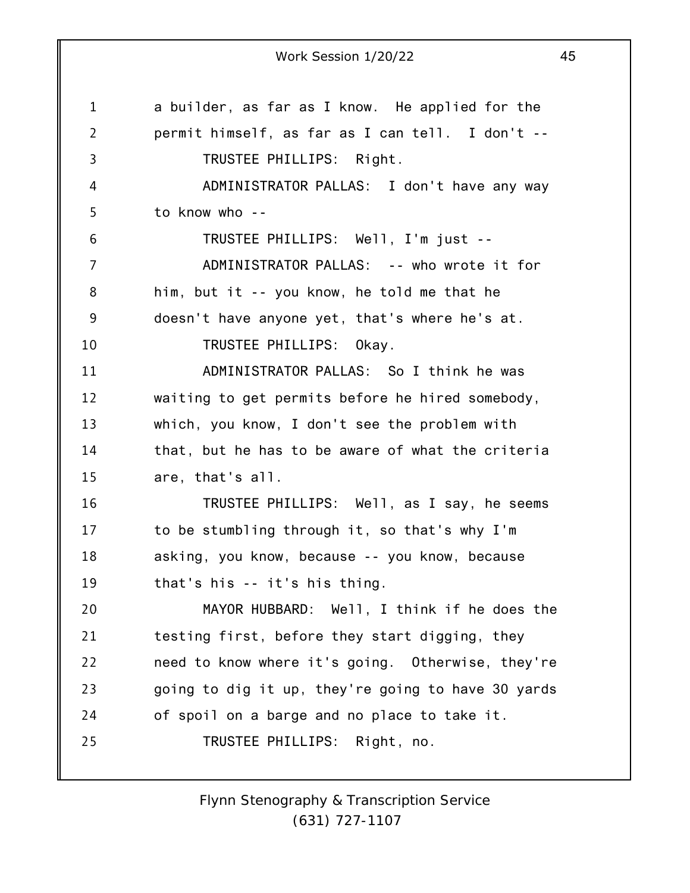1 2 3 4 5 6 7 8 9 10 11 12 13 14 15 16 17 18 19 20 21 22 23 24 25 Work Session 1/20/22 45 a builder, as far as I know. He applied for the permit himself, as far as I can tell. I don't -- TRUSTEE PHILLIPS: Right. ADMINISTRATOR PALLAS: I don't have any way to know who -- TRUSTEE PHILLIPS: Well, I'm just -- ADMINISTRATOR PALLAS: -- who wrote it for him, but it -- you know, he told me that he doesn't have anyone yet, that's where he's at. TRUSTEE PHILLIPS: Okay. ADMINISTRATOR PALLAS: So I think he was waiting to get permits before he hired somebody, which, you know, I don't see the problem with that, but he has to be aware of what the criteria are, that's all. TRUSTEE PHILLIPS: Well, as I say, he seems to be stumbling through it, so that's why I'm asking, you know, because -- you know, because that's his -- it's his thing. MAYOR HUBBARD: Well, I think if he does the testing first, before they start digging, they need to know where it's going. Otherwise, they're going to dig it up, they're going to have 30 yards of spoil on a barge and no place to take it. TRUSTEE PHILLIPS: Right, no.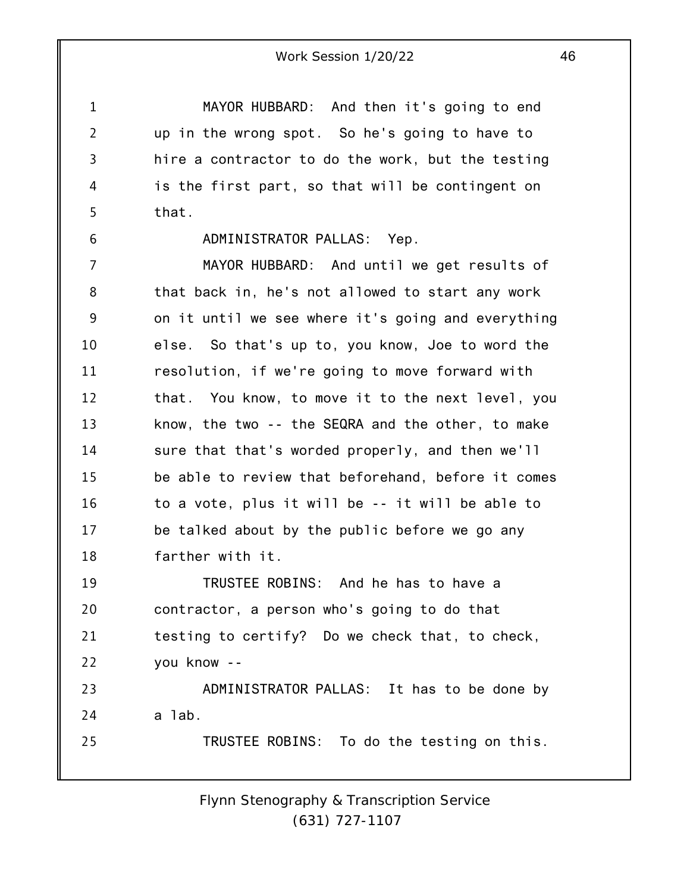MAYOR HUBBARD: And then it's going to end up in the wrong spot. So he's going to have to hire a contractor to do the work, but the testing is the first part, so that will be contingent on that.

1

2

3

4

5

6

#### ADMINISTRATOR PALLAS: Yep.

7 8 9 10 11 12 13 14 15 16 17 18 MAYOR HUBBARD: And until we get results of that back in, he's not allowed to start any work on it until we see where it's going and everything else. So that's up to, you know, Joe to word the resolution, if we're going to move forward with that. You know, to move it to the next level, you know, the two -- the SEQRA and the other, to make sure that that's worded properly, and then we'll be able to review that beforehand, before it comes to a vote, plus it will be -- it will be able to be talked about by the public before we go any farther with it.

19 20 21 22 TRUSTEE ROBINS: And he has to have a contractor, a person who's going to do that testing to certify? Do we check that, to check, you know --

23 24 25 ADMINISTRATOR PALLAS: It has to be done by a lab. TRUSTEE ROBINS: To do the testing on this.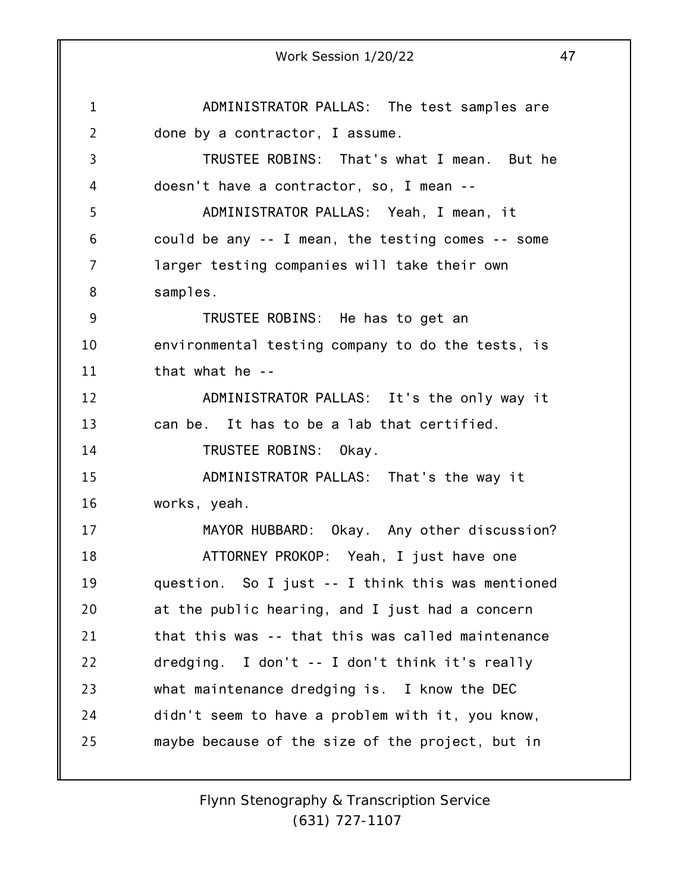1 2 3 4 5 6 7 8 9 10 11 12 13 14 15 16 17 18 19 20 21 22 23 24 25 Work Session 1/20/22 47 ADMINISTRATOR PALLAS: The test samples are done by a contractor, I assume. TRUSTEE ROBINS: That's what I mean. But he doesn't have a contractor, so, I mean -- ADMINISTRATOR PALLAS: Yeah, I mean, it could be any -- I mean, the testing comes -- some larger testing companies will take their own samples. TRUSTEE ROBINS: He has to get an environmental testing company to do the tests, is that what he -- ADMINISTRATOR PALLAS: It's the only way it can be. It has to be a lab that certified. TRUSTEE ROBINS: Okay. ADMINISTRATOR PALLAS: That's the way it works, yeah. MAYOR HUBBARD: Okay. Any other discussion? ATTORNEY PROKOP: Yeah, I just have one question. So I just -- I think this was mentioned at the public hearing, and I just had a concern that this was -- that this was called maintenance dredging. I don't -- I don't think it's really what maintenance dredging is. I know the DEC didn't seem to have a problem with it, you know, maybe because of the size of the project, but in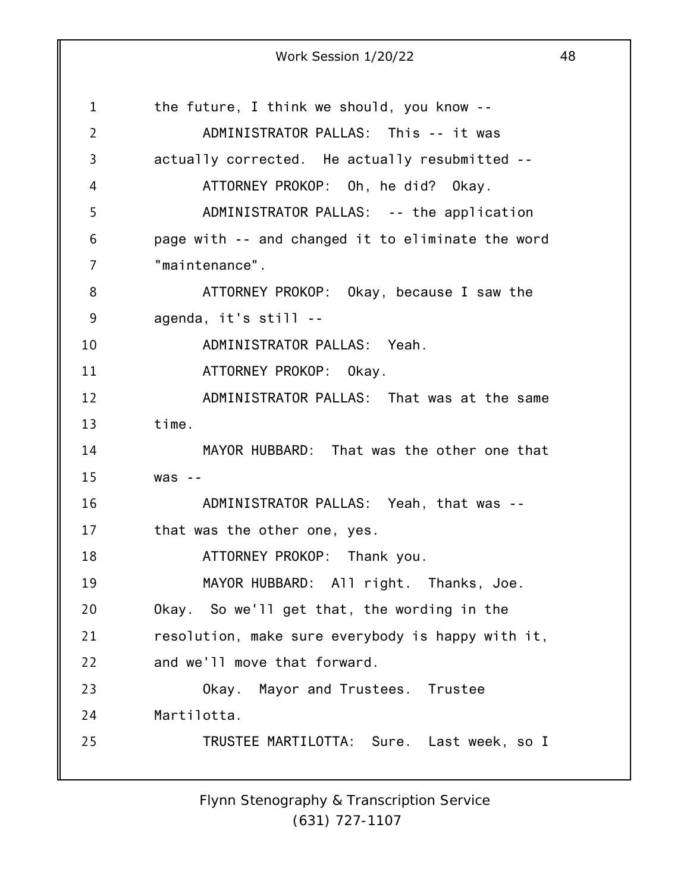1 2 3 4 5 6 7 8 9 10 11 12 13 14 15 16 17 18 19 20 21 22 23 24 25 the future, I think we should, you know -- ADMINISTRATOR PALLAS: This -- it was actually corrected. He actually resubmitted -- ATTORNEY PROKOP: Oh, he did? Okay. ADMINISTRATOR PALLAS: -- the application page with -- and changed it to eliminate the word "maintenance". ATTORNEY PROKOP: Okay, because I saw the agenda, it's still -- ADMINISTRATOR PALLAS: Yeah. ATTORNEY PROKOP: Okay. ADMINISTRATOR PALLAS: That was at the same time. MAYOR HUBBARD: That was the other one that was -- ADMINISTRATOR PALLAS: Yeah, that was - that was the other one, yes. ATTORNEY PROKOP: Thank you. MAYOR HUBBARD: All right. Thanks, Joe. Okay. So we'll get that, the wording in the resolution, make sure everybody is happy with it, and we'll move that forward. Okay. Mayor and Trustees. Trustee Martilotta. TRUSTEE MARTILOTTA: Sure. Last week, so I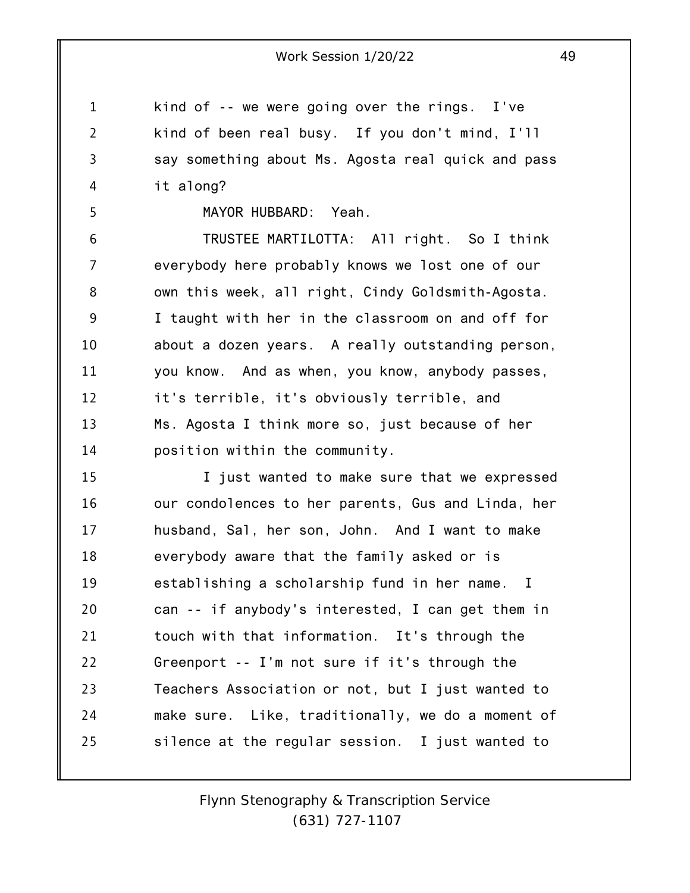kind of -- we were going over the rings. I've kind of been real busy. If you don't mind, I'll say something about Ms. Agosta real quick and pass it along?

MAYOR HUBBARD: Yeah.

1

2

3

4

5

6 7 8 9 10 11 12 13 14 TRUSTEE MARTILOTTA: All right. So I think everybody here probably knows we lost one of our own this week, all right, Cindy Goldsmith-Agosta. I taught with her in the classroom on and off for about a dozen years. A really outstanding person, you know. And as when, you know, anybody passes, it's terrible, it's obviously terrible, and Ms. Agosta I think more so, just because of her position within the community.

15 16 17 18 19 20 21 22 23 24 25 I just wanted to make sure that we expressed our condolences to her parents, Gus and Linda, her husband, Sal, her son, John. And I want to make everybody aware that the family asked or is establishing a scholarship fund in her name. I can -- if anybody's interested, I can get them in touch with that information. It's through the Greenport -- I'm not sure if it's through the Teachers Association or not, but I just wanted to make sure. Like, traditionally, we do a moment of silence at the regular session. I just wanted to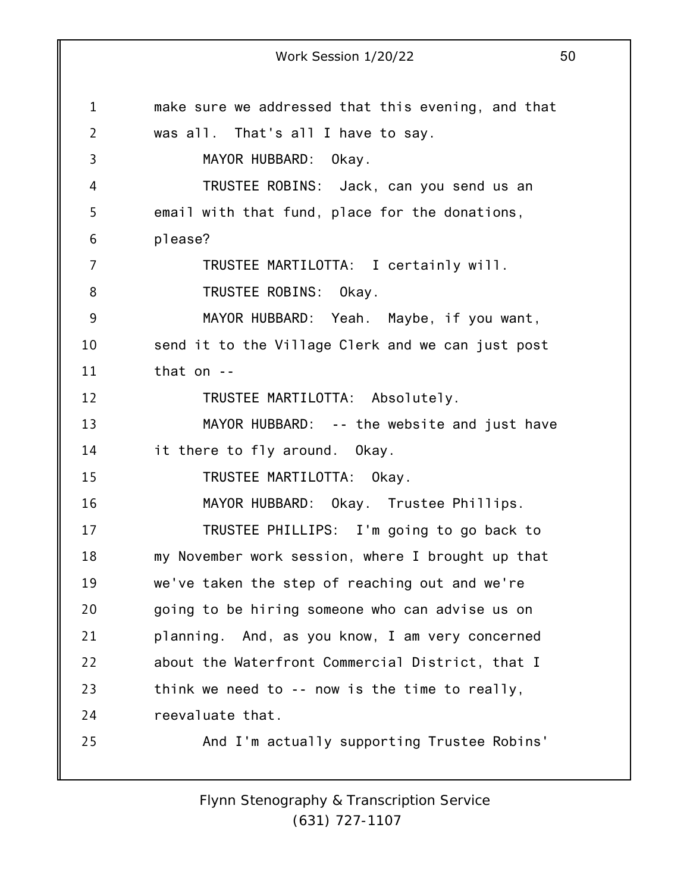1 2 3 4 5 6 7 8 9 10 11 12 13 14 15 16 17 18 19 20 21 22 23 24 25 Work Session 1/20/22 50 make sure we addressed that this evening, and that was all. That's all I have to say. MAYOR HUBBARD: Okay. TRUSTEE ROBINS: Jack, can you send us an email with that fund, place for the donations, please? TRUSTEE MARTILOTTA: I certainly will. TRUSTEE ROBINS: Okay. MAYOR HUBBARD: Yeah. Maybe, if you want, send it to the Village Clerk and we can just post that on -- TRUSTEE MARTILOTTA: Absolutely. MAYOR HUBBARD: -- the website and just have it there to fly around. Okay. TRUSTEE MARTILOTTA: Okay. MAYOR HUBBARD: Okay. Trustee Phillips. TRUSTEE PHILLIPS: I'm going to go back to my November work session, where I brought up that we've taken the step of reaching out and we're going to be hiring someone who can advise us on planning. And, as you know, I am very concerned about the Waterfront Commercial District, that I think we need to -- now is the time to really, reevaluate that. And I'm actually supporting Trustee Robins'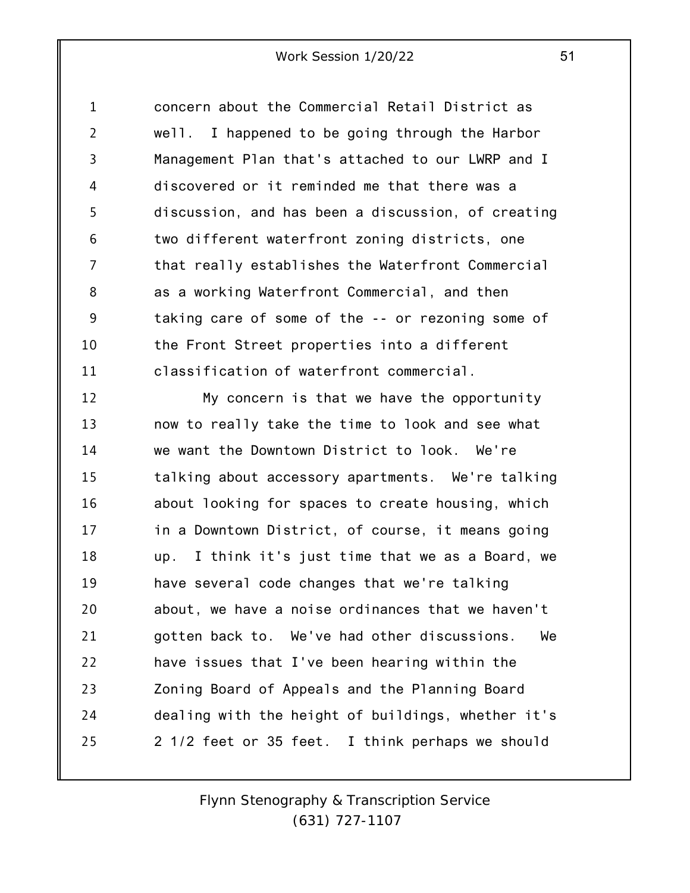1 2 3 4 5 6 7 8 9 10 11 concern about the Commercial Retail District as well. I happened to be going through the Harbor Management Plan that's attached to our LWRP and I discovered or it reminded me that there was a discussion, and has been a discussion, of creating two different waterfront zoning districts, one that really establishes the Waterfront Commercial as a working Waterfront Commercial, and then taking care of some of the -- or rezoning some of the Front Street properties into a different classification of waterfront commercial.

12 13 14 15 16 17 18 19 20 21 22 23 24 25 My concern is that we have the opportunity now to really take the time to look and see what we want the Downtown District to look. We're talking about accessory apartments. We're talking about looking for spaces to create housing, which in a Downtown District, of course, it means going up. I think it's just time that we as a Board, we have several code changes that we're talking about, we have a noise ordinances that we haven't gotten back to. We've had other discussions. We have issues that I've been hearing within the Zoning Board of Appeals and the Planning Board dealing with the height of buildings, whether it's 2 1/2 feet or 35 feet. I think perhaps we should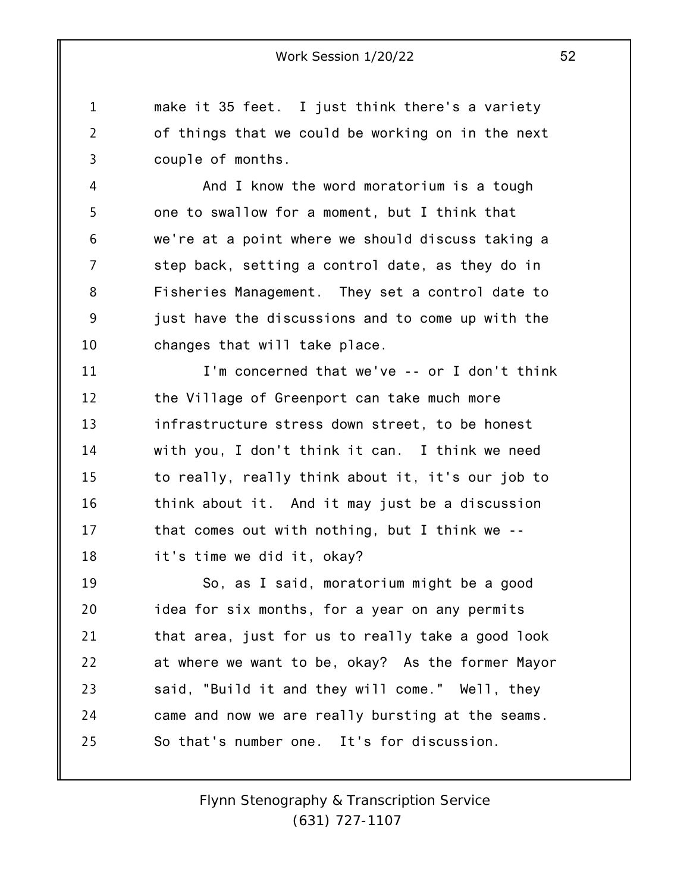1 2 3 make it 35 feet. I just think there's a variety of things that we could be working on in the next couple of months.

4 5 6 7 8 9 10 And I know the word moratorium is a tough one to swallow for a moment, but I think that we're at a point where we should discuss taking a step back, setting a control date, as they do in Fisheries Management. They set a control date to just have the discussions and to come up with the changes that will take place.

11 12 13 14 15 16 17 18 I'm concerned that we've -- or I don't think the Village of Greenport can take much more infrastructure stress down street, to be honest with you, I don't think it can. I think we need to really, really think about it, it's our job to think about it. And it may just be a discussion that comes out with nothing, but I think we - it's time we did it, okay?

19 20 21 22 23 24 25 So, as I said, moratorium might be a good idea for six months, for a year on any permits that area, just for us to really take a good look at where we want to be, okay? As the former Mayor said, "Build it and they will come." Well, they came and now we are really bursting at the seams. So that's number one. It's for discussion.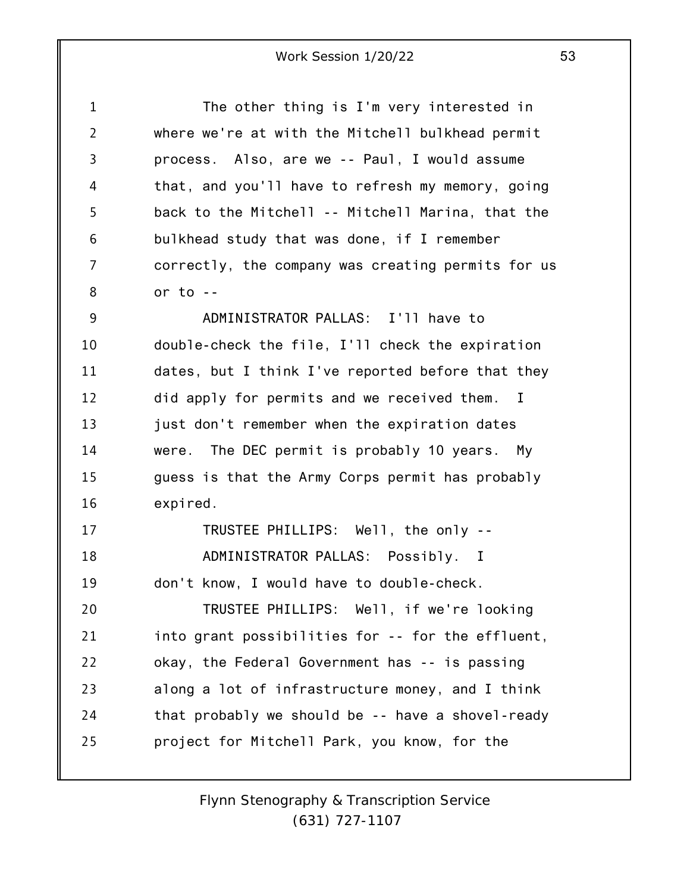| $\mathbf 1$    | The other thing is I'm very interested in          |
|----------------|----------------------------------------------------|
| $\overline{2}$ | where we're at with the Mitchell bulkhead permit   |
| $\overline{3}$ | process. Also, are we -- Paul, I would assume      |
| 4              | that, and you'll have to refresh my memory, going  |
| 5              | back to the Mitchell -- Mitchell Marina, that the  |
| 6              | bulkhead study that was done, if I remember        |
| 7              | correctly, the company was creating permits for us |
| 8              | or to $-$                                          |
| 9              | ADMINISTRATOR PALLAS: I'll have to                 |
| 10             | double-check the file, I'll check the expiration   |
| 11             | dates, but I think I've reported before that they  |
| 12             | did apply for permits and we received them. I      |
| 13             | just don't remember when the expiration dates      |
| 14             | were. The DEC permit is probably 10 years. My      |
| 15             | guess is that the Army Corps permit has probably   |
| 16             | expired.                                           |
| 17             | TRUSTEE PHILLIPS: Well, the only --                |
| 18             | ADMINISTRATOR PALLAS: Possibly. I                  |
| 19             | don't know, I would have to double-check.          |
| 20             | TRUSTEE PHILLIPS: Well, if we're looking           |
| 21             | into grant possibilities for -- for the effluent,  |
| 22             | okay, the Federal Government has -- is passing     |
| 23             | along a lot of infrastructure money, and I think   |
| 24             | that probably we should be -- have a shovel-ready  |
| 25             | project for Mitchell Park, you know, for the       |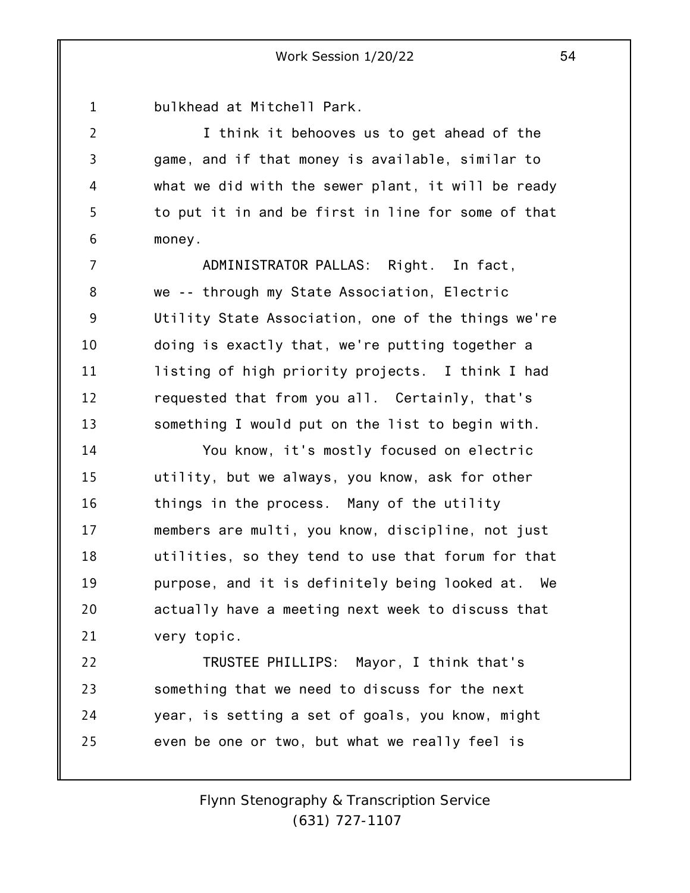1 bulkhead at Mitchell Park.

2

3

4

5

6

I think it behooves us to get ahead of the game, and if that money is available, similar to what we did with the sewer plant, it will be ready to put it in and be first in line for some of that money.

7 8 9 10 11 12 13 ADMINISTRATOR PALLAS: Right. In fact, we -- through my State Association, Electric Utility State Association, one of the things we're doing is exactly that, we're putting together a listing of high priority projects. I think I had requested that from you all. Certainly, that's something I would put on the list to begin with.

14 15 16 17 18 19 20 21 You know, it's mostly focused on electric utility, but we always, you know, ask for other things in the process. Many of the utility members are multi, you know, discipline, not just utilities, so they tend to use that forum for that purpose, and it is definitely being looked at. We actually have a meeting next week to discuss that very topic.

22 23 24 25 TRUSTEE PHILLIPS: Mayor, I think that's something that we need to discuss for the next year, is setting a set of goals, you know, might even be one or two, but what we really feel is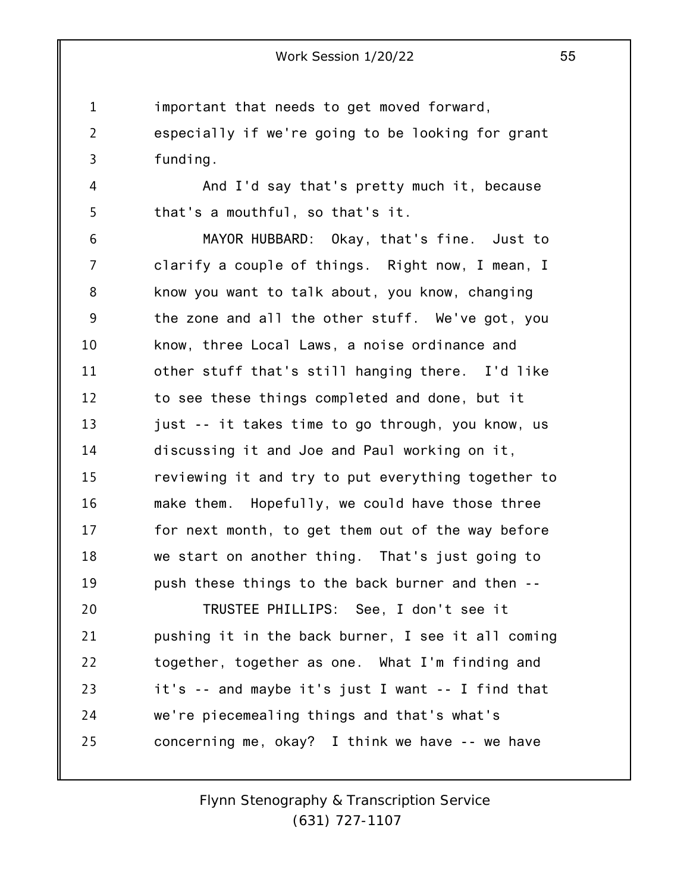1 important that needs to get moved forward,

2 3 especially if we're going to be looking for grant funding.

And I'd say that's pretty much it, because that's a mouthful, so that's it.

4

5

24

25

6 7 8 9 10 11 12 13 14 15 16 17 18 19 20 21 22 23 MAYOR HUBBARD: Okay, that's fine. Just to clarify a couple of things. Right now, I mean, I know you want to talk about, you know, changing the zone and all the other stuff. We've got, you know, three Local Laws, a noise ordinance and other stuff that's still hanging there. I'd like to see these things completed and done, but it just -- it takes time to go through, you know, us discussing it and Joe and Paul working on it, reviewing it and try to put everything together to make them. Hopefully, we could have those three for next month, to get them out of the way before we start on another thing. That's just going to push these things to the back burner and then -- TRUSTEE PHILLIPS: See, I don't see it pushing it in the back burner, I see it all coming together, together as one. What I'm finding and it's -- and maybe it's just I want -- I find that

concerning me, okay? I think we have -- we have

we're piecemealing things and that's what's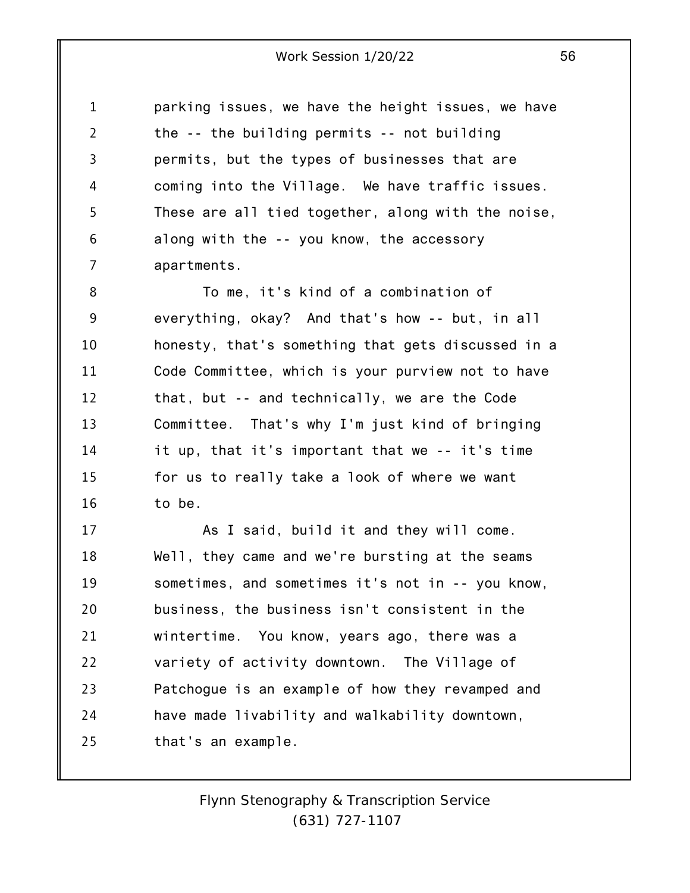1 2 3 4 5 6 7 parking issues, we have the height issues, we have the -- the building permits -- not building permits, but the types of businesses that are coming into the Village. We have traffic issues. These are all tied together, along with the noise, along with the -- you know, the accessory apartments.

8 9 10 11 12 13 14 15 16 To me, it's kind of a combination of everything, okay? And that's how -- but, in all honesty, that's something that gets discussed in a Code Committee, which is your purview not to have that, but -- and technically, we are the Code Committee. That's why I'm just kind of bringing it up, that it's important that we -- it's time for us to really take a look of where we want to be.

17 18 19 20 21 22 23 24 25 As I said, build it and they will come. Well, they came and we're bursting at the seams sometimes, and sometimes it's not in -- you know, business, the business isn't consistent in the wintertime. You know, years ago, there was a variety of activity downtown. The Village of Patchogue is an example of how they revamped and have made livability and walkability downtown, that's an example.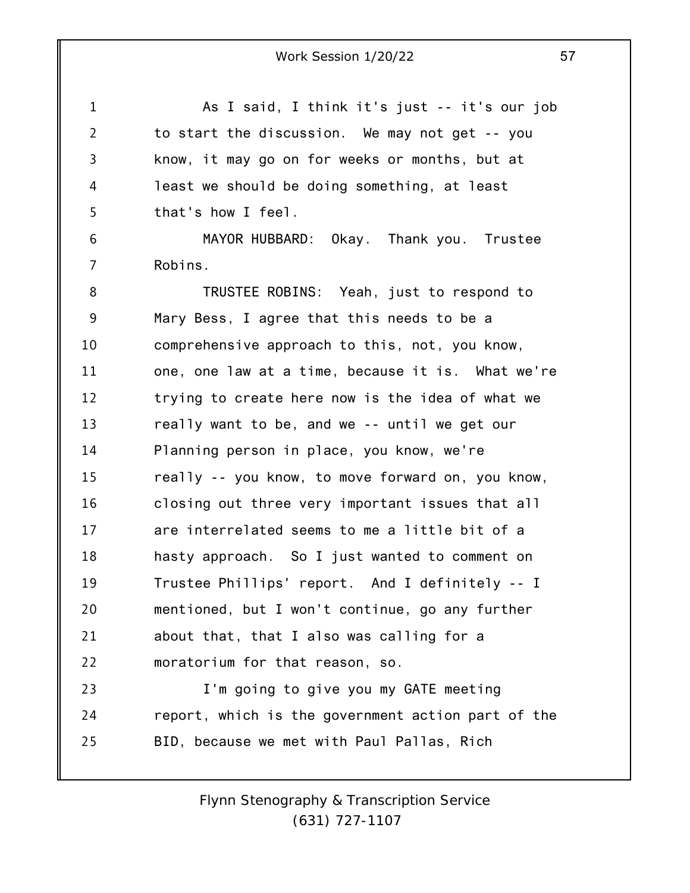1 2 3 4 5 6 7 8 9 10 11 12 13 14 15 16 17 18 19 20 21 22 23 24 25 As I said, I think it's just -- it's our job to start the discussion. We may not get -- you know, it may go on for weeks or months, but at least we should be doing something, at least that's how I feel. MAYOR HUBBARD: Okay. Thank you. Trustee Robins. TRUSTEE ROBINS: Yeah, just to respond to Mary Bess, I agree that this needs to be a comprehensive approach to this, not, you know, one, one law at a time, because it is. What we're trying to create here now is the idea of what we really want to be, and we -- until we get our Planning person in place, you know, we're really -- you know, to move forward on, you know, closing out three very important issues that all are interrelated seems to me a little bit of a hasty approach. So I just wanted to comment on Trustee Phillips' report. And I definitely -- I mentioned, but I won't continue, go any further about that, that I also was calling for a moratorium for that reason, so. I'm going to give you my GATE meeting report, which is the government action part of the BID, because we met with Paul Pallas, Rich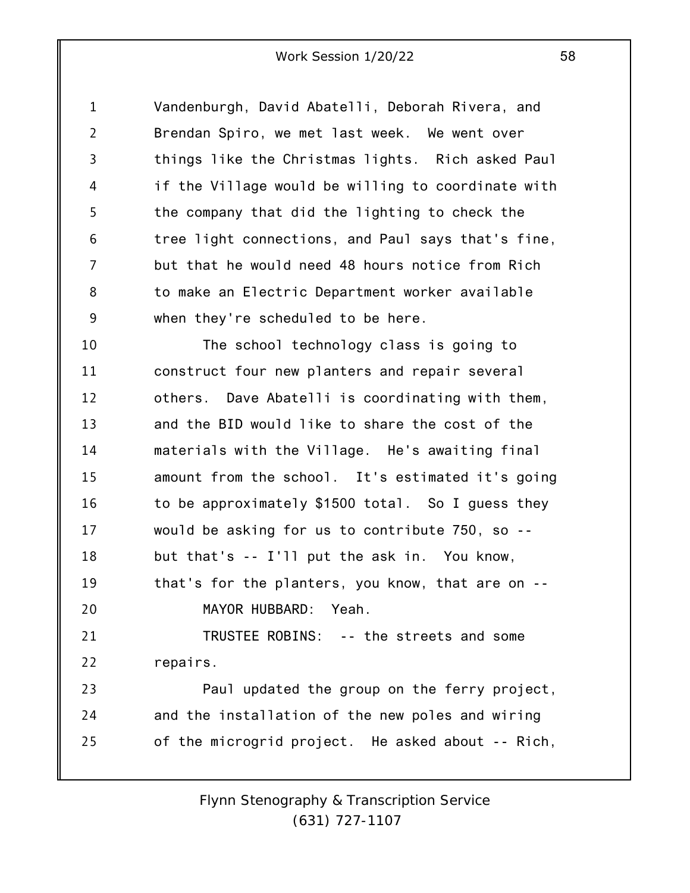1 2 3 4 5 6 7 8 9 Vandenburgh, David Abatelli, Deborah Rivera, and Brendan Spiro, we met last week. We went over things like the Christmas lights. Rich asked Paul if the Village would be willing to coordinate with the company that did the lighting to check the tree light connections, and Paul says that's fine, but that he would need 48 hours notice from Rich to make an Electric Department worker available when they're scheduled to be here.

10 11 12 13 14 15 16 17 18 19 20 21 22 23 24 The school technology class is going to construct four new planters and repair several others. Dave Abatelli is coordinating with them, and the BID would like to share the cost of the materials with the Village. He's awaiting final amount from the school. It's estimated it's going to be approximately \$1500 total. So I guess they would be asking for us to contribute 750, so - but that's -- I'll put the ask in. You know, that's for the planters, you know, that are on -- MAYOR HUBBARD: Yeah. TRUSTEE ROBINS: -- the streets and some repairs. Paul updated the group on the ferry project, and the installation of the new poles and wiring

25 of the microgrid project. He asked about -- Rich,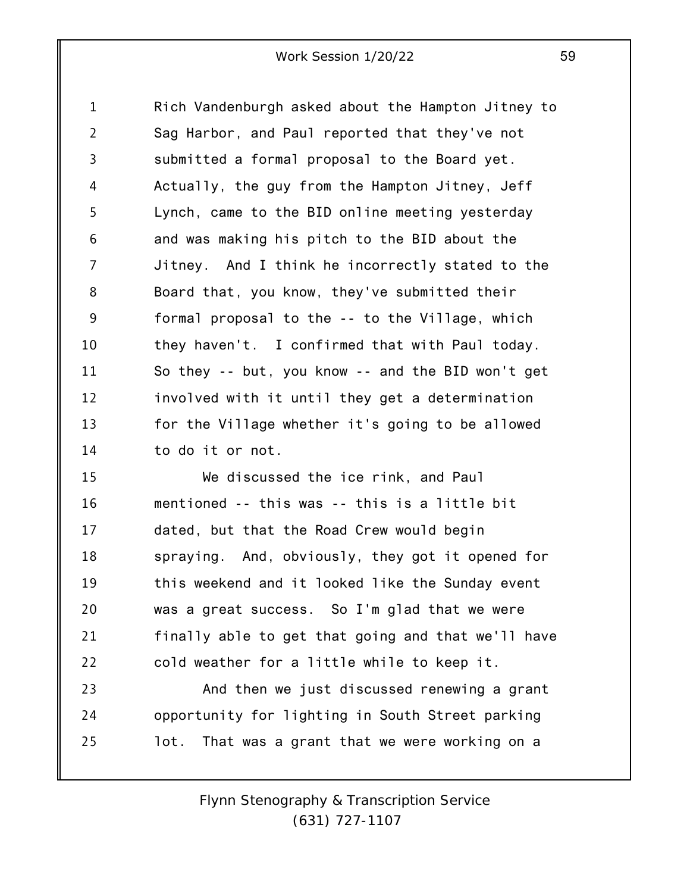1 2 3 4 5 6 7 8 9 10 11 12 13 14 Rich Vandenburgh asked about the Hampton Jitney to Sag Harbor, and Paul reported that they've not submitted a formal proposal to the Board yet. Actually, the guy from the Hampton Jitney, Jeff Lynch, came to the BID online meeting yesterday and was making his pitch to the BID about the Jitney. And I think he incorrectly stated to the Board that, you know, they've submitted their formal proposal to the -- to the Village, which they haven't. I confirmed that with Paul today. So they -- but, you know -- and the BID won't get involved with it until they get a determination for the Village whether it's going to be allowed to do it or not.

15 16 17 18 19 20 21 22 We discussed the ice rink, and Paul mentioned -- this was -- this is a little bit dated, but that the Road Crew would begin spraying. And, obviously, they got it opened for this weekend and it looked like the Sunday event was a great success. So I'm glad that we were finally able to get that going and that we'll have cold weather for a little while to keep it.

23 24 25 And then we just discussed renewing a grant opportunity for lighting in South Street parking lot. That was a grant that we were working on a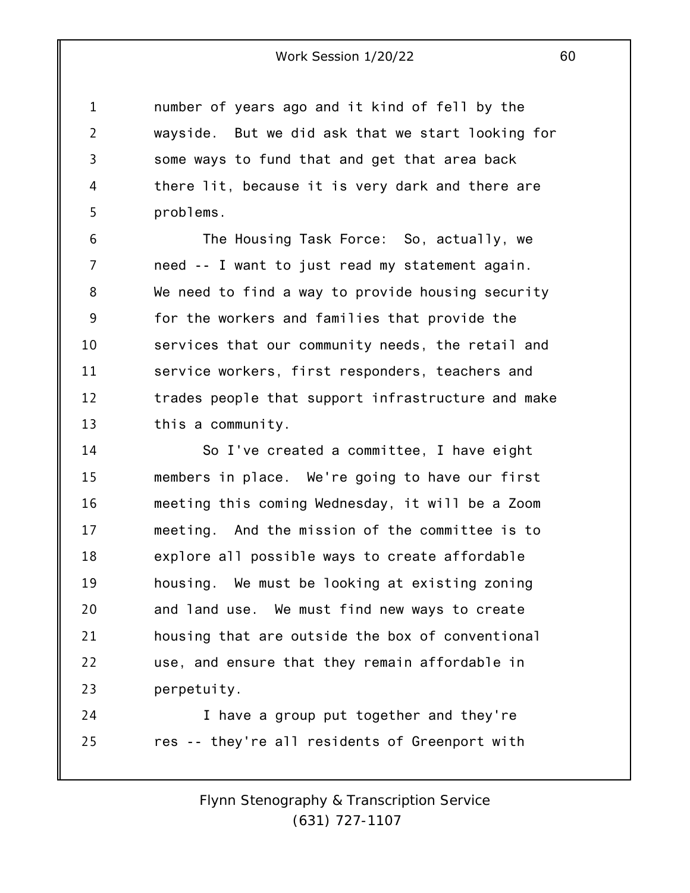1 4 number of years ago and it kind of fell by the wayside. But we did ask that we start looking for some ways to fund that and get that area back there lit, because it is very dark and there are problems.

2

3

5

6 7 8 9 10 11 12 13 The Housing Task Force: So, actually, we need -- I want to just read my statement again. We need to find a way to provide housing security for the workers and families that provide the services that our community needs, the retail and service workers, first responders, teachers and trades people that support infrastructure and make this a community.

14 15 16 17 18 19 20 21 22 23 So I've created a committee, I have eight members in place. We're going to have our first meeting this coming Wednesday, it will be a Zoom meeting. And the mission of the committee is to explore all possible ways to create affordable housing. We must be looking at existing zoning and land use. We must find new ways to create housing that are outside the box of conventional use, and ensure that they remain affordable in perpetuity.

24 25 I have a group put together and they're res -- they're all residents of Greenport with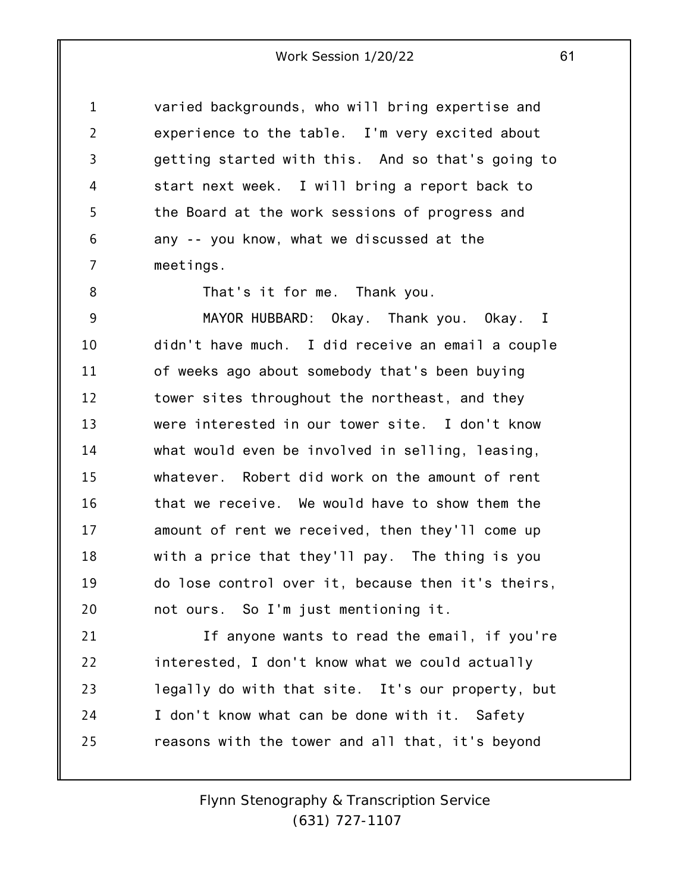1 2 3 4 5 6 7 varied backgrounds, who will bring expertise and experience to the table. I'm very excited about getting started with this. And so that's going to start next week. I will bring a report back to the Board at the work sessions of progress and any -- you know, what we discussed at the meetings.

8

That's it for me. Thank you.

9 10 11 12 13 14 15 16 17 18 19 20 MAYOR HUBBARD: Okay. Thank you. Okay. I didn't have much. I did receive an email a couple of weeks ago about somebody that's been buying tower sites throughout the northeast, and they were interested in our tower site. I don't know what would even be involved in selling, leasing, whatever. Robert did work on the amount of rent that we receive. We would have to show them the amount of rent we received, then they'll come up with a price that they'll pay. The thing is you do lose control over it, because then it's theirs, not ours. So I'm just mentioning it.

21 22 23 24 25 If anyone wants to read the email, if you're interested, I don't know what we could actually legally do with that site. It's our property, but I don't know what can be done with it. Safety reasons with the tower and all that, it's beyond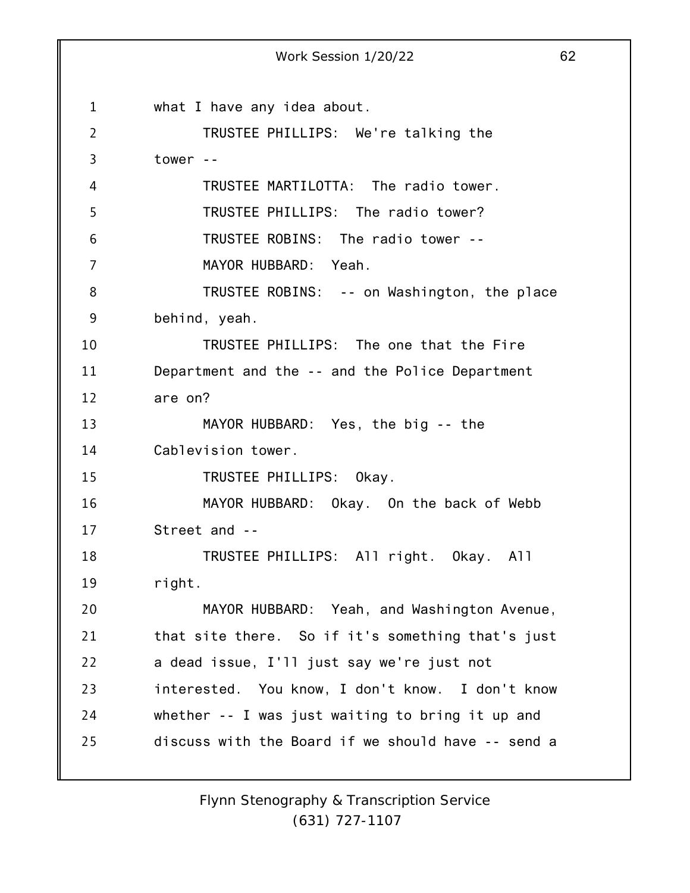1 2 3 4 5 6 7 8 9 10 11 12 13 14 15 16 17 18 19 20 21 22 23 24 25 Work Session 1/20/22 62 what I have any idea about. TRUSTEE PHILLIPS: We're talking the tower -- TRUSTEE MARTILOTTA: The radio tower. TRUSTEE PHILLIPS: The radio tower? TRUSTEE ROBINS: The radio tower -- MAYOR HUBBARD: Yeah. TRUSTEE ROBINS: -- on Washington, the place behind, yeah. TRUSTEE PHILLIPS: The one that the Fire Department and the -- and the Police Department are on? MAYOR HUBBARD: Yes, the big -- the Cablevision tower. TRUSTEE PHILLIPS: Okay. MAYOR HUBBARD: Okay. On the back of Webb Street and -- TRUSTEE PHILLIPS: All right. Okay. All right. MAYOR HUBBARD: Yeah, and Washington Avenue, that site there. So if it's something that's just a dead issue, I'll just say we're just not interested. You know, I don't know. I don't know whether -- I was just waiting to bring it up and discuss with the Board if we should have -- send a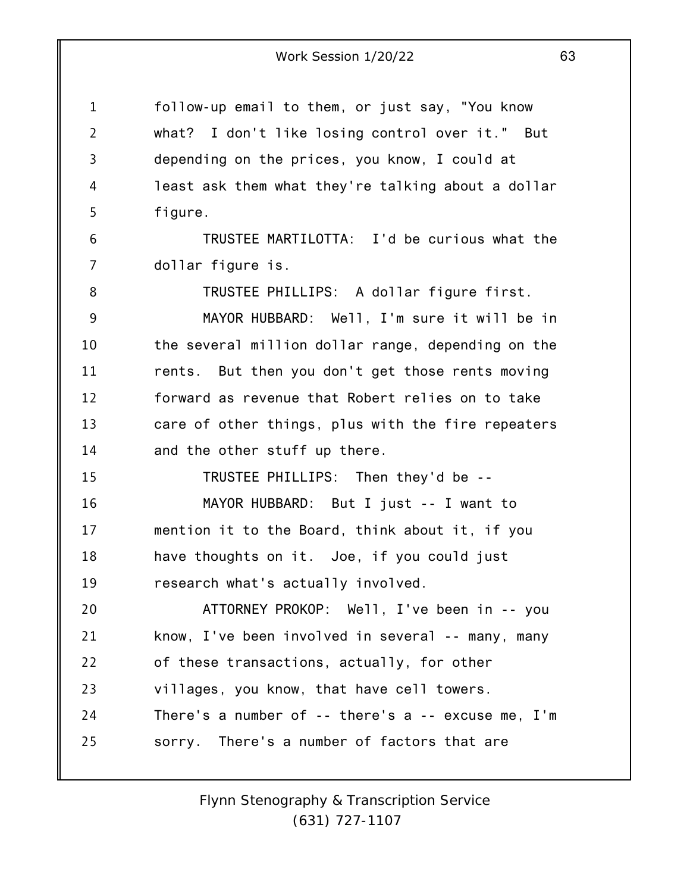1 2 3 4 5 6 7 8 9 10 11 12 13 14 15 16 17 18 19 20 21 22 23 24 25 follow-up email to them, or just say, "You know what? I don't like losing control over it." But depending on the prices, you know, I could at least ask them what they're talking about a dollar figure. TRUSTEE MARTILOTTA: I'd be curious what the dollar figure is. TRUSTEE PHILLIPS: A dollar figure first. MAYOR HUBBARD: Well, I'm sure it will be in the several million dollar range, depending on the rents. But then you don't get those rents moving forward as revenue that Robert relies on to take care of other things, plus with the fire repeaters and the other stuff up there. TRUSTEE PHILLIPS: Then they'd be -- MAYOR HUBBARD: But I just -- I want to mention it to the Board, think about it, if you have thoughts on it. Joe, if you could just research what's actually involved. ATTORNEY PROKOP: Well, I've been in -- you know, I've been involved in several -- many, many of these transactions, actually, for other villages, you know, that have cell towers. There's a number of -- there's a -- excuse me, I'm sorry. There's a number of factors that are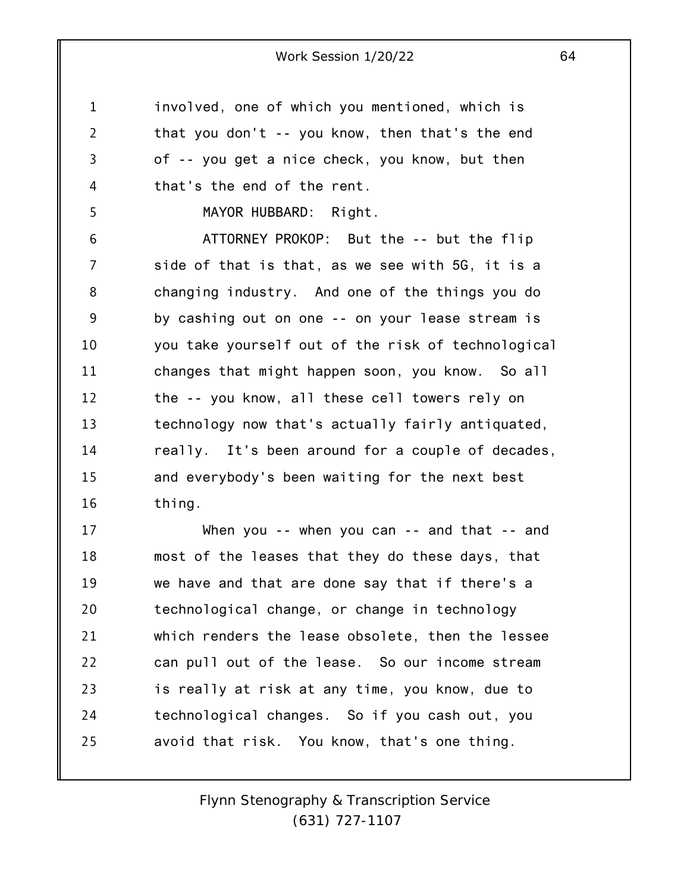1 2 3 4 involved, one of which you mentioned, which is that you don't -- you know, then that's the end of -- you get a nice check, you know, but then that's the end of the rent.

MAYOR HUBBARD: Right.

5

6 7 8 9 10 11 12 13 14 15 16 ATTORNEY PROKOP: But the -- but the flip side of that is that, as we see with 5G, it is a changing industry. And one of the things you do by cashing out on one -- on your lease stream is you take yourself out of the risk of technological changes that might happen soon, you know. So all the -- you know, all these cell towers rely on technology now that's actually fairly antiquated, really. It's been around for a couple of decades, and everybody's been waiting for the next best thing.

17 18 19 20 21 22 23 24 25 When you -- when you can -- and that -- and most of the leases that they do these days, that we have and that are done say that if there's a technological change, or change in technology which renders the lease obsolete, then the lessee can pull out of the lease. So our income stream is really at risk at any time, you know, due to technological changes. So if you cash out, you avoid that risk. You know, that's one thing.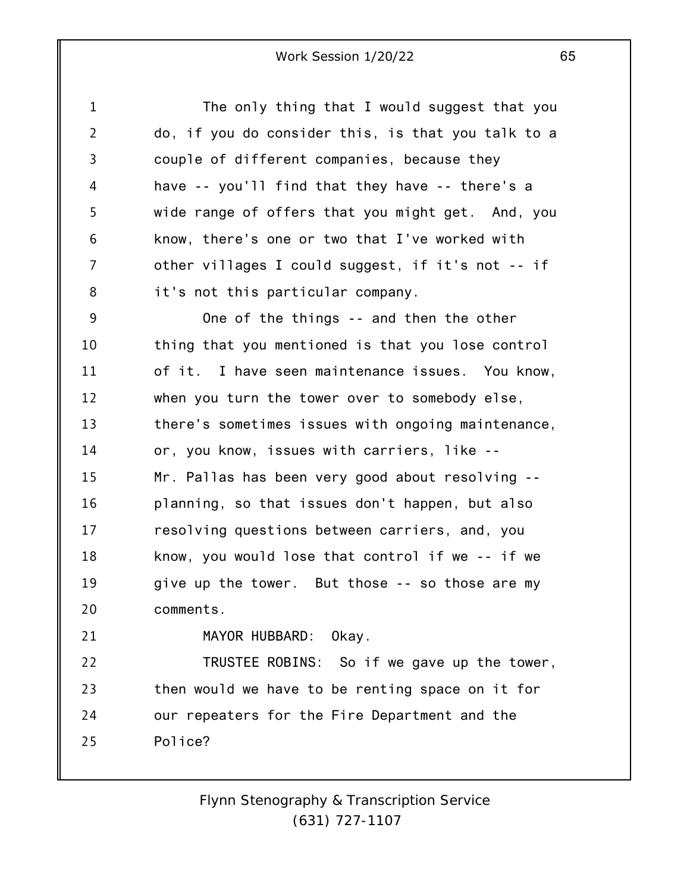1 2 3 4 5 6 7 8 9 10 11 12 13 14 15 16 17 18 19 20 21 22 23 24 25 The only thing that I would suggest that you do, if you do consider this, is that you talk to a couple of different companies, because they have -- you'll find that they have -- there's a wide range of offers that you might get. And, you know, there's one or two that I've worked with other villages I could suggest, if it's not -- if it's not this particular company. One of the things -- and then the other thing that you mentioned is that you lose control of it. I have seen maintenance issues. You know, when you turn the tower over to somebody else, there's sometimes issues with ongoing maintenance, or, you know, issues with carriers, like -- Mr. Pallas has been very good about resolving - planning, so that issues don't happen, but also resolving questions between carriers, and, you know, you would lose that control if we -- if we give up the tower. But those -- so those are my comments. MAYOR HUBBARD: Okay. TRUSTEE ROBINS: So if we gave up the tower, then would we have to be renting space on it for our repeaters for the Fire Department and the Police?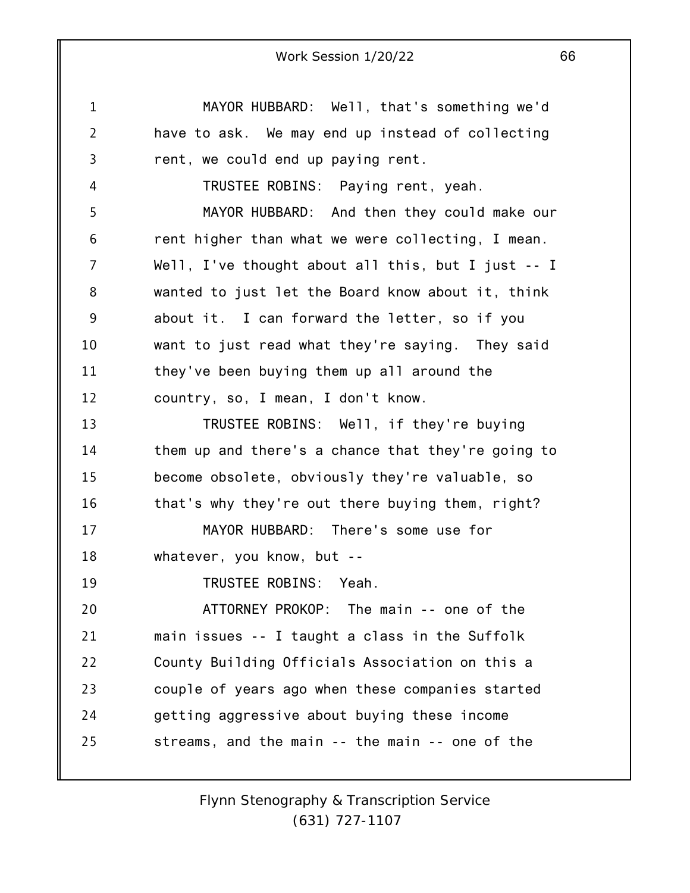1 2 3 4 5 6 7 8 9 10 11 12 13 14 15 16 17 18 19 20 21 22 23 24 25 Work Session 1/20/22 66 MAYOR HUBBARD: Well, that's something we'd have to ask. We may end up instead of collecting rent, we could end up paying rent. TRUSTEE ROBINS: Paying rent, yeah. MAYOR HUBBARD: And then they could make our rent higher than what we were collecting, I mean. Well, I've thought about all this, but I just -- I wanted to just let the Board know about it, think about it. I can forward the letter, so if you want to just read what they're saying. They said they've been buying them up all around the country, so, I mean, I don't know. TRUSTEE ROBINS: Well, if they're buying them up and there's a chance that they're going to become obsolete, obviously they're valuable, so that's why they're out there buying them, right? MAYOR HUBBARD: There's some use for whatever, you know, but -- TRUSTEE ROBINS: Yeah. ATTORNEY PROKOP: The main -- one of the main issues -- I taught a class in the Suffolk County Building Officials Association on this a couple of years ago when these companies started getting aggressive about buying these income streams, and the main -- the main -- one of the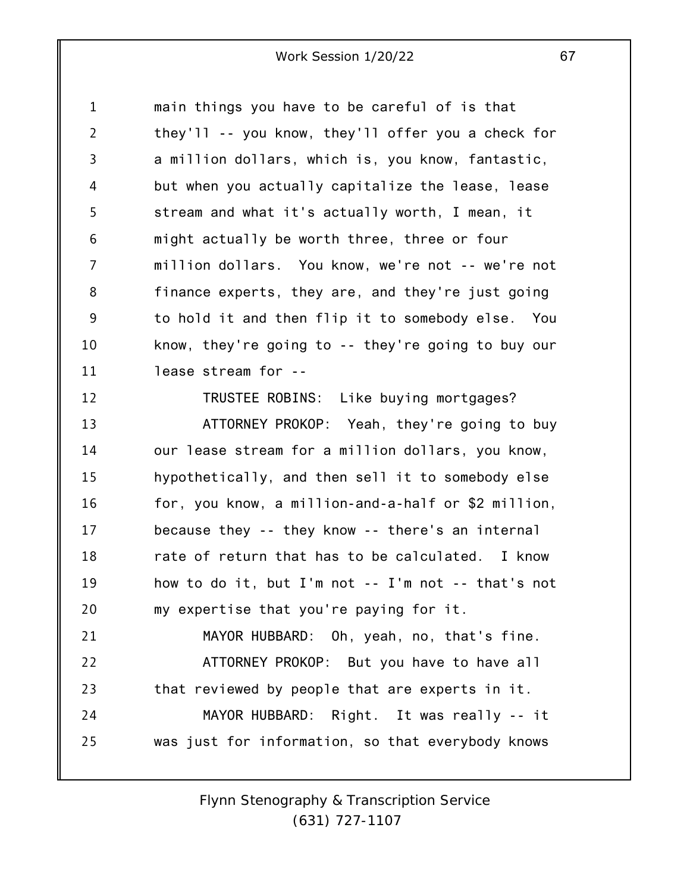1 2 3 4 5 6 7 8 9 10 11 main things you have to be careful of is that they'll -- you know, they'll offer you a check for a million dollars, which is, you know, fantastic, but when you actually capitalize the lease, lease stream and what it's actually worth, I mean, it might actually be worth three, three or four million dollars. You know, we're not -- we're not finance experts, they are, and they're just going to hold it and then flip it to somebody else. You know, they're going to -- they're going to buy our lease stream for --

12

TRUSTEE ROBINS: Like buying mortgages?

13 14 15 16 17 18 19 20 21 22 23 24 25 ATTORNEY PROKOP: Yeah, they're going to buy our lease stream for a million dollars, you know, hypothetically, and then sell it to somebody else for, you know, a million-and-a-half or \$2 million, because they -- they know -- there's an internal rate of return that has to be calculated. I know how to do it, but I'm not -- I'm not -- that's not my expertise that you're paying for it. MAYOR HUBBARD: Oh, yeah, no, that's fine. ATTORNEY PROKOP: But you have to have all that reviewed by people that are experts in it. MAYOR HUBBARD: Right. It was really -- it was just for information, so that everybody knows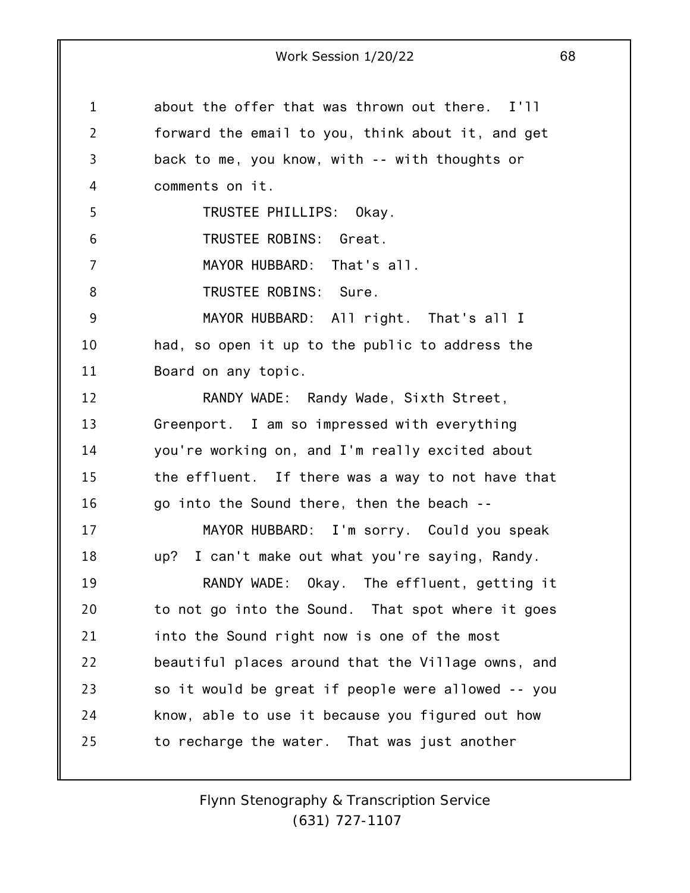1 2 3 4 5 6 7 8 9 10 11 12 13 14 15 16 17 18 19 20 21 22 23 24 25 about the offer that was thrown out there. I'll forward the email to you, think about it, and get back to me, you know, with -- with thoughts or comments on it. TRUSTEE PHILLIPS: Okay. TRUSTEE ROBINS: Great. MAYOR HUBBARD: That's all. TRUSTEE ROBINS: Sure. MAYOR HUBBARD: All right. That's all I had, so open it up to the public to address the Board on any topic. RANDY WADE: Randy Wade, Sixth Street, Greenport. I am so impressed with everything you're working on, and I'm really excited about the effluent. If there was a way to not have that go into the Sound there, then the beach -- MAYOR HUBBARD: I'm sorry. Could you speak up? I can't make out what you're saying, Randy. RANDY WADE: Okay. The effluent, getting it to not go into the Sound. That spot where it goes into the Sound right now is one of the most beautiful places around that the Village owns, and so it would be great if people were allowed -- you know, able to use it because you figured out how to recharge the water. That was just another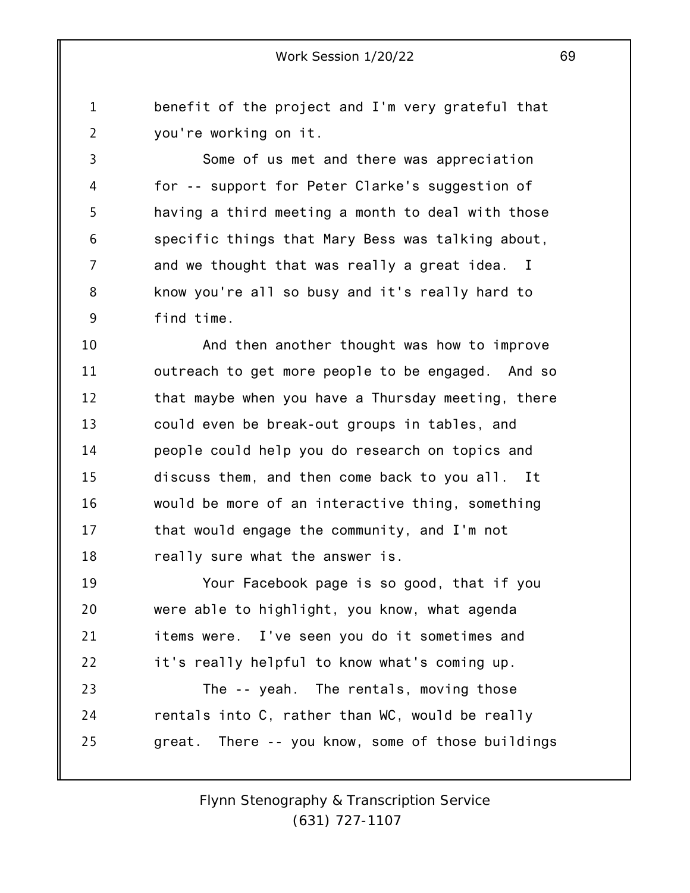benefit of the project and I'm very grateful that you're working on it.

1

2

3 4 5 6 7 8 9 Some of us met and there was appreciation for -- support for Peter Clarke's suggestion of having a third meeting a month to deal with those specific things that Mary Bess was talking about, and we thought that was really a great idea. I know you're all so busy and it's really hard to find time.

10 11 12 13 14 15 16 17 18 And then another thought was how to improve outreach to get more people to be engaged. And so that maybe when you have a Thursday meeting, there could even be break-out groups in tables, and people could help you do research on topics and discuss them, and then come back to you all. It would be more of an interactive thing, something that would engage the community, and I'm not really sure what the answer is.

19 20 21 22 Your Facebook page is so good, that if you were able to highlight, you know, what agenda items were. I've seen you do it sometimes and it's really helpful to know what's coming up.

23 24 25 The -- yeah. The rentals, moving those rentals into C, rather than WC, would be really great. There -- you know, some of those buildings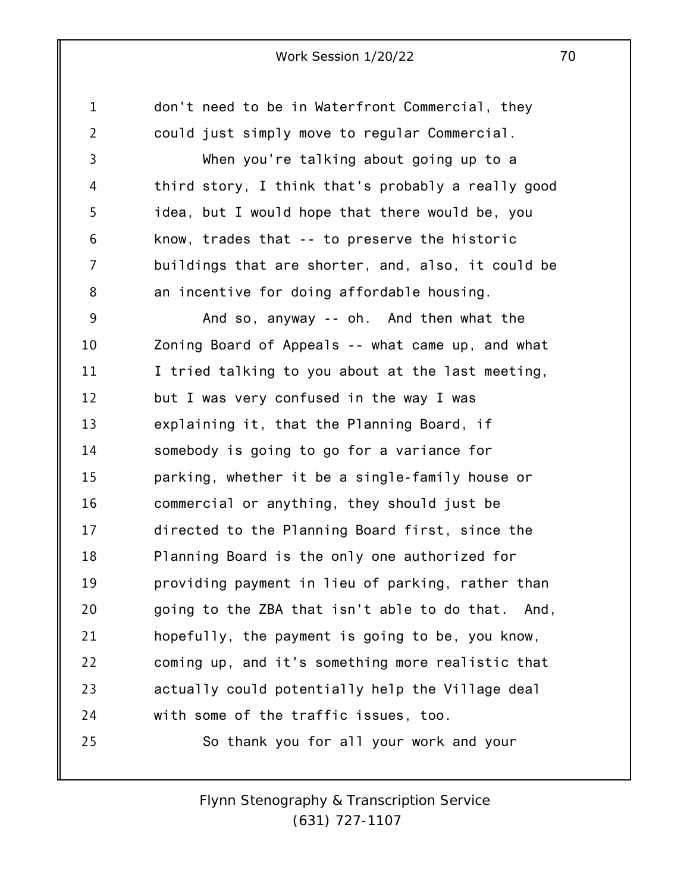1 2 3 4 5 6 7 8 9 10 11 12 13 14 15 16 17 18 19 20 21 22 23 24 25 don't need to be in Waterfront Commercial, they could just simply move to regular Commercial. When you're talking about going up to a third story, I think that's probably a really good idea, but I would hope that there would be, you know, trades that -- to preserve the historic buildings that are shorter, and, also, it could be an incentive for doing affordable housing. And so, anyway -- oh. And then what the Zoning Board of Appeals -- what came up, and what I tried talking to you about at the last meeting, but I was very confused in the way I was explaining it, that the Planning Board, if somebody is going to go for a variance for parking, whether it be a single-family house or commercial or anything, they should just be directed to the Planning Board first, since the Planning Board is the only one authorized for providing payment in lieu of parking, rather than going to the ZBA that isn't able to do that. And, hopefully, the payment is going to be, you know, coming up, and it's something more realistic that actually could potentially help the Village deal with some of the traffic issues, too. So thank you for all your work and your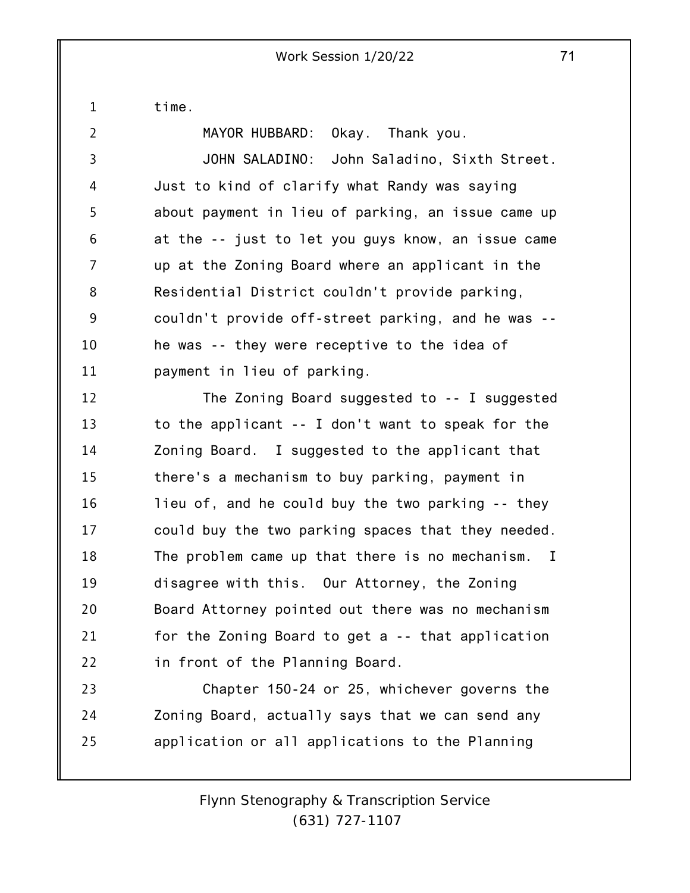time.

1

2

MAYOR HUBBARD: Okay. Thank you.

3 4 5 6 7 8 9 10 11 JOHN SALADINO: John Saladino, Sixth Street. Just to kind of clarify what Randy was saying about payment in lieu of parking, an issue came up at the -- just to let you guys know, an issue came up at the Zoning Board where an applicant in the Residential District couldn't provide parking, couldn't provide off-street parking, and he was - he was -- they were receptive to the idea of payment in lieu of parking.

12 13 14 15 16 17 18 19 20 21 22 The Zoning Board suggested to -- I suggested to the applicant -- I don't want to speak for the Zoning Board. I suggested to the applicant that there's a mechanism to buy parking, payment in lieu of, and he could buy the two parking -- they could buy the two parking spaces that they needed. The problem came up that there is no mechanism. I disagree with this. Our Attorney, the Zoning Board Attorney pointed out there was no mechanism for the Zoning Board to get a -- that application in front of the Planning Board.

23 24 25 Chapter 150-24 or 25, whichever governs the Zoning Board, actually says that we can send any application or all applications to the Planning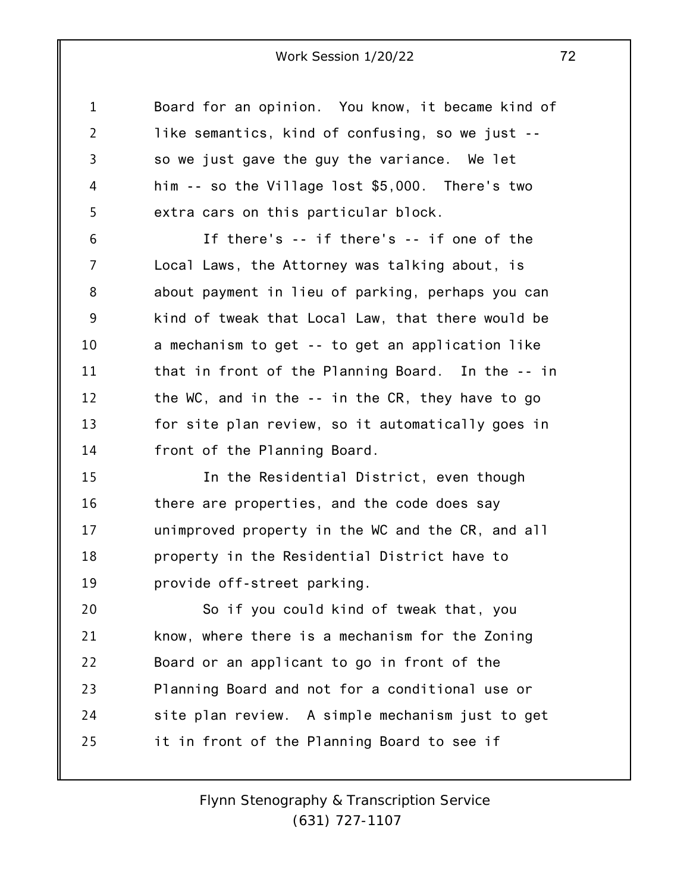1 2 3 4 5 Board for an opinion. You know, it became kind of like semantics, kind of confusing, so we just - so we just gave the guy the variance. We let him -- so the Village lost \$5,000. There's two extra cars on this particular block.

6 7 8 9 10 11 12 13 14 If there's -- if there's -- if one of the Local Laws, the Attorney was talking about, is about payment in lieu of parking, perhaps you can kind of tweak that Local Law, that there would be a mechanism to get -- to get an application like that in front of the Planning Board. In the -- in the WC, and in the -- in the CR, they have to go for site plan review, so it automatically goes in front of the Planning Board.

15 16 17 18 19 In the Residential District, even though there are properties, and the code does say unimproved property in the WC and the CR, and all property in the Residential District have to provide off-street parking.

20 21 22 23 24 25 So if you could kind of tweak that, you know, where there is a mechanism for the Zoning Board or an applicant to go in front of the Planning Board and not for a conditional use or site plan review. A simple mechanism just to get it in front of the Planning Board to see if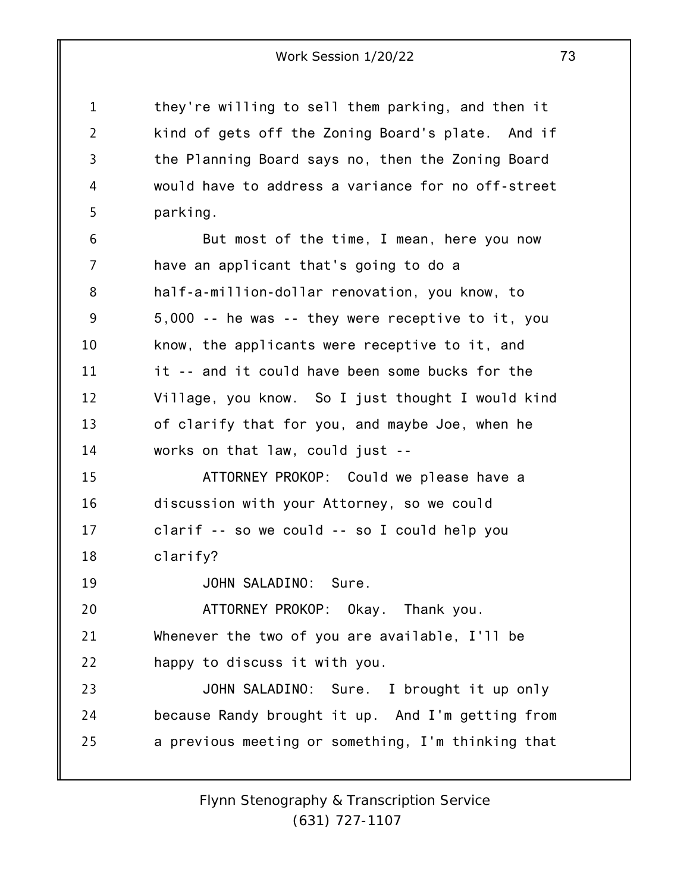they're willing to sell them parking, and then it kind of gets off the Zoning Board's plate. And if the Planning Board says no, then the Zoning Board would have to address a variance for no off-street parking.

1

2

3

4

5

19

6 7 8 9 10 11 12 13 14 15 But most of the time, I mean, here you now have an applicant that's going to do a half-a-million-dollar renovation, you know, to 5,000 -- he was -- they were receptive to it, you know, the applicants were receptive to it, and it -- and it could have been some bucks for the Village, you know. So I just thought I would kind of clarify that for you, and maybe Joe, when he works on that law, could just -- ATTORNEY PROKOP: Could we please have a

16 17 18 discussion with your Attorney, so we could clarif -- so we could -- so I could help you clarify?

JOHN SALADINO: Sure.

20 21 22 ATTORNEY PROKOP: Okay. Thank you. Whenever the two of you are available, I'll be happy to discuss it with you.

23 24 25 JOHN SALADINO: Sure. I brought it up only because Randy brought it up. And I'm getting from a previous meeting or something, I'm thinking that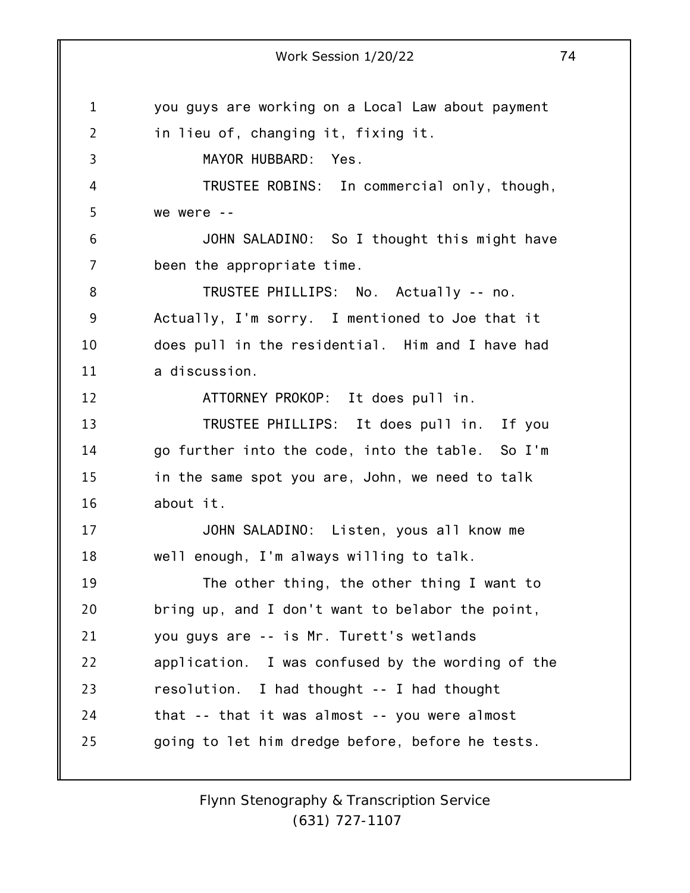1 2 3 4 5 6 7 8 9 10 11 12 13 14 15 16 17 18 19 20 21 22 23 24 25 Work Session 1/20/22 74 you guys are working on a Local Law about payment in lieu of, changing it, fixing it. MAYOR HUBBARD: Yes. TRUSTEE ROBINS: In commercial only, though, we were -- JOHN SALADINO: So I thought this might have been the appropriate time. TRUSTEE PHILLIPS: No. Actually -- no. Actually, I'm sorry. I mentioned to Joe that it does pull in the residential. Him and I have had a discussion. ATTORNEY PROKOP: It does pull in. TRUSTEE PHILLIPS: It does pull in. If you go further into the code, into the table. So I'm in the same spot you are, John, we need to talk about it. JOHN SALADINO: Listen, yous all know me well enough, I'm always willing to talk. The other thing, the other thing I want to bring up, and I don't want to belabor the point, you guys are -- is Mr. Turett's wetlands application. I was confused by the wording of the resolution. I had thought -- I had thought that -- that it was almost -- you were almost going to let him dredge before, before he tests.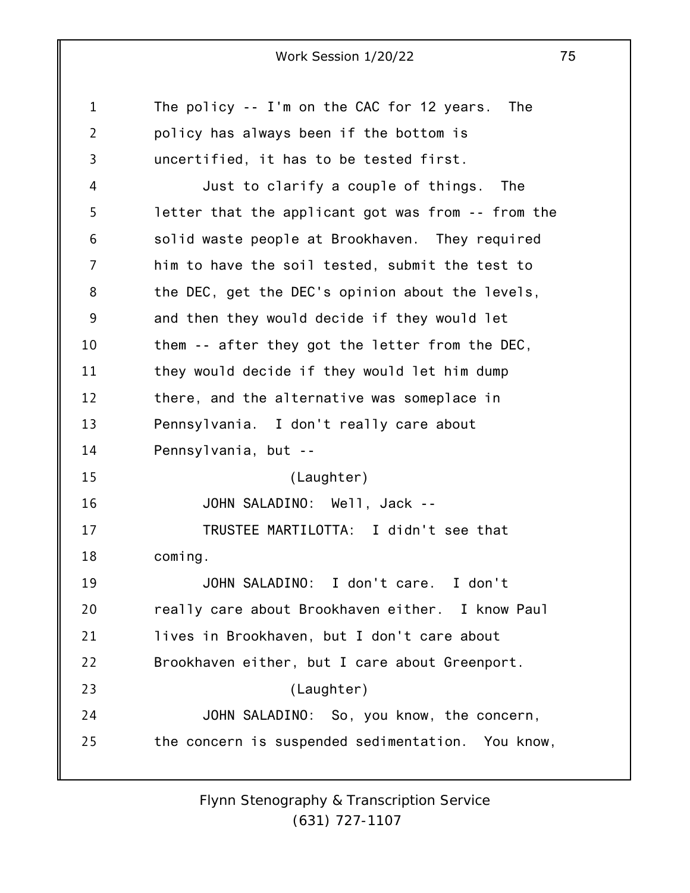1 2 3 4 5 6 7 8 9 10 11 12 13 14 15 16 17 18 19 20 21 22 23 24 25 The policy -- I'm on the CAC for 12 years. The policy has always been if the bottom is uncertified, it has to be tested first. Just to clarify a couple of things. The letter that the applicant got was from -- from the solid waste people at Brookhaven. They required him to have the soil tested, submit the test to the DEC, get the DEC's opinion about the levels, and then they would decide if they would let them -- after they got the letter from the DEC, they would decide if they would let him dump there, and the alternative was someplace in Pennsylvania. I don't really care about Pennsylvania, but -- (Laughter) JOHN SALADINO: Well, Jack -- TRUSTEE MARTILOTTA: I didn't see that coming. JOHN SALADINO: I don't care. I don't really care about Brookhaven either. I know Paul lives in Brookhaven, but I don't care about Brookhaven either, but I care about Greenport. (Laughter) JOHN SALADINO: So, you know, the concern, the concern is suspended sedimentation. You know,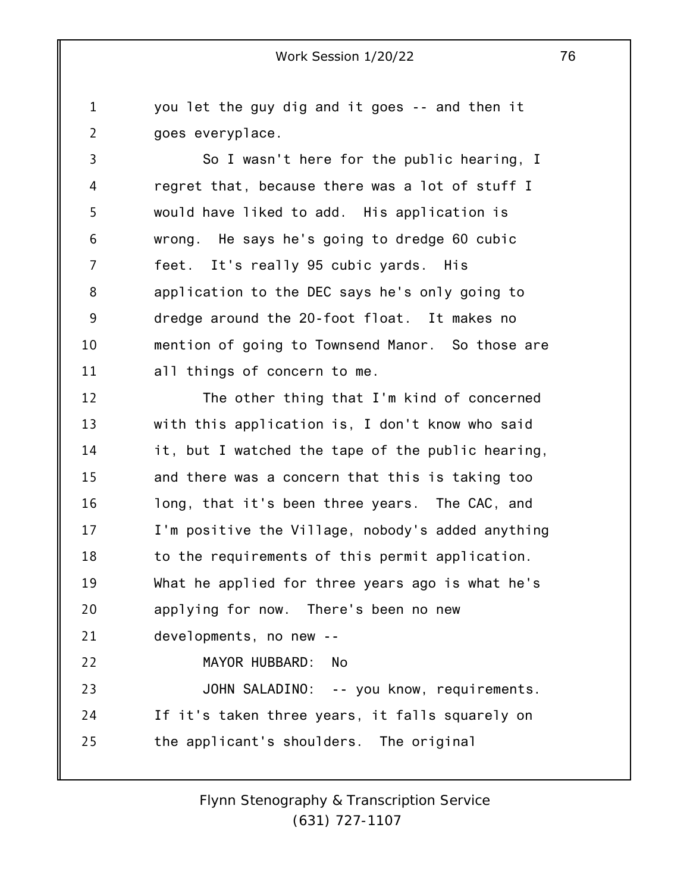1 2 you let the guy dig and it goes -- and then it goes everyplace.

3 4 5 6 7 8 9 10 11 So I wasn't here for the public hearing, I regret that, because there was a lot of stuff I would have liked to add. His application is wrong. He says he's going to dredge 60 cubic feet. It's really 95 cubic yards. His application to the DEC says he's only going to dredge around the 20-foot float. It makes no mention of going to Townsend Manor. So those are all things of concern to me.

12 13 14 15 16 17 18 19 20 21 22 23 24 25 The other thing that I'm kind of concerned with this application is, I don't know who said it, but I watched the tape of the public hearing, and there was a concern that this is taking too long, that it's been three years. The CAC, and I'm positive the Village, nobody's added anything to the requirements of this permit application. What he applied for three years ago is what he's applying for now. There's been no new developments, no new -- MAYOR HUBBARD: No JOHN SALADINO: -- you know, requirements. If it's taken three years, it falls squarely on the applicant's shoulders. The original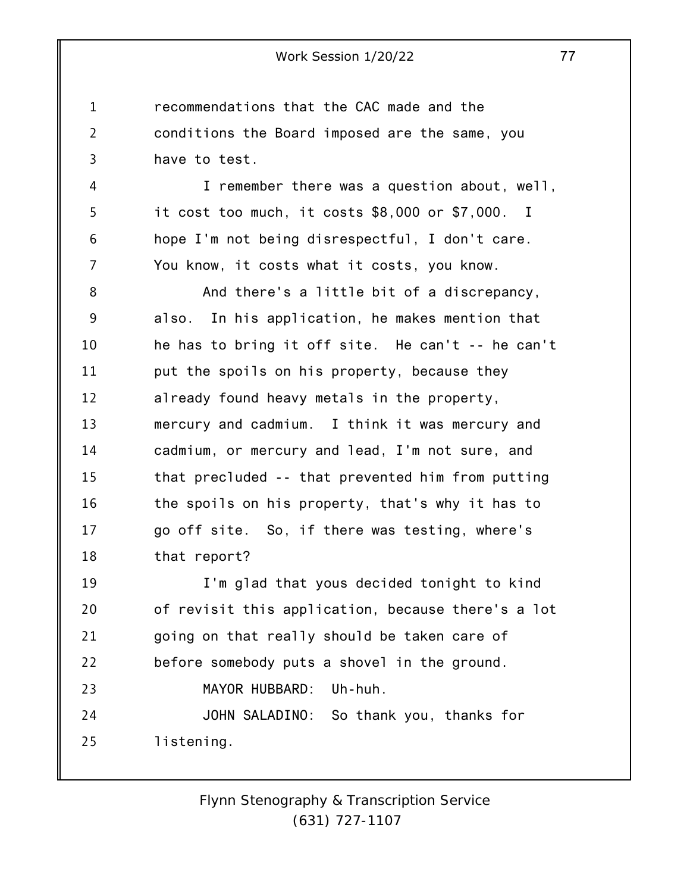1 2 3 recommendations that the CAC made and the conditions the Board imposed are the same, you have to test.

4 5 6 7 I remember there was a question about, well, it cost too much, it costs \$8,000 or \$7,000. I hope I'm not being disrespectful, I don't care. You know, it costs what it costs, you know.

8 9 10 11 12 13 14 15 16 17 18 And there's a little bit of a discrepancy, also. In his application, he makes mention that he has to bring it off site. He can't -- he can't put the spoils on his property, because they already found heavy metals in the property, mercury and cadmium. I think it was mercury and cadmium, or mercury and lead, I'm not sure, and that precluded -- that prevented him from putting the spoils on his property, that's why it has to go off site. So, if there was testing, where's that report?

19 20 21 22 23 24 25 I'm glad that yous decided tonight to kind of revisit this application, because there's a lot going on that really should be taken care of before somebody puts a shovel in the ground. MAYOR HUBBARD: Uh-huh. JOHN SALADINO: So thank you, thanks for listening.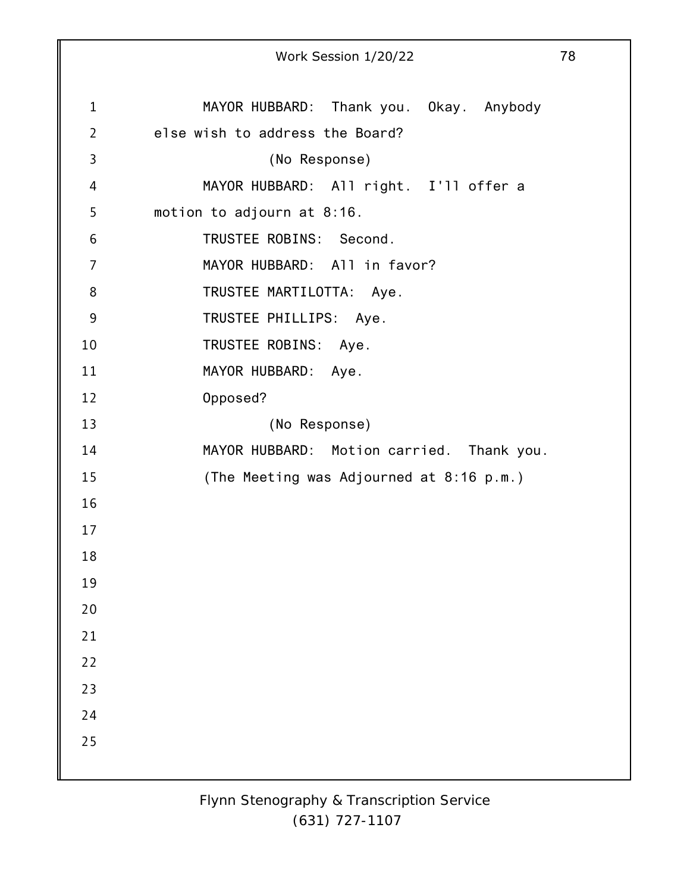|                | Work Session 1/20/22                      | 78 |
|----------------|-------------------------------------------|----|
|                |                                           |    |
| $\mathbf{1}$   | MAYOR HUBBARD: Thank you. Okay. Anybody   |    |
| $\overline{2}$ | else wish to address the Board?           |    |
| 3              | (No Response)                             |    |
| 4              | MAYOR HUBBARD: All right. I'll offer a    |    |
| 5              | motion to adjourn at 8:16.                |    |
| 6              | TRUSTEE ROBINS: Second.                   |    |
| $\overline{7}$ | MAYOR HUBBARD: All in favor?              |    |
| 8              | TRUSTEE MARTILOTTA: Aye.                  |    |
| 9              | TRUSTEE PHILLIPS: Aye.                    |    |
| 10             | TRUSTEE ROBINS:<br>Aye.                   |    |
| 11             | MAYOR HUBBARD: Aye.                       |    |
| 12             | Opposed?                                  |    |
| 13             | (No Response)                             |    |
| 14             | MAYOR HUBBARD: Motion carried. Thank you. |    |
| 15             | (The Meeting was Adjourned at 8:16 p.m.)  |    |
| 16             |                                           |    |
| 17             |                                           |    |
| 18             |                                           |    |
| 19             |                                           |    |
| 20             |                                           |    |
| 21             |                                           |    |
| 22             |                                           |    |
| 23             |                                           |    |
| 24             |                                           |    |
| 25             |                                           |    |
|                |                                           |    |
|                |                                           |    |